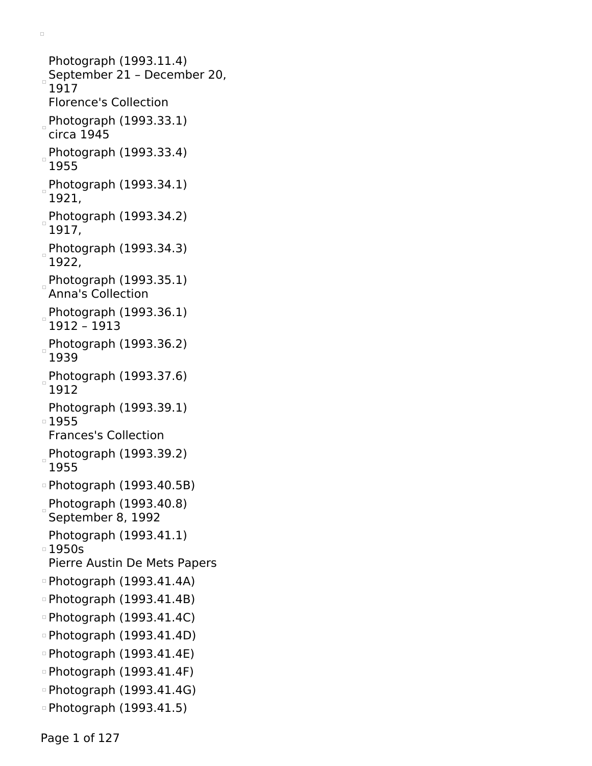```
Photograph (1993.11.4)
September 21 – December 20,
 1917
 Florence's Collection
Photograph (1993.33.1)circa 1945
Photograph (1993.33.4)
 1955
Photograph (1993.34.1)
 1921,
Photograph (1993.34.2)
 1917,
Photograph (1993.34.3)
 1922,
Photograph (1993.35.1)
 Anna's Collection
Photograph (1993.36.1)1912 – 1913
Photograph (1993.36.2)
 1939
Photograph (1993.37.6)
 1912
 Photograph (1993.39.1)
1955
 Frances's Collection
Photograph (1993.39.2)
 1955
Photograph (1993.40.5B)
Photograph (1993.40.8)
 September 8, 1992
 Photograph (1993.41.1)
\overline{0} 1950s
 Pierre Austin De Mets Papers
\circ Photograph (1993.41.4A)
\circ Photograph (1993.41.4B)
Photograph (1993.41.4C)
\circ Photograph (1993.41.4D)
Photograph (1993.41.4E)
\circ Photograph (1993.41.4F)
\circ Photograph (1993.41.4G)
Photograph (1993.41.5)
```
 $\Box$ 

Page 1 of 127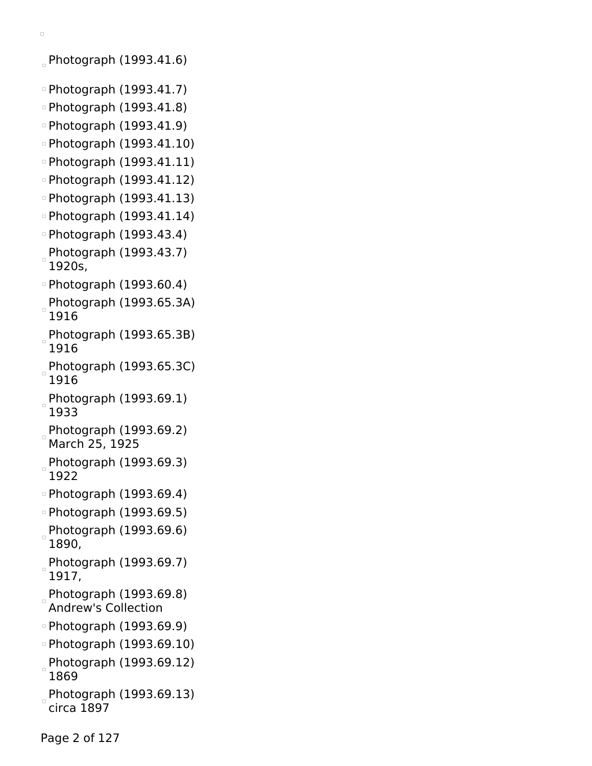```
\Box
```
Photograph (1993.41.6)

- Photograph (1993.41.7)
- Photograph (1993.41.8)
- Photograph (1993.41.9)
- Photograph (1993.41.10)
- Photograph (1993.41.11)
- Photograph (1993.41.12)
- Photograph (1993.41.13)
- Photograph (1993.41.14)
- Photograph (1993.43.4)
- $P$ hotograph (1993.43.7) 1920s,
- Photograph (1993.60.4)
- Photograph (1993.65.3A) 1916
- Photograph (1993.65.3B) 1916
- Photograph (1993.65.3C) 1916
- Photograph (1993.69.1) 1933
- Photograph (1993.69.2) March 25, 1925
- Photograph (1993.69.3) 1922
- Photograph (1993.69.4)
- Photograph (1993.69.5)
- $P$ hotograph (1993.69.6) 1890,
- Photograph (1993.69.7) 1917,
- Photograph (1993.69.8) Andrew's Collection
- Photograph (1993.69.9)
- Photograph (1993.69.10)
- Photograph (1993.69.12) 1869
- Photograph (1993.69.13) circa 1897

Page 2 of 127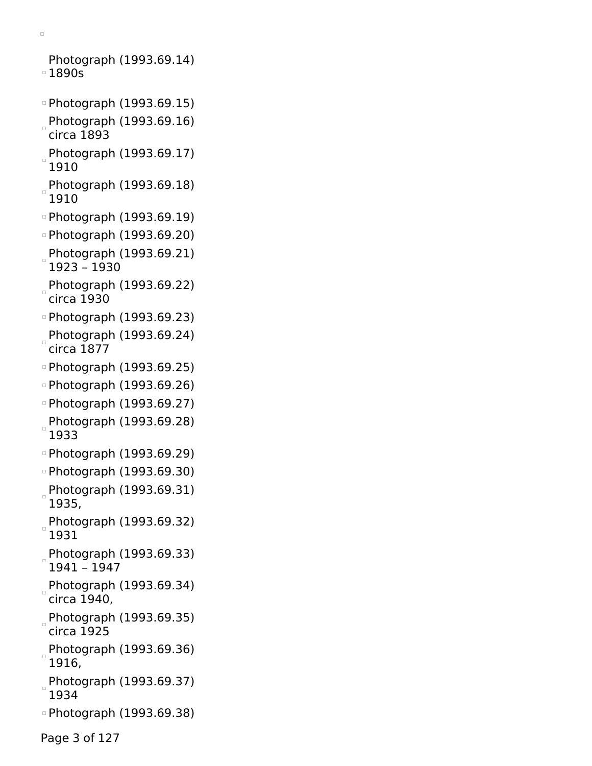```
\Box
```
Photograph (1993.69.14) 1890s

- Photograph (1993.69.15)
- Photograph (1993.69.16) circa 1893
- Photograph (1993.69.17) 1910
- Photograph (1993.69.18) 1910
- Photograph (1993.69.19)
- Photograph (1993.69.20)
- Photograph (1993.69.21) 1923 – 1930
- Photograph (1993.69.22) circa 1930
- Photograph (1993.69.23)
- Photograph (1993.69.24) circa 1877
- Photograph (1993.69.25)
- Photograph (1993.69.26)
- Photograph (1993.69.27) Photograph (1993.69.28) 1933
- Photograph (1993.69.29)
- Photograph (1993.69.30)
- Photograph (1993.69.31) 1935,
- Photograph (1993.69.32) 1931
- Photograph (1993.69.33) 1941 – 1947
- Photograph (1993.69.34) circa 1940,
- Photograph (1993.69.35) circa 1925
- Photograph (1993.69.36) 1916,
- Photograph (1993.69.37) 1934
- Photograph (1993.69.38)

Page 3 of 127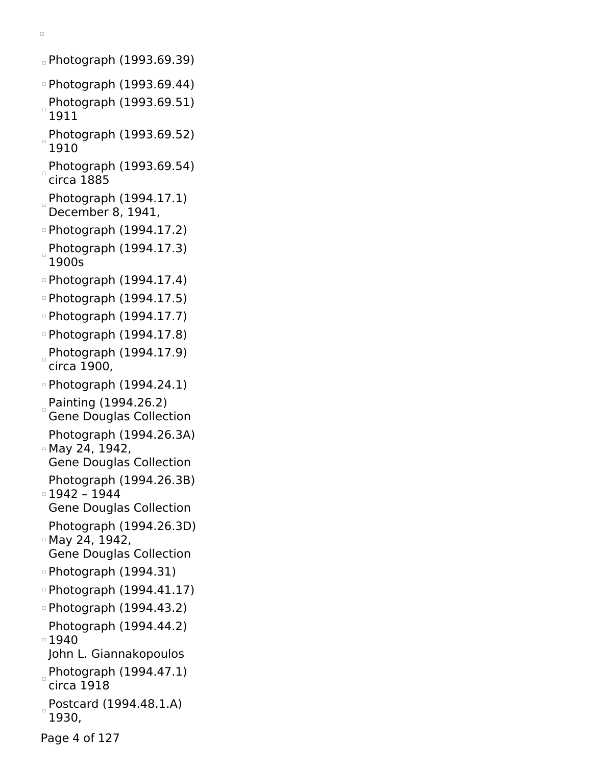Photograph (1993.69.39)

- Photograph (1993.69.44)
- Photograph (1993.69.51) 1911
- Photograph (1993.69.52) 1910
- Photograph (1993.69.54) circa 1885
- Photograph (1994.17.1) December 8, 1941,
- Photograph (1994.17.2)
- Photograph (1994.17.3) 1900s
- Photograph (1994.17.4)
- Photograph (1994.17.5)
- Photograph (1994.17.7)
- Photograph (1994.17.8)
- Photograph (1994.17.9) circa 1900,
- Photograph (1994.24.1)
- Painting (1994.26.2) Gene Douglas Collection
- Photograph (1994.26.3A) May 24, 1942,
- Gene Douglas Collection
- Photograph (1994.26.3B) 1942 – 1944
- Gene Douglas Collection Photograph (1994.26.3D)
- May 24, 1942, Gene Douglas Collection
- Photograph (1994.31)
- Photograph (1994.41.17)
- Photograph (1994.43.2) Photograph (1994.44.2)
- ■1940 John L. Giannakopoulos
- Photograph  $(1994.47.1)$ circa 1918
- Postcard (1994.48.1.A) 1930,
- Page 4 of 127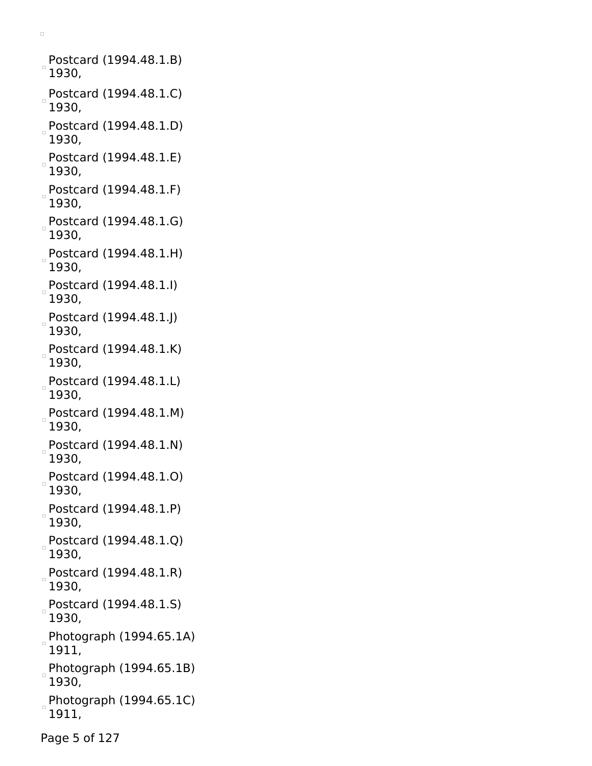Postcard (1994.48.1.B)  $\Box$ 1930, Postcard (1994.48.1.C)  $\Box$ 1930, Postcard (1994.48.1.D) 1930, Postcard (1994.48.1.E) 1930, Postcard (1994.48.1.F) 1930, Postcard (1994.48.1.G) 1930, Postcard (1994.48.1.H) 1930, Postcard (1994.48.1.I) 1930, Postcard (1994.48.1.J) 1930, Postcard (1994.48.1.K) 1930, Postcard (1994.48.1.L) 1930, Postcard (1994.48.1.M) 1930, Postcard (1994.48.1.N) 1930, Postcard (1994.48.1.O) 1930, Postcard (1994.48.1.P) 1930, Postcard (1994.48.1.Q) 1930, Postcard (1994.48.1.R) 1930, Postcard (1994.48.1.S)  $\Box$ 1930, Photograph (1994.65.1A) 1911, Photograph (1994.65.1B) 1930, Photograph (1994.65.1C) 1911,

 $\Box$ 

Page 5 of 127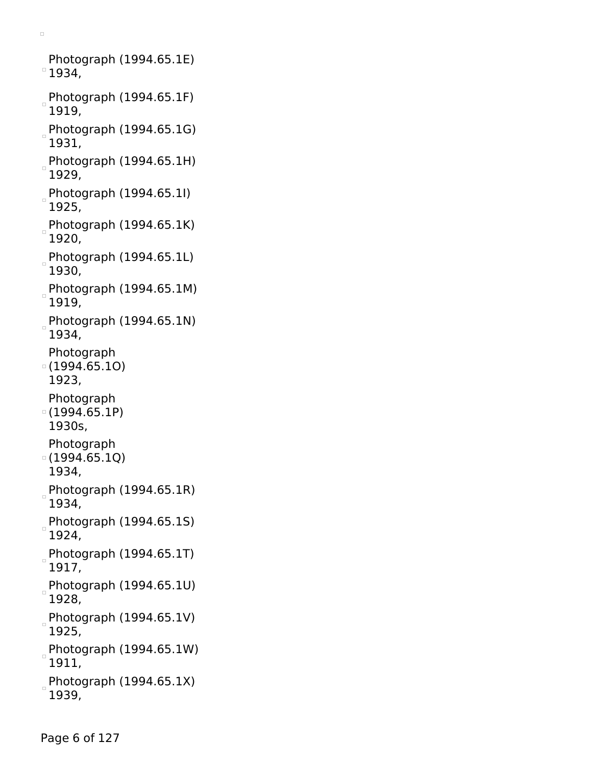Photograph (1994.65.1E)  $^{\circ}$  1934,  $P$ hotograph (1994.65.1F) 1919,  $P$ hotograph (1994.65.1G) 1931, Photograph (1994.65.1H) 1929, Photograph (1994.65.1I) 1925, Photograph (1994.65.1K) 1920, Photograph (1994.65.1L) 1930, Photograph (1994.65.1M) 1919, Photograph (1994.65.1N) 1934, Photograph (1994.65.1O) 1923, Photograph (1994.65.1P) 1930s, Photograph  $(1994.65.1Q)$ 1934,  $P$ hotograph (1994.65.1R) 1934, Photograph (1994.65.1S) 1924, Photograph (1994.65.1T) 1917, Photograph (1994.65.1U) 1928, Photograph (1994.65.1V) 1925,  $P$ hotograph (1994.65.1W) 1911, Photograph (1994.65.1X) 1939,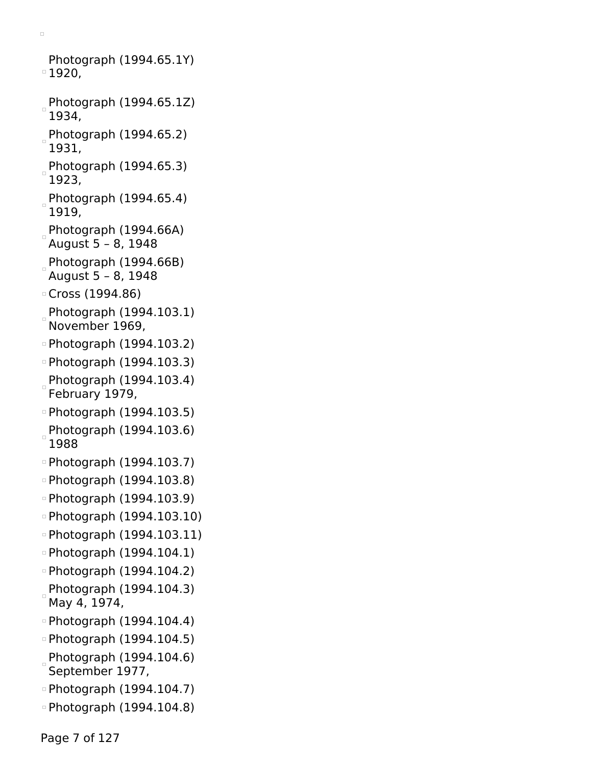```
Photograph (1994.65.1Y)
1920,
Photograph (1994.65.1Z)
 1934,
Photograph (1994.65.2)
 1931,
Photograph (1994.65.3)
 1923,
Photograph (1994.65.4)
 1919,
Photograph (1994.66A)
August 5 – 8, 1948
Photograph (1994.66B)August 5 – 8, 1948
Cross (1994.86)
Photograph (1994.103.1)
 November 1969,
Photograph (1994.103.2)
Photograph (1994.103.3)
Photograph (1994.103.4)
February 1979,
Photograph (1994.103.5)
Photograph (1994.103.6)
 1988
Photograph (1994.103.7)
Photograph (1994.103.8)
Photograph (1994.103.9)
Photograph (1994.103.10)
Photograph (1994.103.11)
Photograph (1994.104.1)
Photograph (1994.104.2)
Photograph (1994.104.3)
 May 4, 1974,
Photograph (1994.104.4)
Photograph (1994.104.5)
Photograph (1994.104.6)
 September 1977,
Photograph (1994.104.7)
Photograph (1994.104.8)
```
 $\Box$ 

Page 7 of 127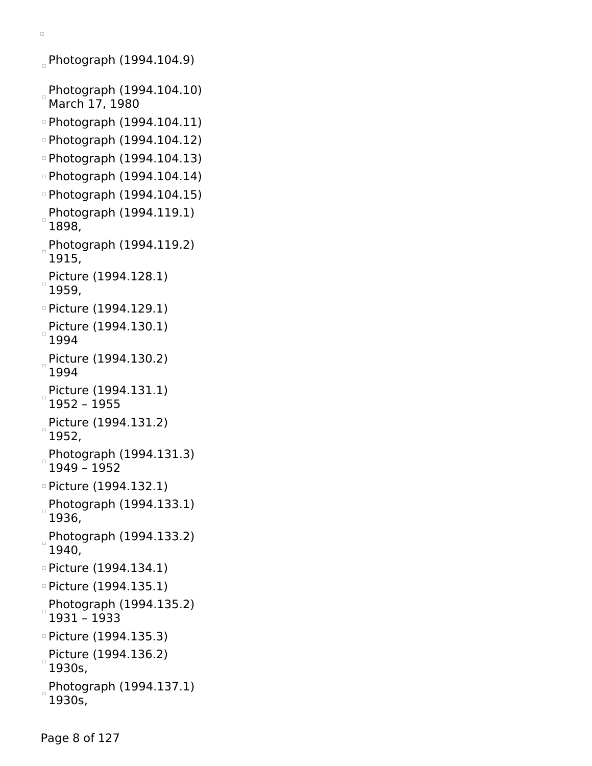Photograph (1994.104.9) Photograph (1994.104.10) March 17, 1980 Photograph (1994.104.11) Photograph (1994.104.12) Photograph (1994.104.13) Photograph (1994.104.14) Photograph (1994.104.15) Photograph (1994.119.1) 1898, Photograph (1994.119.2) 1915, Picture (1994.128.1) 1959, Picture (1994.129.1) Picture (1994.130.1) 1994 Picture (1994.130.2) 1994 Picture (1994.131.1) 1952 – 1955 Picture (1994.131.2) 1952, Photograph (1994.131.3) 1949 – 1952 Picture (1994.132.1) Photograph (1994.133.1) 1936, Photograph (1994.133.2) 1940, Picture (1994.134.1) Picture (1994.135.1) Photograph (1994.135.2)  $\Box$ 1931 – 1933 Picture (1994.135.3) Picture (1994.136.2) 1930s, Photograph (1994.137.1)  $\Box$ 1930s,

 $\Box$ 

Page 8 of 127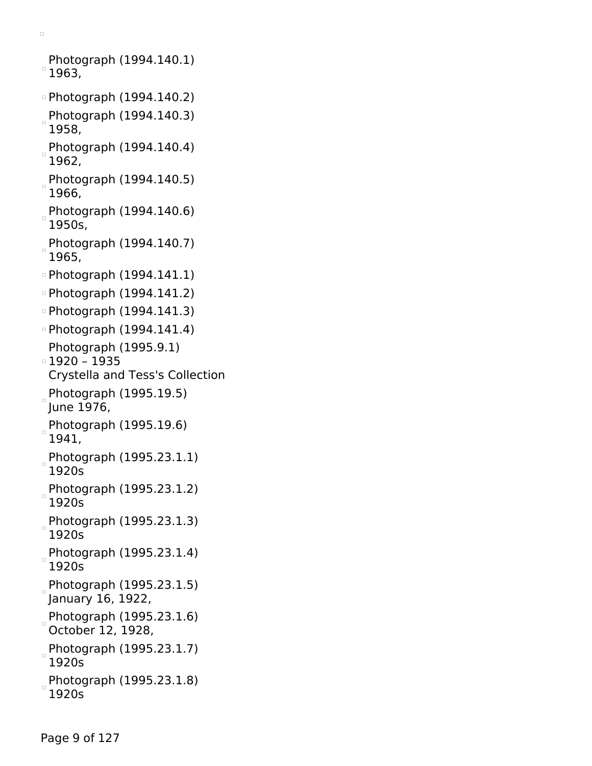```
Photograph (1994.140.1)
^{\circ} 1963,
Photograph (1994.140.2)
Photograph (1994.140.3)
 1958,
Photograph (1994.140.4)
 1962,
Photograph (1994.140.5)
 1966,
Photograph (1994.140.6)
 1950s,
Photograph (1994.140.7)
 1965,
Photograph (1994.141.1)
Photograph (1994.141.2)
Photograph (1994.141.3)
Photograph (1994.141.4)
 Photograph (1995.9.1)
1920 – 1935
 Crystella and Tess's Collection
Photograph (1995.19.5)
June 1976,
Photograph (1995.19.6)
 1941,
Photograph (1995.23.1.1)
 1920s
 Photograph (1995.23.1.2)
 1920s
Photograph (1995.23.1.3)
 1920s
Photograph (1995.23.1.4)
 1920s
Photograph (1995.23.1.5)
January 16, 1922,
Photograph (1995.23.1.6)
 October 12, 1928,
Photograph (1995.23.1.7)
h
 1920s
Photograph (1995.23.1.8)
 1920s
```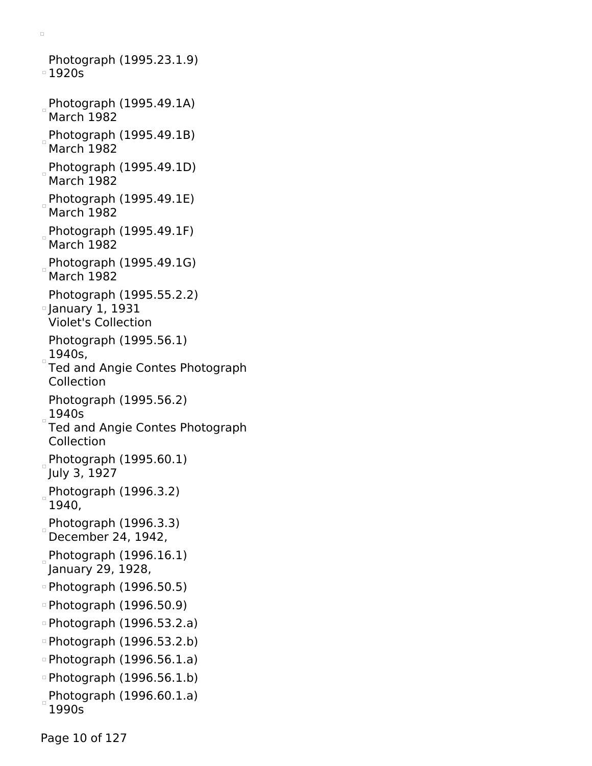Photograph (1995.23.1.9) 1920s Photograph (1995.49.1A) March 1982 Photograph (1995.49.1B) March 1982 Photograph (1995.49.1D) March 1982 Photograph (1995.49.1E) March 1982 Photograph (1995.49.1F) March 1982 Photograph (1995.49.1G) March 1982 Photograph (1995.55.2.2) January 1, 1931 Violet's Collection Photograph (1995.56.1) 1940s, Ted and Angie Contes Photograph Collection Photograph (1995.56.2) 1940s Ted and Angie Contes Photograph Collection Photograph  $(1995.60.1)$ July 3, 1927 Photograph (1996.3.2) 1940, Photograph  $(1996.3.3)$ December 24, 1942, Photograph (1996.16.1) January 29, 1928, Photograph (1996.50.5) Photograph (1996.50.9) Photograph (1996.53.2.a) Photograph (1996.53.2.b) Photograph (1996.56.1.a) Photograph (1996.56.1.b) Photograph (1996.60.1.a) 1990s

 $\Box$ 

Page 10 of 127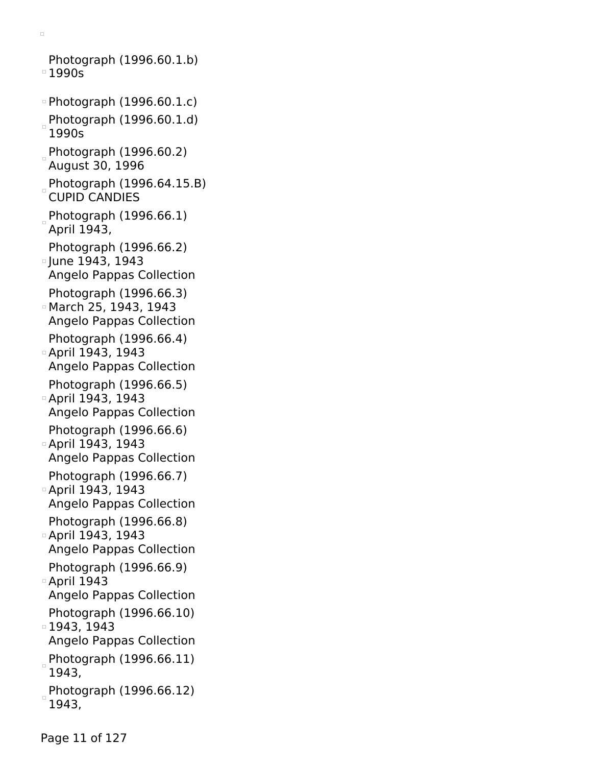Photograph (1996.60.1.b) 1990s Photograph (1996.60.1.c) Photograph (1996.60.1.d) 1990s Photograph (1996.60.2) August 30, 1996 Photograph  $(1996.64.15.B)$ CUPID CANDIES  $P$ hotograph (1996.66.1) April 1943, Photograph (1996.66.2) June 1943, 1943 Angelo Pappas Collection Photograph (1996.66.3) March 25, 1943, 1943 Angelo Pappas Collection Photograph (1996.66.4) April 1943, 1943 Angelo Pappas Collection Photograph (1996.66.5) April 1943, 1943 Angelo Pappas Collection Photograph (1996.66.6) April 1943, 1943 Angelo Pappas Collection Photograph (1996.66.7) April 1943, 1943 Angelo Pappas Collection Photograph (1996.66.8) April 1943, 1943 Angelo Pappas Collection Photograph (1996.66.9) April 1943 Angelo Pappas Collection Photograph (1996.66.10) 1943, 1943 Angelo Pappas Collection  $P$ hotograph (1996.66.11) 1943, Photograph (1996.66.12) 1943,

 $\Box$ 

Page 11 of 127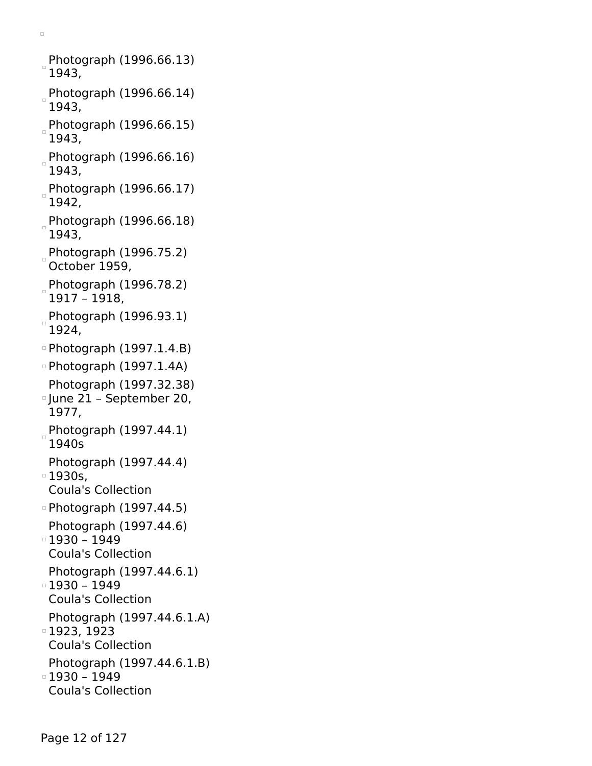Photograph (1996.66.13)  $^{\circ}$ 1943, Photograph (1996.66.14) 1943, Photograph (1996.66.15) 1943, Photograph (1996.66.16) 1943, Photograph (1996.66.17) 1942, Photograph (1996.66.18) 1943, Photograph  $(1996.75.2)$ October 1959, Photograph (1996.78.2) 1917 – 1918, Photograph (1996.93.1) 1924, Photograph (1997.1.4.B) Photograph (1997.1.4A) Photograph (1997.32.38) June 21 – September 20, 1977, Photograph (1997.44.1) 1940s Photograph (1997.44.4) 1930s, Coula's Collection Photograph (1997.44.5) Photograph (1997.44.6)  $0 - 1930 - 1949$ Coula's Collection Photograph (1997.44.6.1)  $1930 - 1949$ Coula's Collection Photograph (1997.44.6.1.A) 1923, 1923 Coula's Collection Photograph (1997.44.6.1.B)  $0 - 1930 - 1949$ Coula's Collection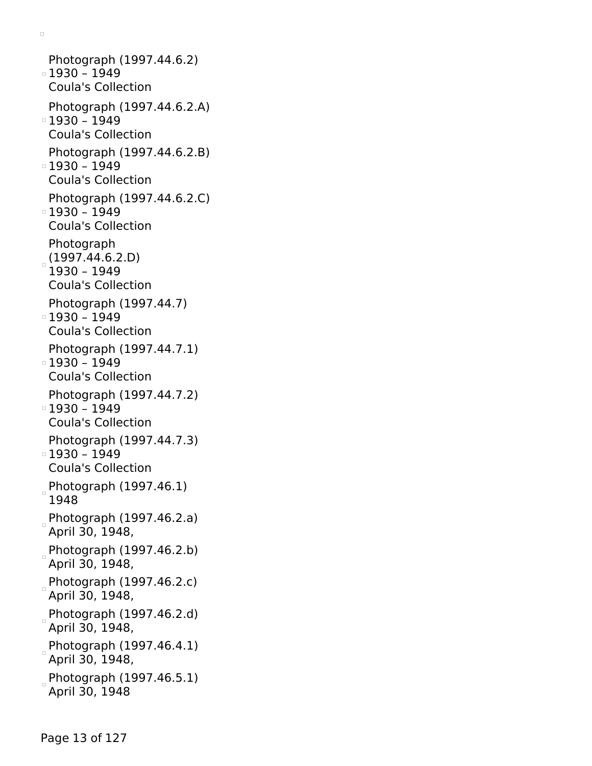Photograph (1997.44.6.2) 1930 – 1949 Coula's Collection Photograph (1997.44.6.2.A) 1930 – 1949 Coula's Collection Photograph (1997.44.6.2.B)  $0 - 1930 - 1949$ Coula's Collection Photograph (1997.44.6.2.C) 1930 – 1949 Coula's Collection Photograph  $(1997.44.6.2.D)$ 1930 – 1949 Coula's Collection Photograph (1997.44.7) 1930 – 1949 Coula's Collection Photograph (1997.44.7.1)  $1930 - 1949$ Coula's Collection Photograph (1997.44.7.2)  $1930 - 1949$ Coula's Collection Photograph (1997.44.7.3)  $1930 - 1949$ Coula's Collection Photograph (1997.46.1) 1948 Photograph  $(1997.46.2.a)$ April 30, 1948, Photograph  $(1997.46.2.b)$ April 30, 1948, Photograph (1997.46.2.c) April 30, 1948, Photograph (1997.46.2.d) April 30, 1948, Photograph (1997.46.4.1) April 30, 1948, Photograph (1997.46.5.1) April 30, 1948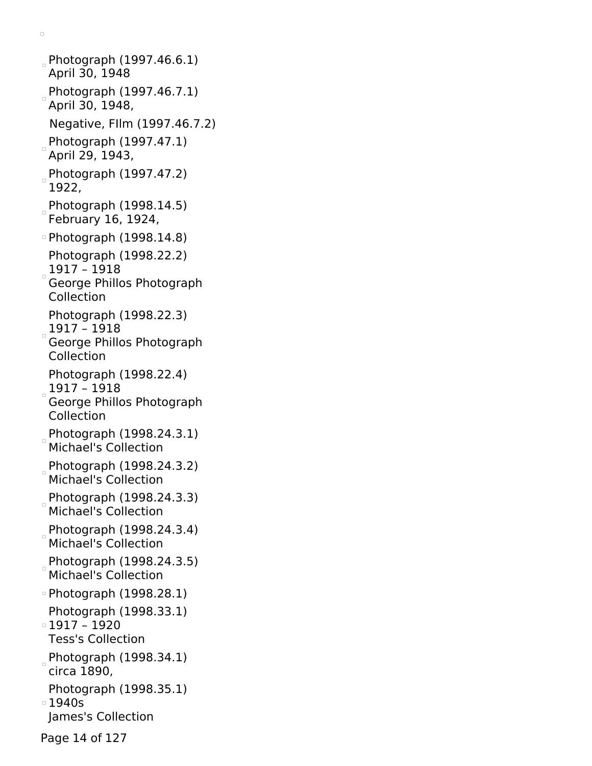Photograph (1997.46.6.1) April 30, 1948 Photograph (1997.46.7.1) April 30, 1948, Negative, FIlm (1997.46.7.2) Photograph  $(1997.47.1)$ April 29, 1943, Photograph  $(1997.47.2)$ 1922, Photograph (1998.14.5) February 16, 1924, Photograph (1998.14.8) Photograph (1998.22.2)  $1917 - 1918$ George Phillos Photograph Collection Photograph (1998.22.3)  $_{\circ}$ 1917 – 1918 $^{'}$ George Phillos Photograph Collection Photograph (1998.22.4) 1917 – 1918 George Phillos Photograph Collection Photograph (1998.24.3.1) Michael's Collection Photograph (1998.24.3.2) Michael's Collection Photograph (1998.24.3.3) Michael's Collection Photograph (1998.24.3.4) Michael's Collection Photograph (1998.24.3.5) Michael's Collection Photograph (1998.28.1) Photograph (1998.33.1) 1917 – 1920 Tess's Collection Photograph (1998.34.1) circa 1890, Photograph (1998.35.1) 1940s James's Collection Page 14 of 127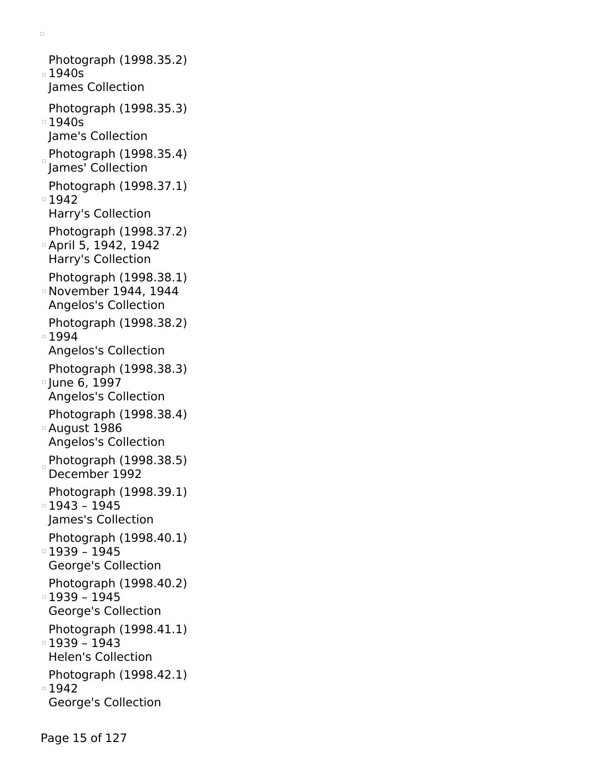Photograph (1998.35.2) 1940s James Collection Photograph (1998.35.3)  $\overline{\phantom{0}}$  1940s Jame's Collection  $P$ hotograph (1998.35.4) James' Collection Photograph (1998.37.1) ■1942 Harry's Collection Photograph (1998.37.2) April 5, 1942, 1942 Harry's Collection Photograph (1998.38.1) November 1944, 1944 Angelos's Collection Photograph (1998.38.2) 1994 Angelos's Collection Photograph (1998.38.3) June 6, 1997 Angelos's Collection Photograph (1998.38.4) August 1986 Angelos's Collection  $P$ hotograph (1998.38.5) December 1992 Photograph (1998.39.1) 1943 – 1945 James's Collection Photograph (1998.40.1) 1939 – 1945 George's Collection Photograph (1998.40.2) 1939 – 1945 George's Collection Photograph (1998.41.1) 1939 – 1943 Helen's Collection Photograph (1998.42.1) ■1942 George's Collection

Page 15 of 127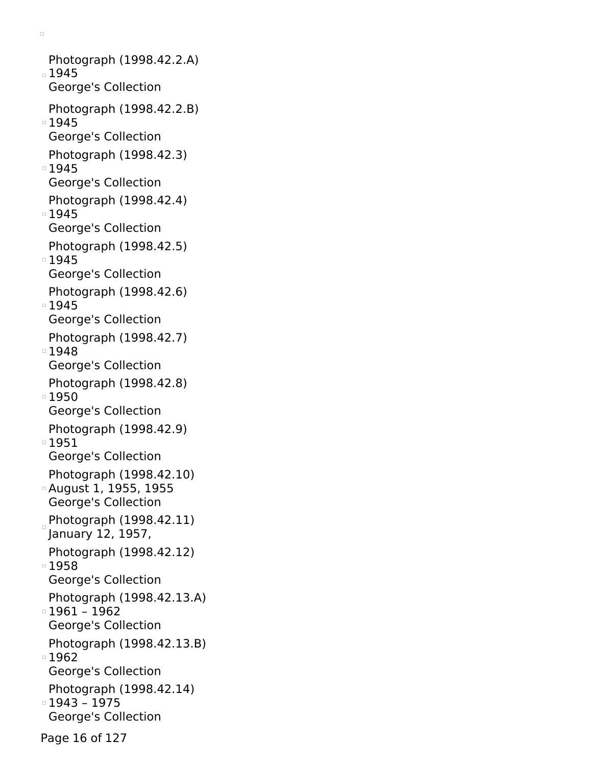Photograph (1998.42.2.A) 1945 George's Collection Photograph (1998.42.2.B) □ 1945 George's Collection Photograph (1998.42.3) ■1945 George's Collection Photograph (1998.42.4) 1945 George's Collection Photograph (1998.42.5) ■1945 George's Collection Photograph (1998.42.6) □ 1945 George's Collection Photograph (1998.42.7) 1948 George's Collection Photograph (1998.42.8) 1950 George's Collection Photograph (1998.42.9) 1951 George's Collection Photograph (1998.42.10) August 1, 1955, 1955 George's Collection Photograph  $(1998.42.11)$ January 12, 1957, Photograph (1998.42.12) ■1958 George's Collection Photograph (1998.42.13.A)  $1961 - 1962$ George's Collection Photograph (1998.42.13.B) 1962 George's Collection Photograph (1998.42.14) 1943 – 1975 George's Collection

 $\Box$ 

Page 16 of 127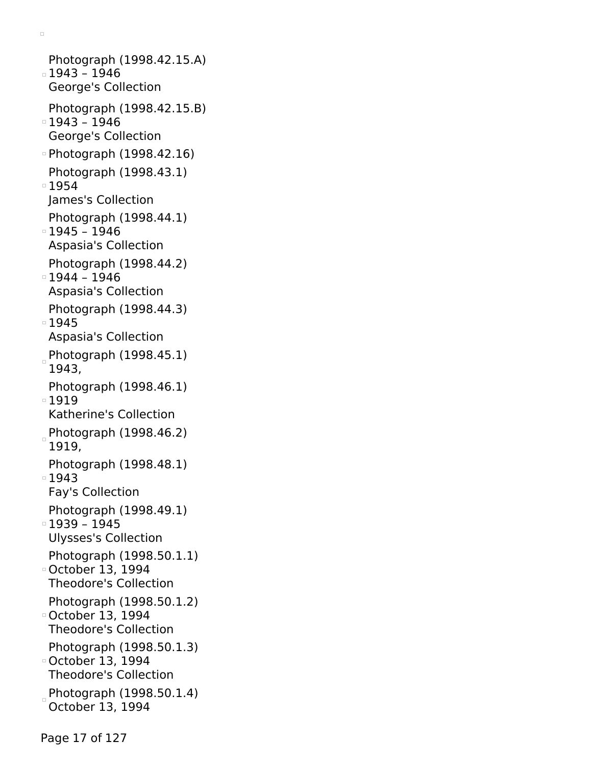Photograph (1998.42.15.A) 1943 – 1946 George's Collection Photograph (1998.42.15.B) 1943 – 1946 George's Collection Photograph (1998.42.16) Photograph (1998.43.1) ■1954 James's Collection Photograph (1998.44.1)  $1945 - 1946$ Aspasia's Collection Photograph (1998.44.2)  $1944 - 1946$ Aspasia's Collection Photograph (1998.44.3) □ 1945 Aspasia's Collection Photograph  $(1998.45.1)$ 1943, Photograph (1998.46.1) 1919 Katherine's Collection Photograph (1998.46.2) 1919, Photograph (1998.48.1) ■1943 Fay's Collection Photograph (1998.49.1) 1939 – 1945 Ulysses's Collection Photograph (1998.50.1.1) October 13, 1994 Theodore's Collection Photograph (1998.50.1.2) October 13, 1994 Theodore's Collection Photograph (1998.50.1.3) October 13, 1994 Theodore's Collection Photograph (1998.50.1.4) October 13, 1994

 $\Box$ 

Page 17 of 127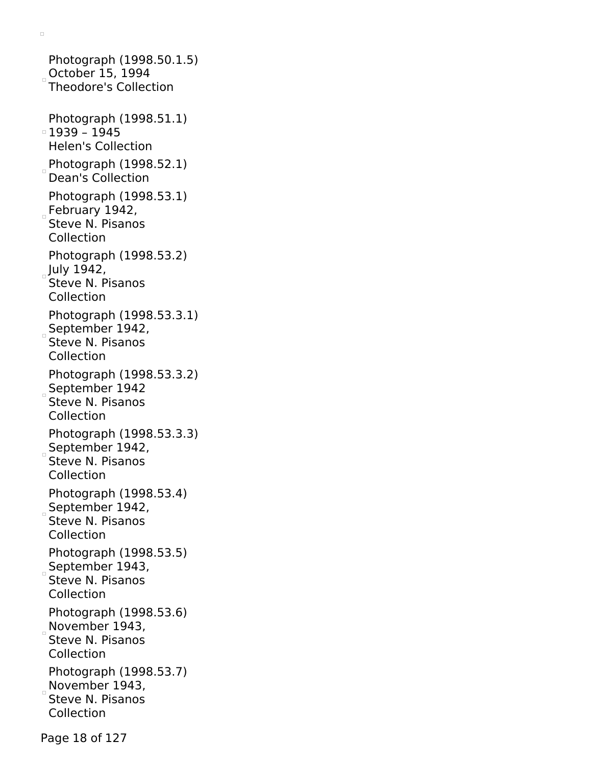Photograph (1998.50.1.5)  $\overline{)}$ October 15, 1994 Theodore's Collection Photograph (1998.51.1) 1939 – 1945 Helen's Collection Photograph  $(1998.52.1)$ Dean's Collection Photograph (1998.53.1) February 1942, Steve N. Pisanos Collection Photograph (1998.53.2)  $July 1942,$ Steve N. Pisanos Collection Photograph (1998.53.3.1) September 1942, Steve N. Pisanos Collection Photograph (1998.53.3.2) September 1942 Steve N. Pisanos Collection Photograph (1998.53.3.3) September 1942, Steve N. Pisanos Collection Photograph (1998.53.4) September 1942, Steve N. Pisanos Collection Photograph (1998.53.5) September 1943, Steve N. Pisanos Collection Photograph (1998.53.6) November  $1943$ , Steve N. Pisanos Collection Photograph (1998.53.7) November 1943, Steve N. Pisanos Collection

 $\Box$ 

Page 18 of 127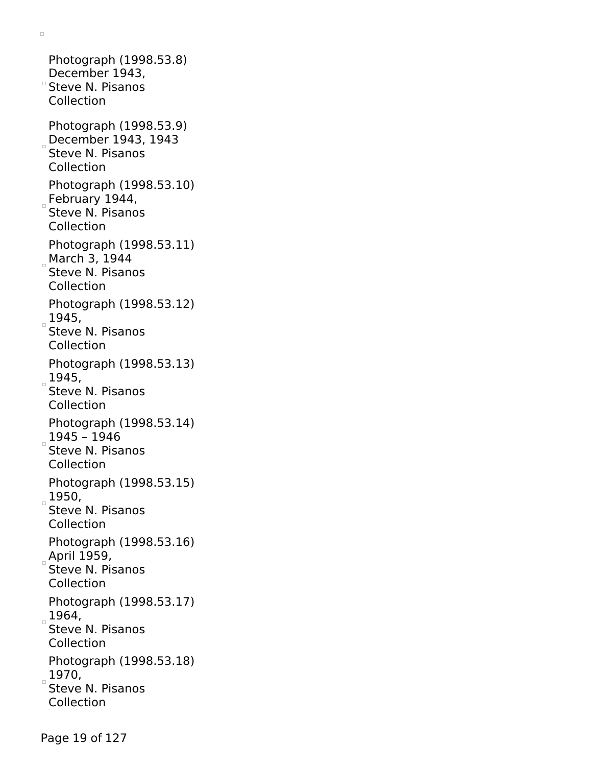Photograph (1998.53.8) December 1943, Steve N. Pisanos Collection Photograph (1998.53.9) December 1943, 1943 Steve N. Pisanos Collection Photograph (1998.53.10)  $E$ February 1944, Steve N. Pisanos Collection Photograph (1998.53.11) March 3, 1944 Steve N. Pisanos Collection Photograph (1998.53.12)  $1945,$ Steve N. Pisanos Collection Photograph (1998.53.13)  $1945,$ Steve N. Pisanos Collection Photograph (1998.53.14)  $1945 - 1946$ Steve N. Pisanos Collection Photograph (1998.53.15)  $1950,$ Steve N. Pisanos Collection Photograph (1998.53.16) April 1959, Steve N. Pisanos Collection Photograph (1998.53.17) 1964, Steve N. Pisanos Collection Photograph (1998.53.18)  $1970,$ Steve N. Pisanos Collection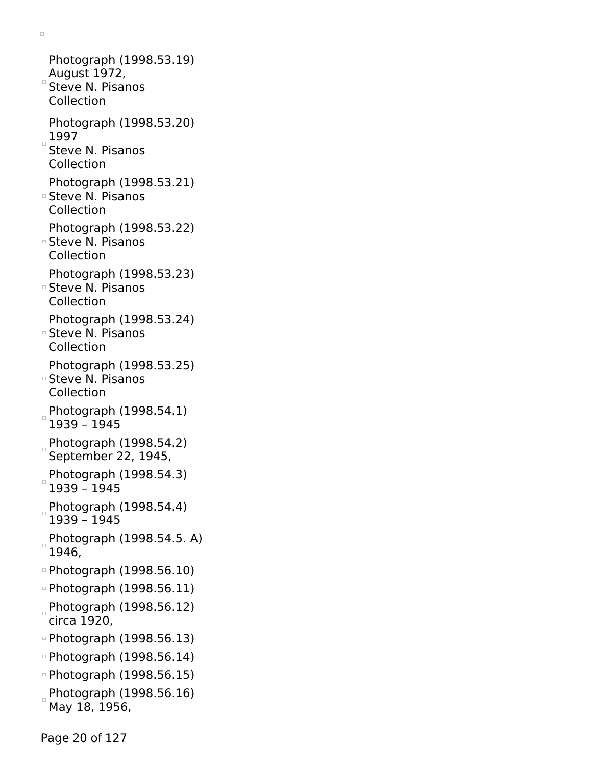Photograph (1998.53.19) August 1972, Steve N. Pisanos Collection Photograph (1998.53.20)  $1997$ Steve N. Pisanos Collection Photograph (1998.53.21) Steve N. Pisanos Collection Photograph (1998.53.22) Steve N. Pisanos Collection Photograph (1998.53.23) Steve N. Pisanos Collection Photograph (1998.53.24) Steve N. Pisanos Collection Photograph (1998.53.25) Steve N. Pisanos Collection Photograph (1998.54.1) 1939 – 1945 Photograph (1998.54.2) September 22, 1945, Photograph (1998.54.3) 1939 – 1945 Photograph (1998.54.4) 1939 – 1945 Photograph (1998.54.5. A) 1946, Photograph (1998.56.10) Photograph (1998.56.11) Photograph (1998.56.12) circa 1920, Photograph (1998.56.13) Photograph (1998.56.14) Photograph (1998.56.15)  $P$ hotograph (1998.56.16) May 18, 1956,

 $\Box$ 

Page 20 of 127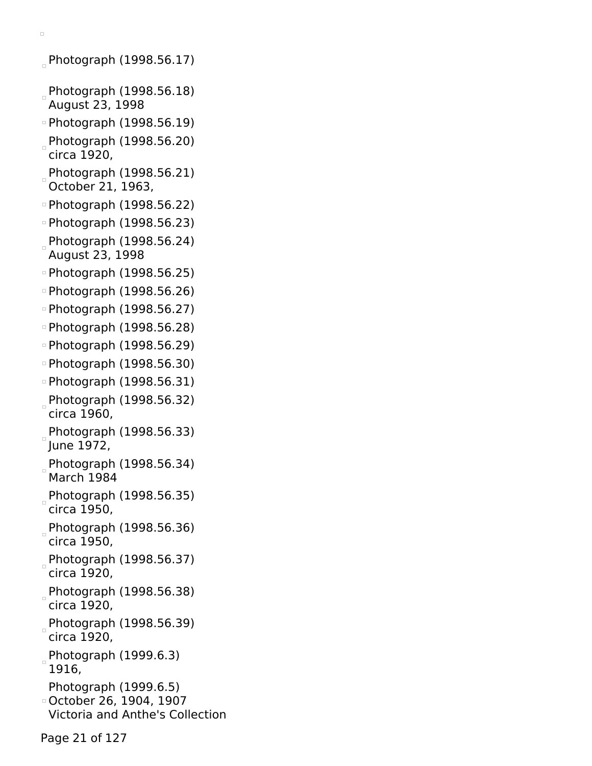Photograph  $(1998.56.17)$ 

- $P$ hotograph (1998.56.18) August 23, 1998
- Photograph (1998.56.19)
- Photograph (1998.56.20) circa 1920,
- $P$ hotograph (1998.56.21) October 21, 1963,
- Photograph (1998.56.22)
- Photograph (1998.56.23)
- Photograph (1998.56.24) August 23, 1998
- Photograph (1998.56.25)
- Photograph (1998.56.26)
- Photograph (1998.56.27)
- Photograph (1998.56.28)
- Photograph (1998.56.29)
- Photograph (1998.56.30)
- Photograph (1998.56.31)
- Photograph (1998.56.32) circa 1960,
- Photograph (1998.56.33) June 1972,
- Photograph (1998.56.34) March 1984
- Photograph (1998.56.35) circa 1950,
- Photograph (1998.56.36) circa 1950,
- Photograph (1998.56.37) circa 1920,
- Photograph (1998.56.38) circa 1920,
- Photograph (1998.56.39) circa 1920,
- Photograph (1999.6.3) 1916,
- Photograph (1999.6.5)
- October 26, 1904, 1907
- Victoria and Anthe's Collection
- Page 21 of 127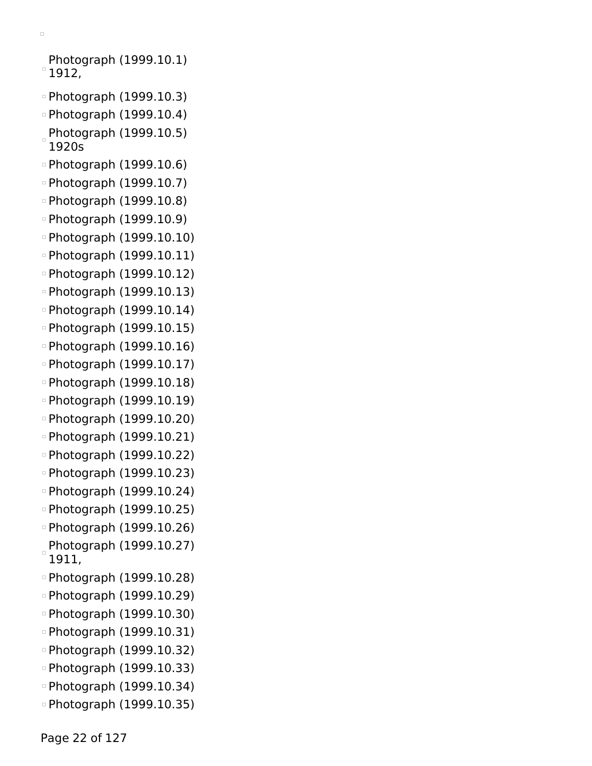```
\Box
```
Photograph (1999.10.1)  $^{\circ}$  1912,

- Photograph (1999.10.3)
- Photograph (1999.10.4)
- $P$ hotograph (1999.10.5) 1920s
- Photograph (1999.10.6)
- Photograph (1999.10.7)
- Photograph (1999.10.8)
- Photograph (1999.10.9)
- Photograph (1999.10.10)
- Photograph (1999.10.11)
- Photograph (1999.10.12)
- Photograph (1999.10.13)
- Photograph (1999.10.14)
- Photograph (1999.10.15)
- Photograph (1999.10.16)
- Photograph (1999.10.17)
- Photograph (1999.10.18)
- Photograph (1999.10.19)
- Photograph (1999.10.20)
- Photograph (1999.10.21)
- Photograph (1999.10.22)
- Photograph (1999.10.23)
- Photograph (1999.10.24)
- Photograph (1999.10.25)
- Photograph (1999.10.26)  $P$ hotograph (1999.10.27)
- 1911,
- Photograph (1999.10.28)
- Photograph (1999.10.29)
- Photograph (1999.10.30)
- Photograph (1999.10.31)
- Photograph (1999.10.32)
- Photograph (1999.10.33)
- Photograph (1999.10.34)
- Photograph (1999.10.35)

Page 22 of 127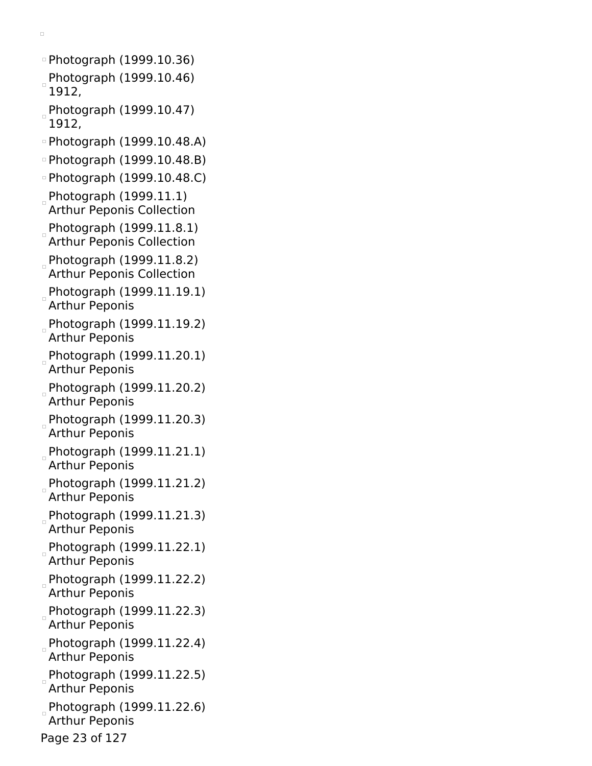Photograph (1999.10.36) Photograph (1999.10.46) 1912, Photograph (1999.10.47) 1912, Photograph (1999.10.48.A) Photograph (1999.10.48.B) Photograph (1999.10.48.C) Photograph (1999.11.1) Arthur Peponis Collection Photograph (1999.11.8.1) Arthur Peponis Collection Photograph (1999.11.8.2) Arthur Peponis Collection Photograph (1999.11.19.1) Arthur Peponis Photograph  $(1999.11.19.2)$ Arthur Peponis Photograph (1999.11.20.1) Arthur Peponis Photograph  $(1999.11.20.2)$ Arthur Peponis Photograph (1999.11.20.3) Arthur Peponis Photograph (1999.11.21.1) Arthur Peponis Photograph (1999.11.21.2) Arthur Peponis Photograph (1999.11.21.3) Arthur Peponis Photograph (1999.11.22.1) Arthur Peponis Photograph  $(1999.11.22.2)$ Arthur Peponis Photograph (1999.11.22.3) Arthur Peponis Photograph (1999.11.22.4) Arthur Peponis Photograph (1999.11.22.5) Arthur Peponis Photograph (1999.11.22.6) Arthur Peponis Page 23 of 127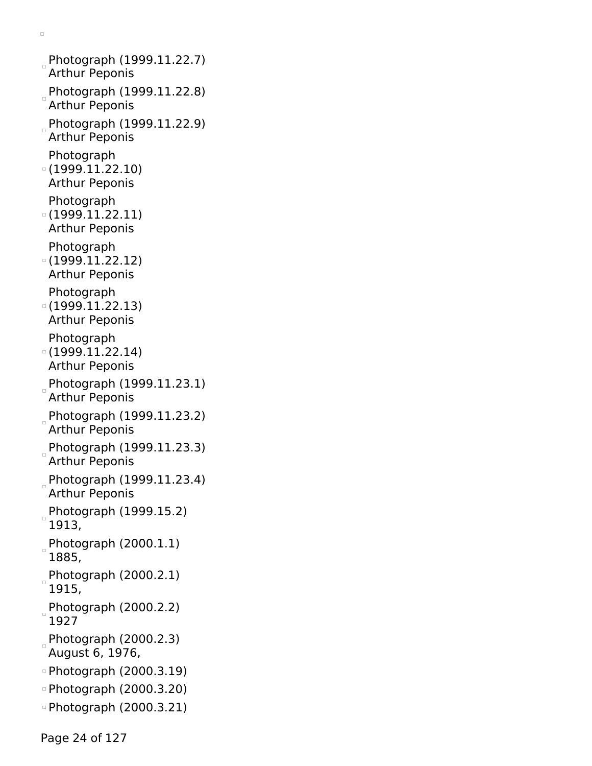Photograph (1999.11.22.7) Arthur Peponis Photograph (1999.11.22.8) Arthur Peponis Photograph (1999.11.22.9) Arthur Peponis Photograph (1999.11.22.10) Arthur Peponis Photograph (1999.11.22.11) Arthur Peponis Photograph (1999.11.22.12) Arthur Peponis Photograph (1999.11.22.13) Arthur Peponis Photograph (1999.11.22.14) Arthur Peponis Photograph (1999.11.23.1) Arthur Peponis Photograph  $(1999.11.23.2)$ Arthur Peponis Photograph (1999.11.23.3) Arthur Peponis Photograph (1999.11.23.4) Arthur Peponis Photograph (1999.15.2) 1913, Photograph (2000.1.1) 1885, Photograph (2000.2.1) 1915, Photograph (2000.2.2) 1927  $P$ hotograph (2000.2.3) August 6, 1976, Photograph (2000.3.19) Photograph (2000.3.20) Photograph (2000.3.21)

 $\Box$ 

Page 24 of 127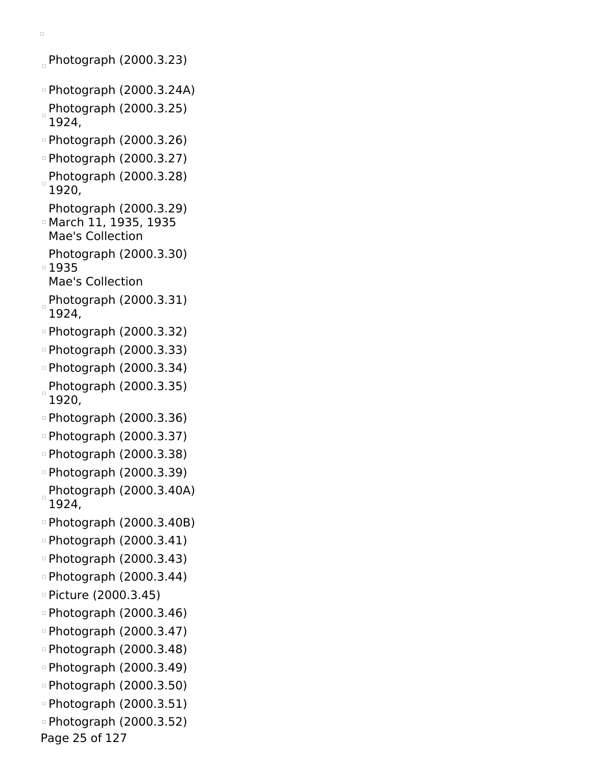$Photography (2000.3.23)$ Photograph (2000.3.24A) Photograph (2000.3.25) 1924, Photograph (2000.3.26) Photograph (2000.3.27) Photograph (2000.3.28) 1920, Photograph (2000.3.29) March 11, 1935, 1935 Mae's Collection Photograph (2000.3.30) 1935 Mae's Collection Photograph (2000.3.31) 1924, Photograph (2000.3.32) Photograph (2000.3.33) Photograph (2000.3.34)  $P$ hotograph (2000.3.35) 1920, Photograph (2000.3.36) Photograph (2000.3.37) Photograph (2000.3.38) Photograph (2000.3.39)  $P$ hotograph (2000.3.40A) 1924, Photograph (2000.3.40B) Photograph (2000.3.41) Photograph (2000.3.43) Photograph (2000.3.44) Picture (2000.3.45) Photograph (2000.3.46) Photograph (2000.3.47) Photograph (2000.3.48) Photograph (2000.3.49) Photograph (2000.3.50) Photograph (2000.3.51) Photograph (2000.3.52) Page 25 of 127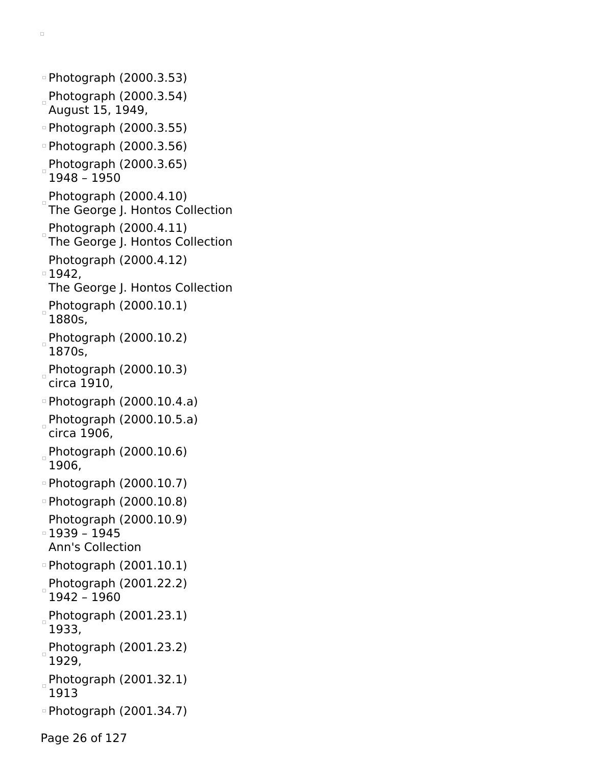Photograph (2000.3.53) Photograph (2000.3.54) August 15, 1949, Photograph (2000.3.55) Photograph (2000.3.56) Photograph (2000.3.65) 1948 – 1950 Photograph (2000.4.10) The George J. Hontos Collection Photograph (2000.4.11) The George J. Hontos Collection Photograph (2000.4.12) 1942, The George J. Hontos Collection Photograph (2000.10.1) 1880s, Photograph (2000.10.2) 1870s, Photograph (2000.10.3) circa 1910, Photograph (2000.10.4.a) Photograph (2000.10.5.a) circa 1906, Photograph (2000.10.6) 1906, Photograph (2000.10.7) Photograph (2000.10.8) Photograph (2000.10.9) 1939 – 1945 Ann's Collection Photograph (2001.10.1) Photograph (2001.22.2) 1942 – 1960 Photograph (2001.23.1) 1933, Photograph (2001.23.2) 1929,  $P$ hotograph (2001.32.1) 1913 Photograph (2001.34.7) Page 26 of 127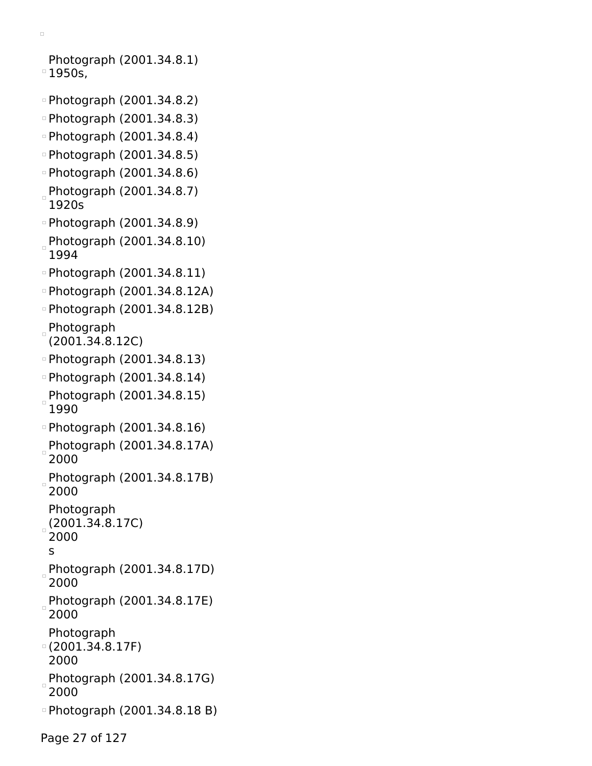```
\Box
```
Photograph (2001.34.8.1) <sup>o</sup> 1950s,

- Photograph (2001.34.8.2)
- Photograph (2001.34.8.3)
- Photograph (2001.34.8.4)
- Photograph (2001.34.8.5)
- Photograph (2001.34.8.6)
- Photograph (2001.34.8.7) 1920s
- Photograph (2001.34.8.9)
- Photograph (2001.34.8.10) 1994
- Photograph (2001.34.8.11)
- Photograph (2001.34.8.12A)
- Photograph (2001.34.8.12B)
- Photograph
- (2001.34.8.12C)
- Photograph (2001.34.8.13)
- Photograph (2001.34.8.14)
- Photograph (2001.34.8.15) 1990
- Photograph (2001.34.8.16)
- Photograph (2001.34.8.17A) 2000
- Photograph (2001.34.8.17B) 2000
- Photograph
- (2001.34.8.17C)
- 2000
- s
- Photograph (2001.34.8.17D) 2000
- Photograph (2001.34.8.17E) 2000
- Photograph
- (2001.34.8.17F)
- 2000
- Photograph (2001.34.8.17G) 2000
- Photograph (2001.34.8.18 B)

Page 27 of 127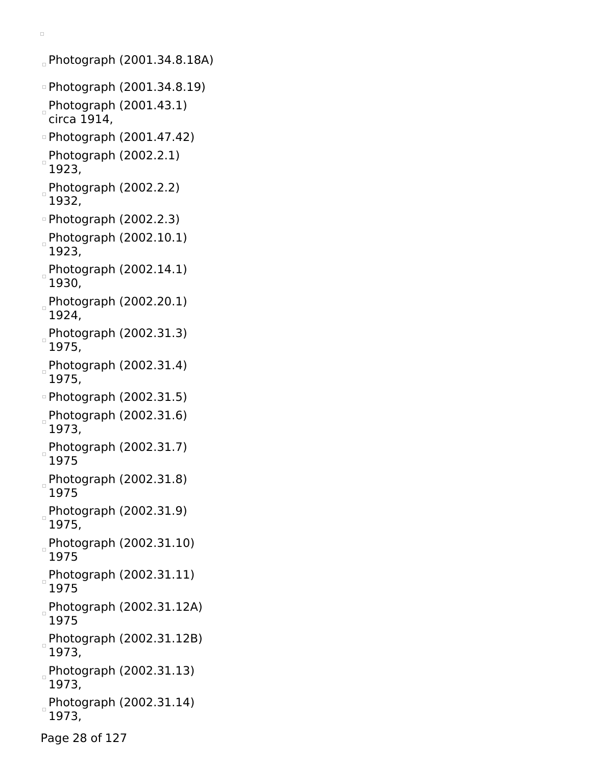Photograph (2001.34.8.18A) Photograph (2001.34.8.19) Photograph (2001.43.1) circa 1914, Photograph (2001.47.42) Photograph (2002.2.1)  $\Box$ 1923, Photograph (2002.2.2) 1932, Photograph (2002.2.3) Photograph (2002.10.1)  $\Box$ 1923, Photograph (2002.14.1) 1930, Photograph (2002.20.1) 1924, Photograph (2002.31.3) 1975, Photograph (2002.31.4) 1975, Photograph (2002.31.5) Photograph (2002.31.6) 1973, Photograph (2002.31.7) 1975 Photograph (2002.31.8) 1975 Photograph (2002.31.9) 1975, Photograph (2002.31.10) 1975 Photograph (2002.31.11) 1975 Photograph (2002.31.12A)  $\Box$ 1975 Photograph (2002.31.12B) 1973, Photograph (2002.31.13) 1973, Photograph (2002.31.14) 1973,

 $\Box$ 

Page 28 of 127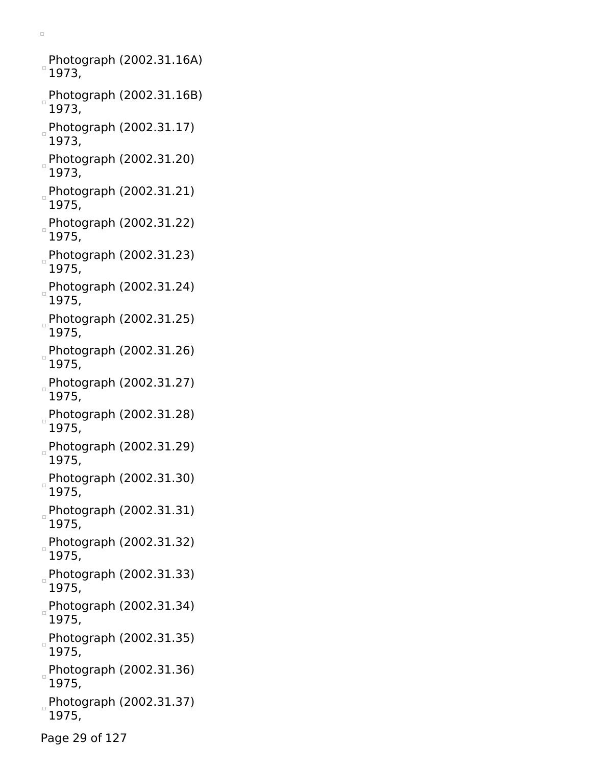Photograph (2002.31.16A)  $^{\circ}$  1973,

- Photograph (2002.31.16B) 1973,
- Photograph (2002.31.17) 1973,
- Photograph (2002.31.20) 1973,
- Photograph (2002.31.21) 1975,
- Photograph (2002.31.22) 1975,
- Photograph (2002.31.23) 1975,
- Photograph (2002.31.24) 1975,
- Photograph (2002.31.25) 1975,
- Photograph (2002.31.26) 1975,
- Photograph (2002.31.27) 1975,
- Photograph (2002.31.28) 1975,
- Photograph (2002.31.29) 1975,
- Photograph (2002.31.30) 1975,
- Photograph (2002.31.31) 1975,
- Photograph (2002.31.32) 1975,
- Photograph (2002.31.33) 1975,
- Photograph (2002.31.34) 1975,
- Photograph (2002.31.35) 1975,
- Photograph (2002.31.36)  $\frac{1}{2}$ 1975,
- Photograph (2002.31.37) 1975,
- Page 29 of 127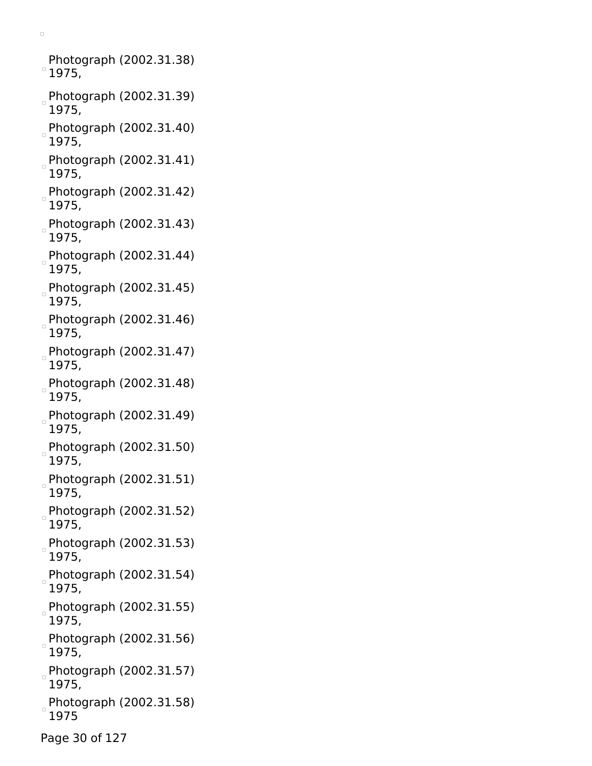Photograph (2002.31.38)  $^{\circ}$  1975,

- Photograph (2002.31.39) 1975,
- Photograph (2002.31.40) 1975,
- Photograph (2002.31.41) 1975,
- Photograph (2002.31.42) 1975,
- Photograph (2002.31.43) 1975,
- Photograph (2002.31.44) 1975,
- Photograph (2002.31.45) 1975,
- Photograph (2002.31.46) 1975,
- Photograph (2002.31.47) 1975,
- Photograph (2002.31.48) 1975,
- Photograph  $(2002.31.49)$ 1975,
- Photograph (2002.31.50) 1975,
- Photograph (2002.31.51) 1975,
- Photograph (2002.31.52) 1975,
- Photograph (2002.31.53) 1975,
- Photograph (2002.31.54)  $\begin{array}{c} \square \end{array}$ 1975,
- Photograph (2002.31.55) 1975,
- Photograph (2002.31.56) 1975,
- Photograph (2002.31.57) 1975,
- Photograph (2002.31.58) 1975
- Page 30 of 127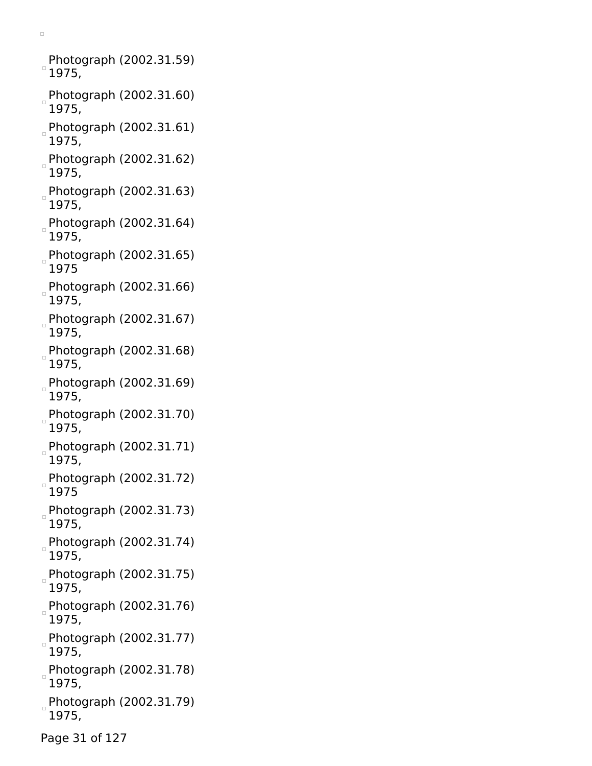Photograph (2002.31.59)  $^{\circ}$  1975,

- Photograph (2002.31.60) 1975,
- Photograph (2002.31.61) 1975,
- Photograph (2002.31.62) 1975,
- Photograph (2002.31.63) 1975,
- Photograph (2002.31.64) 1975,
- Photograph (2002.31.65) 1975
- Photograph (2002.31.66) 1975,
- Photograph (2002.31.67) 1975,
- Photograph (2002.31.68) 1975,
- Photograph (2002.31.69) 1975,
- Photograph (2002.31.70) 1975,
- Photograph (2002.31.71) 1975,
- Photograph (2002.31.72) 1975
- Photograph (2002.31.73) 1975,
- Photograph (2002.31.74) 1975,
- Photograph (2002.31.75) 1975,
- Photograph (2002.31.76) 1975,
- Photograph (2002.31.77) 1975,
- Photograph (2002.31.78) h 1975,
- Photograph (2002.31.79) 1975,
- Page 31 of 127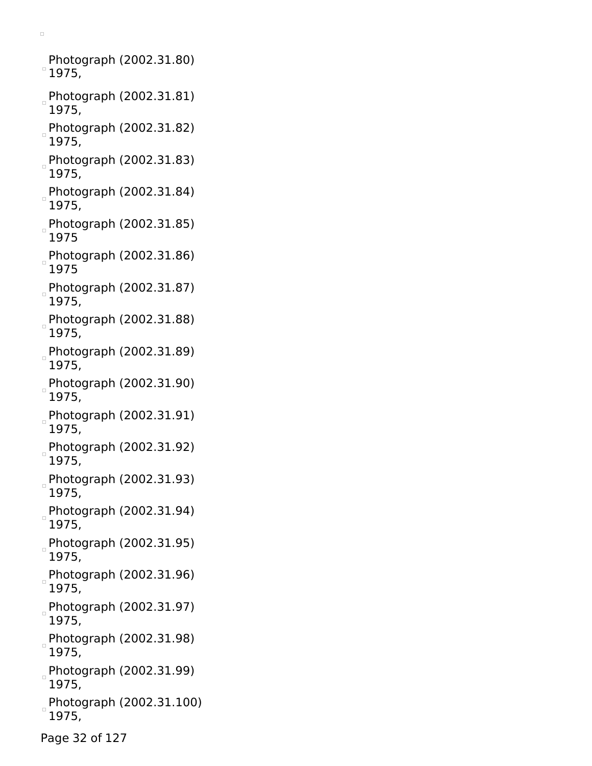Photograph (2002.31.80)  $^{\circ}$  1975,

- Photograph (2002.31.81) 1975,
- Photograph (2002.31.82) 1975,
- Photograph (2002.31.83) 1975,
- Photograph (2002.31.84) 1975,
- Photograph (2002.31.85) 1975
- $P$ hotograph (2002.31.86) 1975
- Photograph (2002.31.87) 1975,
- Photograph (2002.31.88) 1975,
- Photograph (2002.31.89) 1975,
- Photograph (2002.31.90) 1975,
- Photograph (2002.31.91) 1975,
- Photograph (2002.31.92) 1975,
- Photograph (2002.31.93) 1975,
- Photograph (2002.31.94) 1975,
- Photograph (2002.31.95) 1975,
- Photograph (2002.31.96)  $\begin{array}{c} \square \end{array}$ 1975,
- Photograph (2002.31.97) 1975,
- Photograph (2002.31.98) 1975,
- Photograph (2002.31.99) 1975,
- Photograph (2002.31.100) 1975,
- Page 32 of 127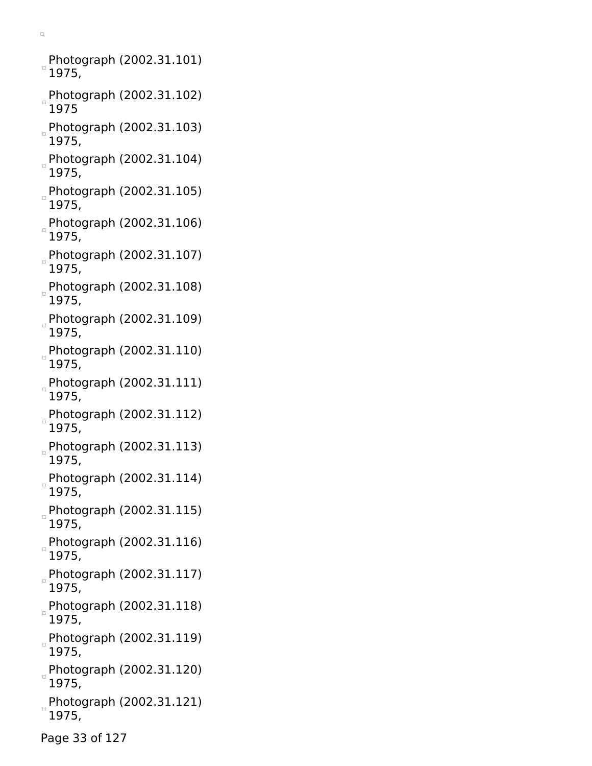Photograph (2002.31.101)  $\degree$ 1975,

- Photograph (2002.31.102) 1975
- Photograph (2002.31.103) 1975,
- Photograph (2002.31.104) 1975,
- Photograph (2002.31.105) 1975,
- Photograph (2002.31.106) 1975,
- Photograph (2002.31.107) 1975,
- Photograph (2002.31.108) 1975,
- Photograph (2002.31.109) 1975,
- Photograph (2002.31.110) 1975,
- Photograph (2002.31.111) 1975,
- Photograph (2002.31.112) 1975,
- Photograph (2002.31.113) 1975,
- Photograph (2002.31.114) 1975,
- Photograph (2002.31.115) 1975,
- Photograph (2002.31.116) 1975,
- Photograph (2002.31.117) 1975,
- Photograph (2002.31.118) 1975,
- Photograph (2002.31.119) 1975,
- Photograph (2002.31.120)  $\frac{1}{2}$ 1975,
- Photograph (2002.31.121) 1975,
- Page 33 of 127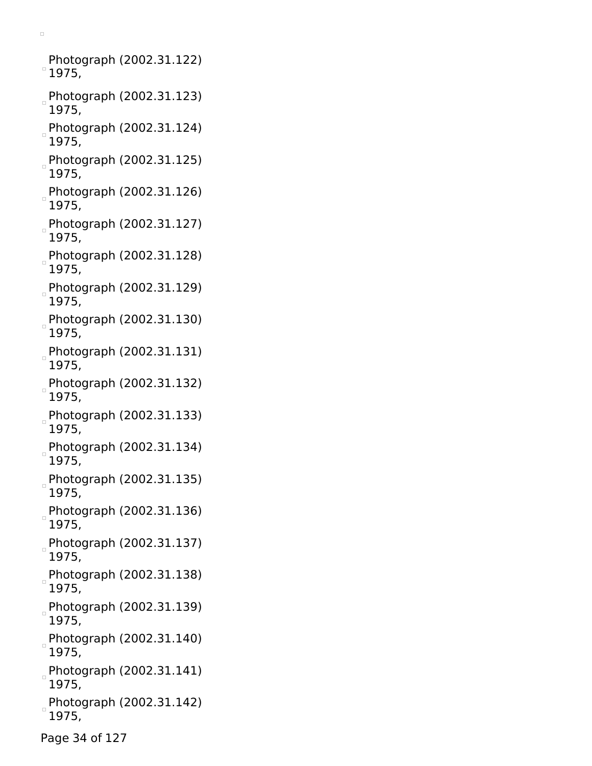Photograph (2002.31.122)  $^{\circ}$  1975,

- Photograph (2002.31.123) 1975,
- Photograph (2002.31.124) 1975,
- Photograph (2002.31.125) 1975,
- Photograph (2002.31.126) 1975,
- Photograph (2002.31.127) 1975,
- Photograph (2002.31.128) 1975,
- Photograph (2002.31.129) 1975,
- Photograph (2002.31.130) 1975,
- Photograph (2002.31.131) 1975,
- Photograph (2002.31.132) 1975,
- Photograph (2002.31.133) 1975,
- Photograph (2002.31.134) 1975,
- Photograph (2002.31.135) 1975,
- Photograph (2002.31.136) 1975,
- Photograph (2002.31.137) 1975,
- Photograph (2002.31.138)  $\begin{array}{c} \square \end{array}$ 1975,
- Photograph (2002.31.139)  $\Box$ 1975,
- Photograph (2002.31.140) 1975,
- Photograph (2002.31.141) 1975,
- Photograph (2002.31.142) 1975,
- Page 34 of 127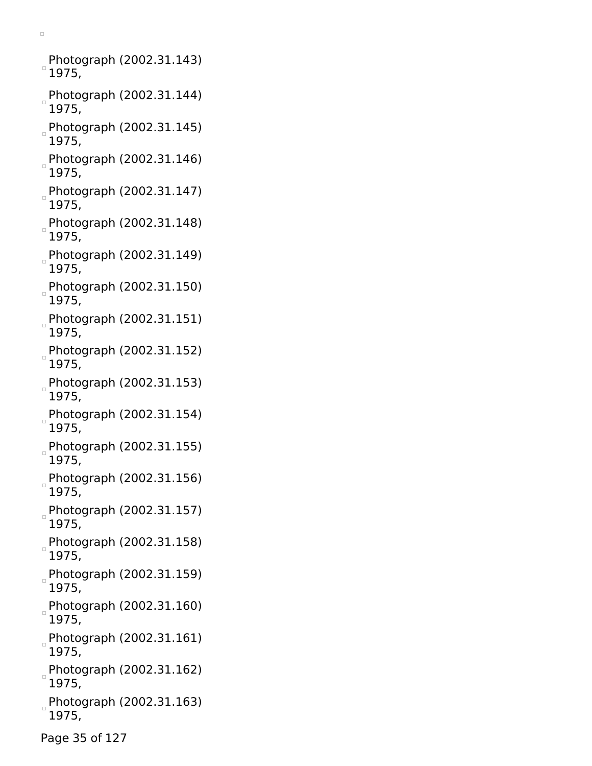Photograph (2002.31.143)  $\degree$ 1975,

- Photograph (2002.31.144) 1975,
- Photograph (2002.31.145) 1975,
- Photograph (2002.31.146) 1975,
- Photograph (2002.31.147) 1975,
- Photograph (2002.31.148) 1975,
- Photograph (2002.31.149) 1975,
- Photograph (2002.31.150) 1975,
- Photograph (2002.31.151) 1975,
- Photograph (2002.31.152) 1975,
- Photograph (2002.31.153) 1975,
- Photograph (2002.31.154) 1975,
- Photograph (2002.31.155) 1975,
- Photograph (2002.31.156) 1975,
- Photograph (2002.31.157) 1975,
- Photograph (2002.31.158) 1975,
- Photograph (2002.31.159) 1975,
- Photograph (2002.31.160) 1975,
- Photograph (2002.31.161) 1975,
- Photograph (2002.31.162) 1975,
- Photograph (2002.31.163) 1975,
- Page 35 of 127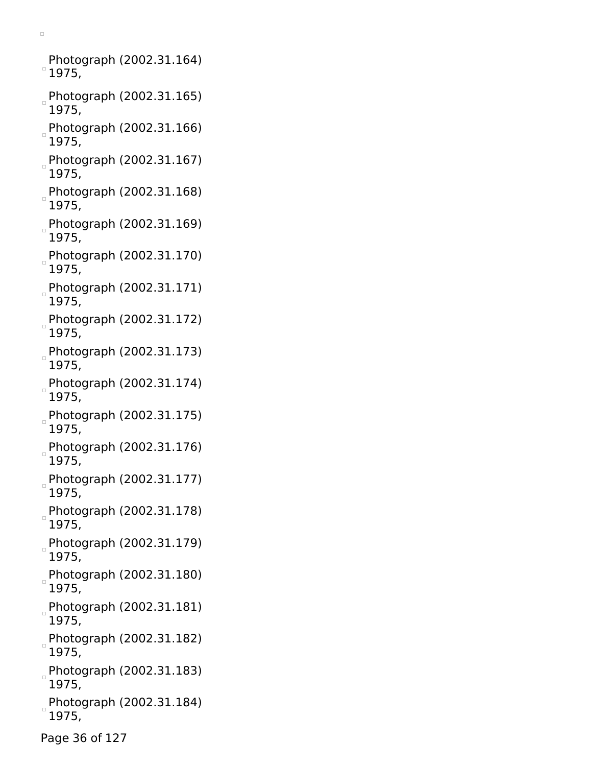Photograph (2002.31.164)  $^{\circ}$  1975,

- Photograph (2002.31.165) 1975,
- Photograph (2002.31.166) 1975,
- Photograph (2002.31.167) 1975,
- Photograph (2002.31.168) 1975,
- Photograph (2002.31.169) 1975,
- Photograph (2002.31.170) 1975,
- Photograph (2002.31.171) 1975,
- Photograph (2002.31.172) 1975,
- Photograph (2002.31.173) 1975,
- Photograph (2002.31.174) 1975,
- Photograph (2002.31.175) 1975,
- Photograph (2002.31.176) 1975,
- Photograph (2002.31.177) 1975,
- Photograph (2002.31.178) 1975,
- Photograph (2002.31.179) 1975,
- Photograph (2002.31.180)  $\Box$ 1975,
- Photograph (2002.31.181)  $\Box$ 1975,
- Photograph (2002.31.182) 1975,
- Photograph (2002.31.183) 1975,
- Photograph (2002.31.184) 1975,
- Page 36 of 127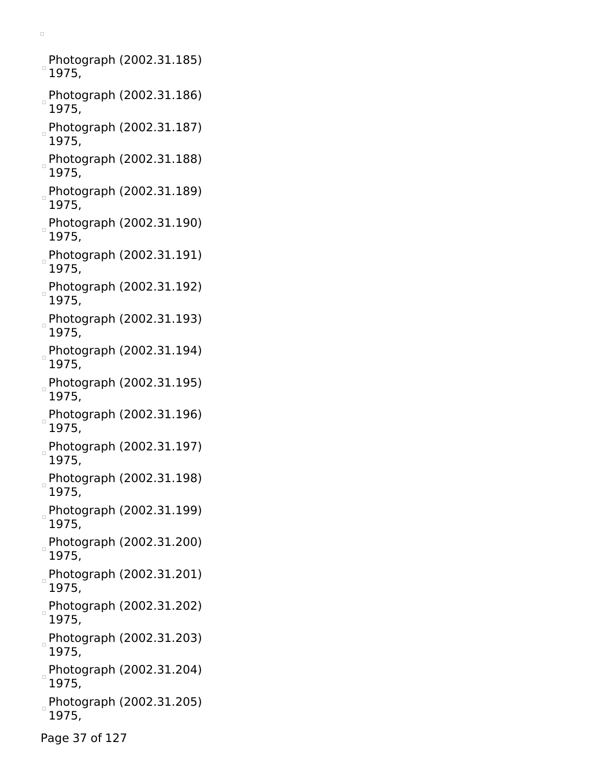Photograph (2002.31.185)  $\degree$ 1975,

- Photograph (2002.31.186) 1975,
- Photograph (2002.31.187) 1975,
- Photograph (2002.31.188) 1975,
- Photograph (2002.31.189) 1975,
- Photograph (2002.31.190) 1975,
- Photograph (2002.31.191) 1975,
- Photograph (2002.31.192) 1975,
- Photograph (2002.31.193) 1975,
- Photograph (2002.31.194) 1975,
- Photograph (2002.31.195) 1975,
- Photograph (2002.31.196) 1975,
- Photograph (2002.31.197) 1975,
- Photograph (2002.31.198) 1975,
- Photograph (2002.31.199) 1975,
- Photograph (2002.31.200) 1975,
- Photograph (2002.31.201) 1975,
- Photograph (2002.31.202) 1975,
- Photograph (2002.31.203) 1975,
- Photograph (2002.31.204) 1975,
- Photograph (2002.31.205) 1975,
- Page 37 of 127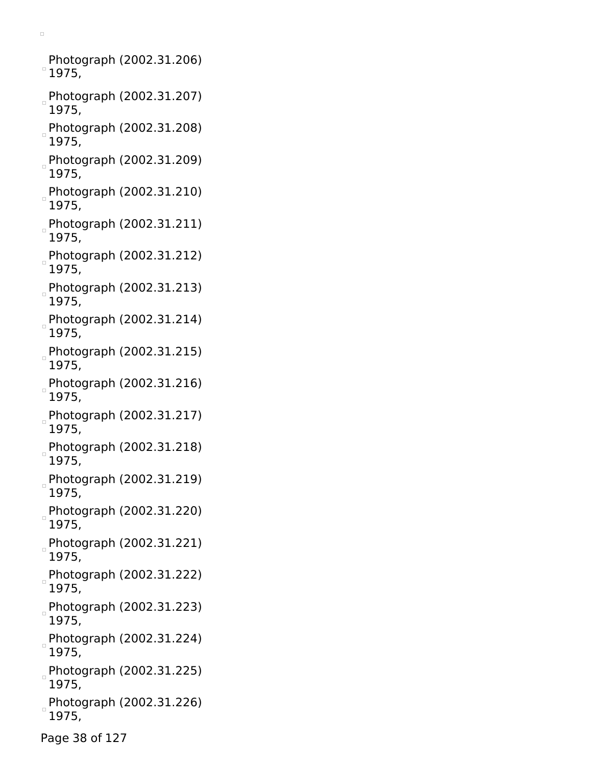Photograph (2002.31.206)  $^{\circ}$  1975,

- Photograph (2002.31.207) 1975,
- Photograph (2002.31.208) 1975,
- Photograph (2002.31.209) 1975,
- Photograph (2002.31.210) 1975,
- Photograph (2002.31.211) 1975,
- Photograph (2002.31.212) 1975,
- Photograph (2002.31.213) 1975,
- Photograph (2002.31.214) 1975,
- Photograph (2002.31.215) 1975,
- Photograph (2002.31.216) 1975,
- Photograph (2002.31.217) 1975,
- Photograph (2002.31.218) 1975,
- Photograph (2002.31.219) 1975,
- Photograph (2002.31.220) 1975,
- Photograph (2002.31.221) 1975,
- Photograph (2002.31.222)  $\begin{array}{c} \square \end{array}$ 1975,
- Photograph (2002.31.223) 1975,
- Photograph (2002.31.224) 1975,
- Photograph (2002.31.225) 1975,
- Photograph (2002.31.226) 1975,
- Page 38 of 127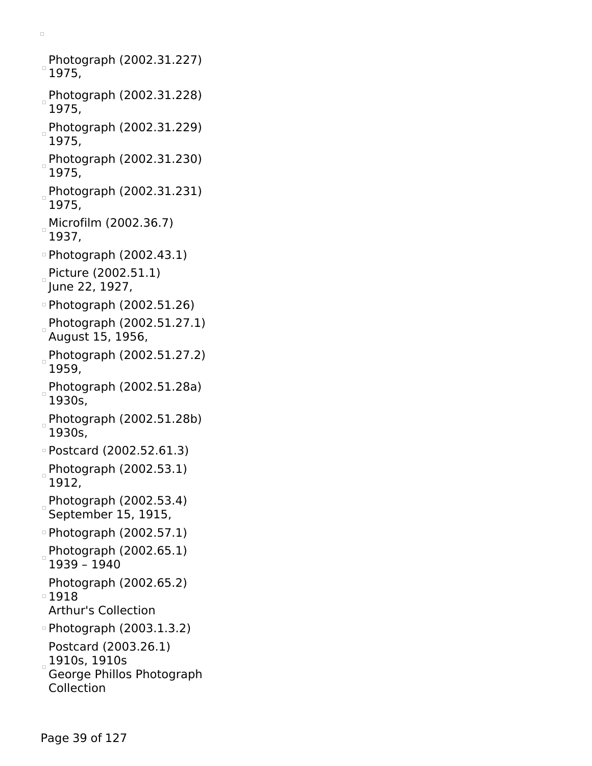Photograph (2002.31.227)  $^{\circ}$  1975, Photograph (2002.31.228) 1975, Photograph (2002.31.229) 1975, Photograph (2002.31.230) 1975, Photograph (2002.31.231) 1975, Microfilm (2002.36.7) 1937, Photograph (2002.43.1) Picture (2002.51.1) June 22, 1927, Photograph (2002.51.26) Photograph (2002.51.27.1) August 15, 1956, Photograph (2002.51.27.2) 1959, Photograph (2002.51.28a) 1930s, Photograph (2002.51.28b) 1930s, Postcard (2002.52.61.3) Photograph (2002.53.1) 1912, Photograph (2002.53.4) September 15, 1915, Photograph (2002.57.1) Photograph (2002.65.1) 1939 – 1940 Photograph (2002.65.2) 1918 Arthur's Collection Photograph (2003.1.3.2) Postcard (2003.26.1) 1910s, 1910s George Phillos Photograph Collection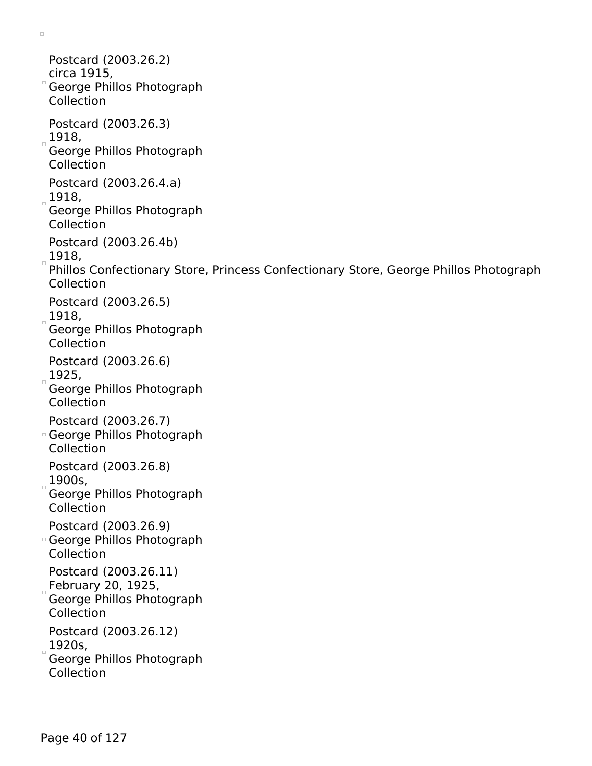Postcard (2003.26.2) circa 1915, George Phillos Photograph Collection Postcard (2003.26.3)  $1918,$ George Phillos Photograph Collection Postcard (2003.26.4.a)  $1918,$ George Phillos Photograph Collection Postcard (2003.26.4b) 1918, Phillos Confectionary Store, Princess Confectionary Store, George Phillos Photograph Collection Postcard (2003.26.5)  $1918,$ George Phillos Photograph Collection Postcard (2003.26.6)  $1925,$ George Phillos Photograph Collection Postcard (2003.26.7) George Phillos Photograph Collection Postcard (2003.26.8)  $1900s,$ George Phillos Photograph Collection Postcard (2003.26.9) George Phillos Photograph Collection Postcard (2003.26.11)  $_{\circ}$ February 20, 1925, George Phillos Photograph Collection Postcard (2003.26.12)  $1920s,$ George Phillos Photograph Collection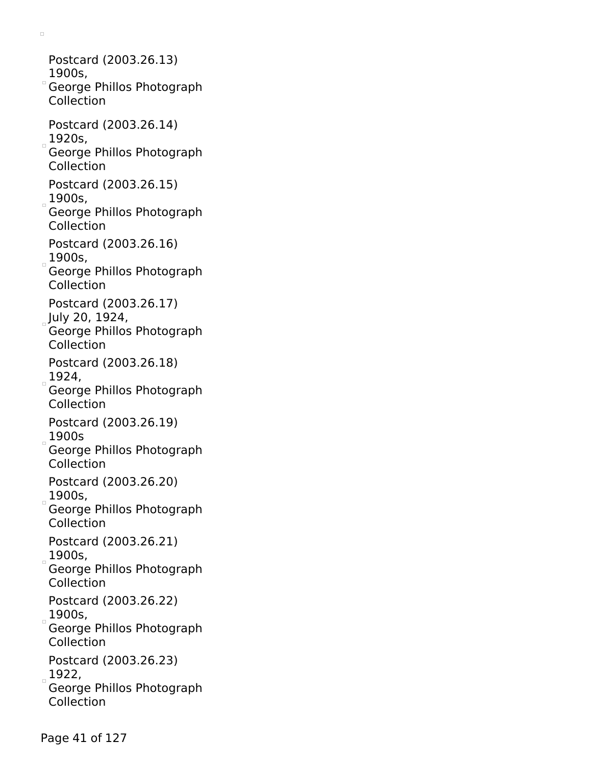$\Box$ Postcard (2003.26.13) 1900s, George Phillos Photograph Collection Postcard (2003.26.14)  $1920s,$ George Phillos Photograph Collection Postcard (2003.26.15)  $1900s,$ George Phillos Photograph Collection Postcard (2003.26.16)  $1900s,$ 

George Phillos Photograph Collection

Postcard (2003.26.17)

July 20, 1924,

George Phillos Photograph Collection

Postcard (2003.26.18)

 $1924,$ 

George Phillos Photograph Collection

Postcard (2003.26.19)  $1900s$ 

George Phillos Photograph Collection

Postcard (2003.26.20)  $1900s,$ 

George Phillos Photograph Collection

Postcard (2003.26.21)  $1900s,$ 

George Phillos Photograph Collection

Postcard (2003.26.22)  $1900s,$ 

George Phillos Photograph Collection

Postcard (2003.26.23)  $1922,$ 

George Phillos Photograph Collection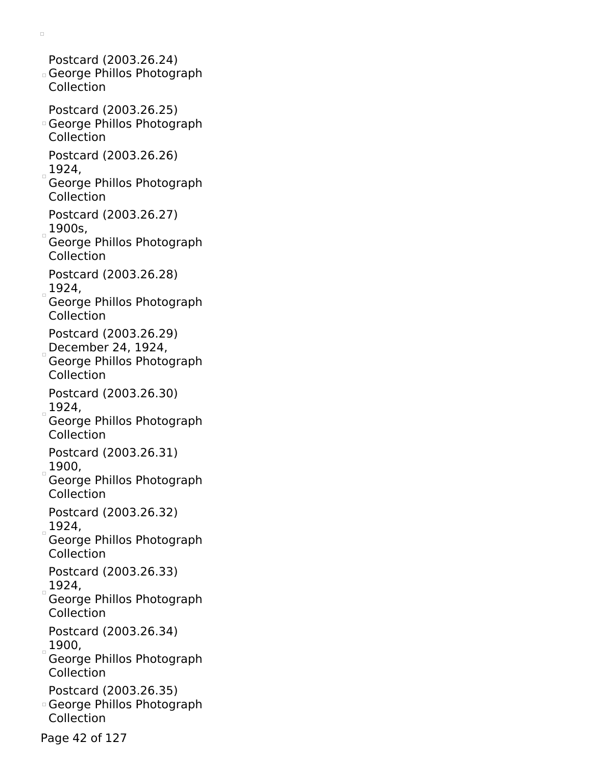Postcard (2003.26.24) George Phillos Photograph Collection Postcard (2003.26.25) George Phillos Photograph Collection Postcard (2003.26.26)  $1924,$ George Phillos Photograph Collection Postcard (2003.26.27)  $1900s,$ George Phillos Photograph Collection Postcard (2003.26.28)  $1924,$ George Phillos Photograph Collection Postcard (2003.26.29) December 24, 1924, George Phillos Photograph Collection Postcard (2003.26.30)  $1924,$ George Phillos Photograph Collection Postcard (2003.26.31)  $1900,$ George Phillos Photograph Collection Postcard (2003.26.32)  $1924,$ George Phillos Photograph Collection Postcard (2003.26.33)  $1924,$ George Phillos Photograph Collection Postcard (2003.26.34)  $1900,$ George Phillos Photograph Collection Postcard (2003.26.35) George Phillos Photograph Collection

 $\Box$ 

Page 42 of 127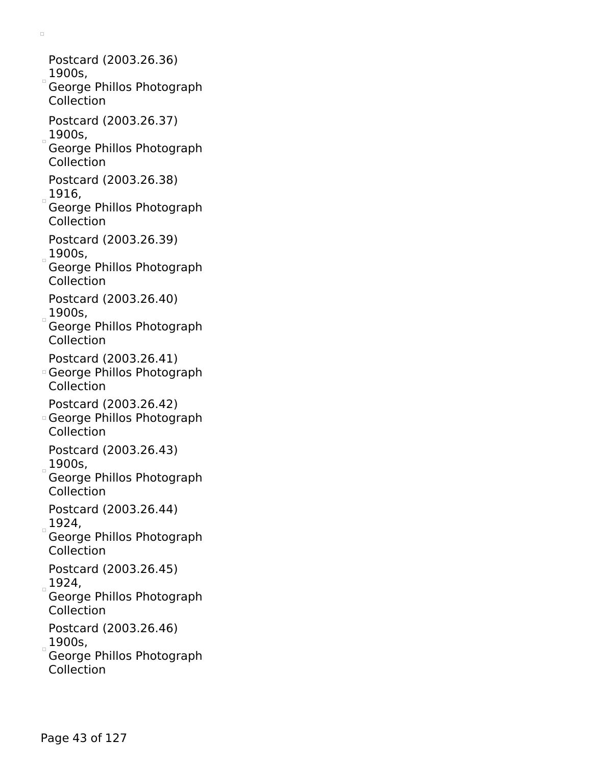- $\Box$ 
	- Postcard (2003.26.36) 1900s,
- George Phillos Photograph Collection
- Postcard (2003.26.37)  $1900s,$
- George Phillos Photograph Collection
- Postcard (2003.26.38)
- $1916,$
- George Phillos Photograph Collection
- Postcard (2003.26.39)  $1900s,$
- George Phillos Photograph Collection
- Postcard (2003.26.40)  $1900s,$
- George Phillos Photograph Collection
- Postcard (2003.26.41)
- George Phillos Photograph Collection
- Postcard (2003.26.42)
- George Phillos Photograph Collection
- Postcard (2003.26.43)  $1900s,$
- George Phillos Photograph Collection
- Postcard (2003.26.44)  $1924,$
- George Phillos Photograph Collection
- Postcard (2003.26.45)  $1924,$
- George Phillos Photograph Collection
- Postcard (2003.26.46)  $1900s,$
- George Phillos Photograph Collection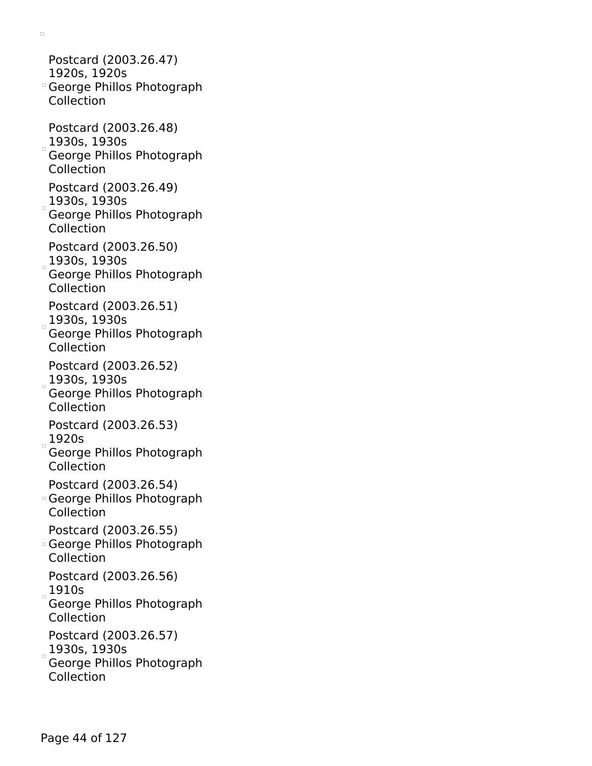$\Box$ Postcard (2003.26.47)

- 1920s, 1920s George Phillos Photograph
- Collection
- Postcard (2003.26.48) 1930s, 1930s George Phillos Photograph Collection
- Postcard (2003.26.49)
- $1930s, 1930s$
- George Phillos Photograph Collection
- Postcard (2003.26.50)  $1930s, 1930s$
- George Phillos Photograph Collection
- Postcard (2003.26.51)
- $1930s, 1930s$ George Phillos Photograph Collection
- Postcard (2003.26.52)  $_{\circ}$ 1930s, 1930s
- George Phillos Photograph Collection
- Postcard (2003.26.53)  $1920s$
- George Phillos Photograph Collection
- Postcard (2003.26.54)
- George Phillos Photograph Collection
- Postcard (2003.26.55)
- George Phillos Photograph Collection
- Postcard (2003.26.56)  $1910s$
- George Phillos Photograph Collection
- Postcard (2003.26.57)
- $1930s, 1930s$
- George Phillos Photograph Collection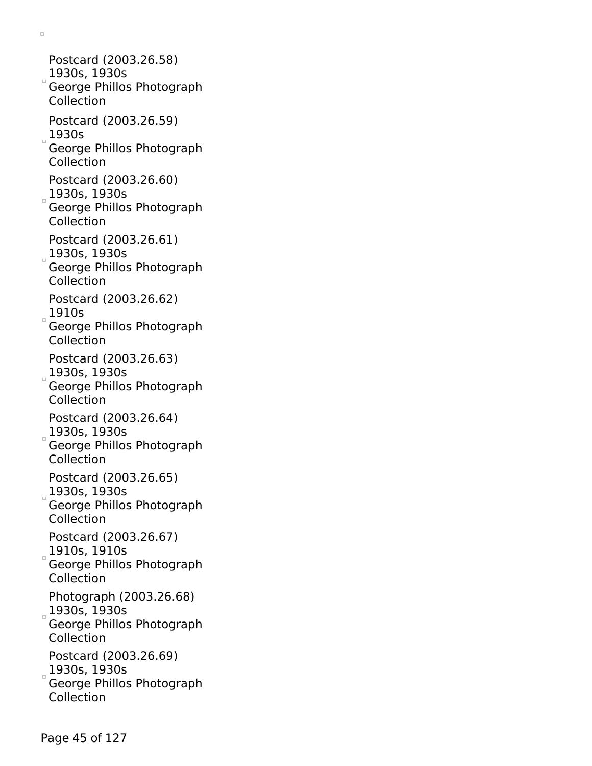Postcard (2003.26.58) 1930s, 1930s George Phillos Photograph Collection Postcard (2003.26.59)  $1930s$ George Phillos Photograph Collection Postcard (2003.26.60)  $1930s$ , 1930s George Phillos Photograph Collection Postcard (2003.26.61)  $3930s, 1930s$ George Phillos Photograph Collection Postcard (2003.26.62)  $1910s$ George Phillos Photograph Collection Postcard (2003.26.63)  $1930s, 1930s$ George Phillos Photograph Collection Postcard (2003.26.64)  $1930s, 1930s$ George Phillos Photograph Collection Postcard (2003.26.65)  $1930s$ , 1930s George Phillos Photograph Collection Postcard (2003.26.67) 1910s, 1910s George Phillos Photograph Collection Photograph (2003.26.68) 1930s, 1930s George Phillos Photograph Collection Postcard (2003.26.69)  $1930s, 1930s$ George Phillos Photograph Collection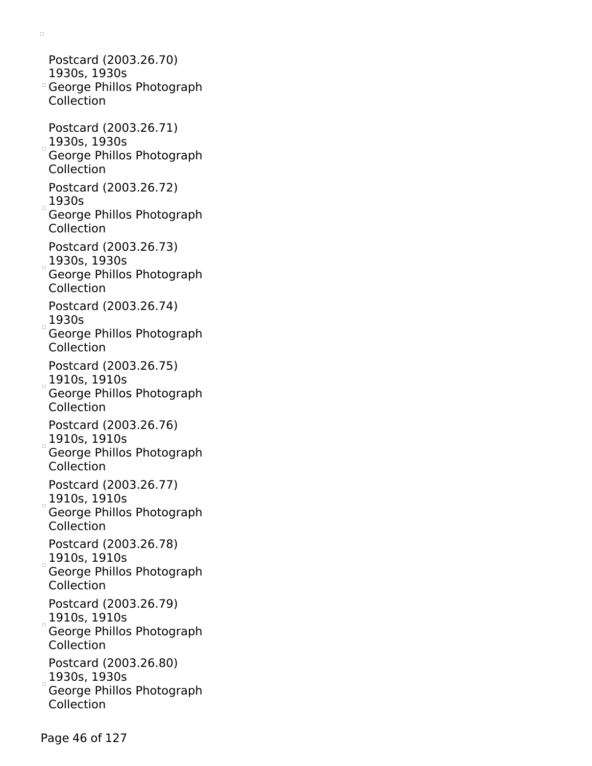$\Box$ 

Postcard (2003.26.70) 1930s, 1930s George Phillos Photograph Collection Postcard (2003.26.71) 1930s, 1930s George Phillos Photograph Collection Postcard (2003.26.72)  $1930s$ George Phillos Photograph Collection Postcard (2003.26.73)  $1930s, 1930s$ George Phillos Photograph Collection Postcard (2003.26.74)  $1930s$ George Phillos Photograph Collection Postcard (2003.26.75) 1910s, 1910s George Phillos Photograph Collection Postcard (2003.26.76)  $1910s$ , 1910s George Phillos Photograph Collection Postcard (2003.26.77) 1910s, 1910s George Phillos Photograph Collection Postcard (2003.26.78)  $1910s, 1910s$ George Phillos Photograph Collection Postcard (2003.26.79)  $1910s, 1910s$ George Phillos Photograph Collection Postcard (2003.26.80)  $1930s, 1930s$ George Phillos Photograph Collection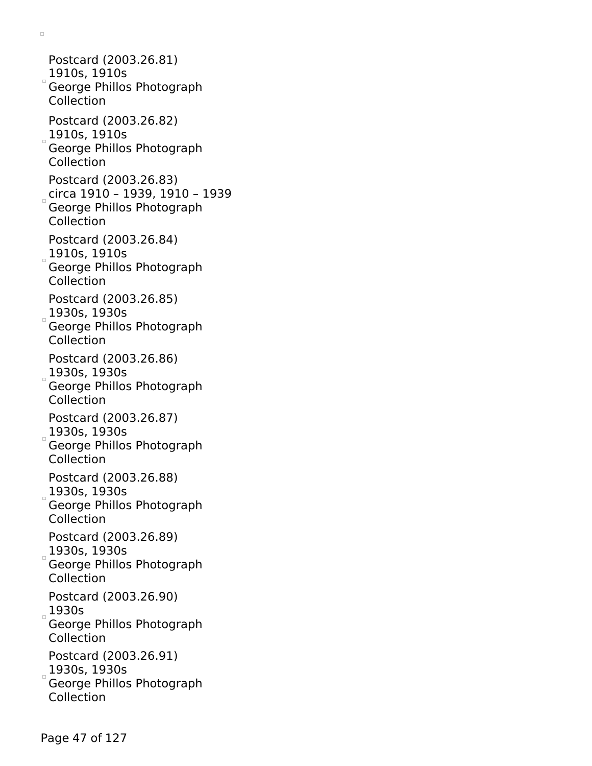Postcard (2003.26.81) 1910s, 1910s George Phillos Photograph Collection Postcard (2003.26.82)  $_{\circ}$ 1910s, 1910s George Phillos Photograph Collection Postcard (2003.26.83) circa 1910 – 1939, 1910 – 1939 George Phillos Photograph Collection Postcard (2003.26.84) 1910s, 1910s George Phillos Photograph Collection Postcard (2003.26.85)  $1930s, 1930s$ George Phillos Photograph Collection Postcard (2003.26.86)  $1930s, 1930s$ George Phillos Photograph Collection Postcard (2003.26.87)  $1930s, 1930s$ George Phillos Photograph Collection Postcard (2003.26.88)  $1930s$ , 1930s George Phillos Photograph Collection Postcard (2003.26.89)  $1930s, 1930s$ George Phillos Photograph Collection Postcard (2003.26.90)  $1930s$ George Phillos Photograph Collection Postcard (2003.26.91)  $1930s, 1930s$ George Phillos Photograph Collection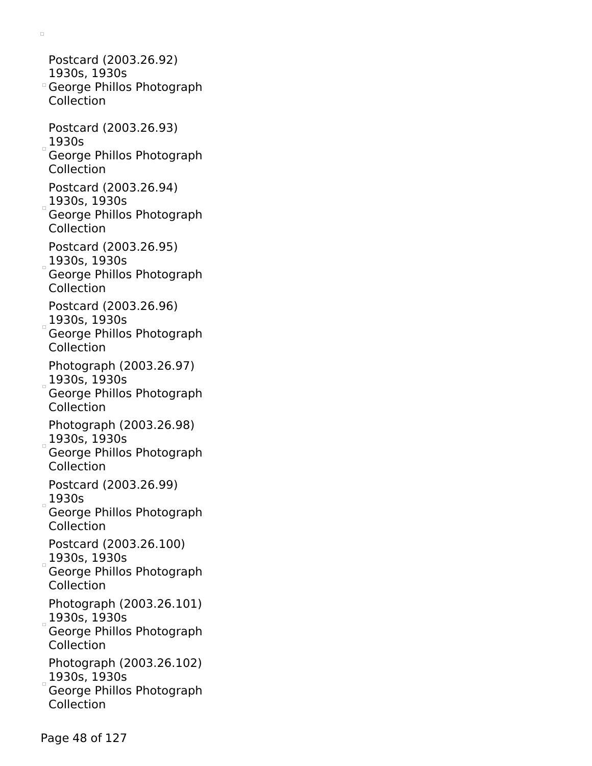$\Box$ Postcard (2003.26.92)

- 1930s, 1930s George Phillos Photograph Collection
- Postcard (2003.26.93)
- $1930s$ George Phillos Photograph Collection
- Postcard (2003.26.94)
- $1930s, 1930s$ George Phillos Photograph
- Collection
- Postcard (2003.26.95)
- $1930s, 1930s$
- George Phillos Photograph Collection
- Postcard (2003.26.96)
- $1930s, 1930s$ George Phillos Photograph Collection
- Photograph (2003.26.97)  $_{\circ}$  1930s, 1930s
- George Phillos Photograph Collection
- Photograph (2003.26.98)  $30$ s, 1930s
- George Phillos Photograph Collection
- Postcard (2003.26.99)  $1930s$
- George Phillos Photograph Collection
- Postcard (2003.26.100)  $1930s, 1930s$
- George Phillos Photograph Collection
- Photograph (2003.26.101)  $3930s$ , 1930s
- George Phillos Photograph Collection
- Photograph (2003.26.102)  $1930s, 1930s$
- George Phillos Photograph Collection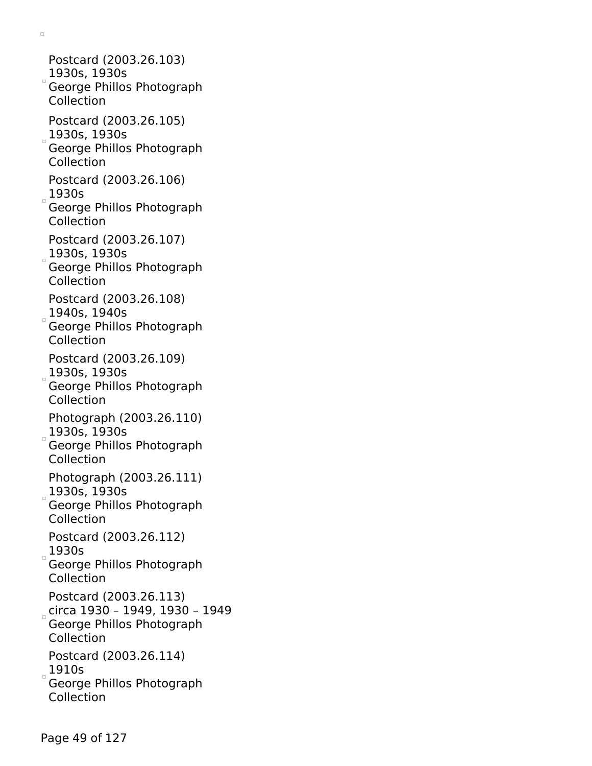Postcard (2003.26.103) 1930s, 1930s George Phillos Photograph Collection Postcard (2003.26.105)  $_{\circ}$ 1930s, 1930s George Phillos Photograph Collection Postcard (2003.26.106)  $1930s$ George Phillos Photograph Collection Postcard (2003.26.107) 1930s, 1930s George Phillos Photograph Collection Postcard (2003.26.108)  $1940s$ , 1940s George Phillos Photograph Collection Postcard (2003.26.109)  $1930s, 1930s$ George Phillos Photograph Collection Photograph (2003.26.110)  $1930s$ , 1930s George Phillos Photograph Collection Photograph (2003.26.111)  $1930$ s, 1930s George Phillos Photograph Collection Postcard (2003.26.112)  $1930s$ George Phillos Photograph Collection Postcard (2003.26.113) circa 1930 – 1949, 1930 – 1949 George Phillos Photograph Collection Postcard (2003.26.114)  $1910s$ George Phillos Photograph Collection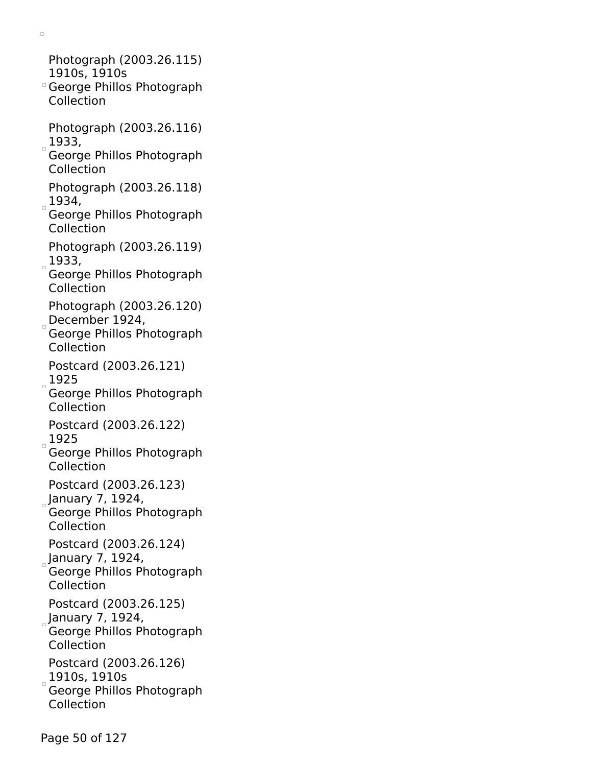Photograph (2003.26.115) 1910s, 1910s

- George Phillos Photograph Collection
- Photograph (2003.26.116)  $1933,$
- George Phillos Photograph Collection
- Photograph (2003.26.118)  $1934,$
- George Phillos Photograph Collection
- Photograph (2003.26.119)  $1933,$
- George Phillos Photograph Collection
- Photograph (2003.26.120) December  $1924$ ,
- George Phillos Photograph Collection
- Postcard (2003.26.121)  $1925$
- George Phillos Photograph Collection
- Postcard (2003.26.122)  $1925$
- George Phillos Photograph Collection
- Postcard (2003.26.123)
- January 7, 1924,
- George Phillos Photograph Collection
- Postcard (2003.26.124)
- January 7, 1924, George Phillos Photograph
- Collection
- Postcard (2003.26.125)  $_{\circ}$ January 7, 1924,
- George Phillos Photograph Collection
- Postcard (2003.26.126)
- $1910s, 1910s$
- George Phillos Photograph Collection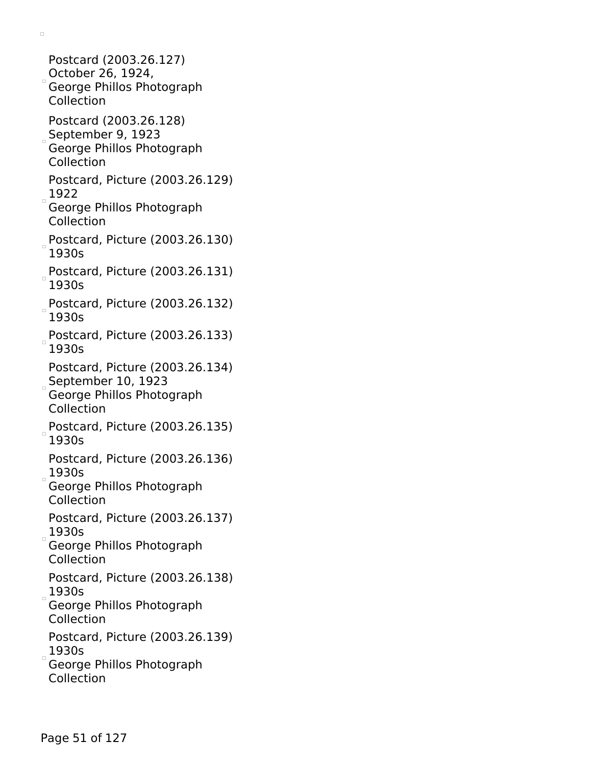Postcard (2003.26.127) October 26, 1924, George Phillos Photograph Collection Postcard (2003.26.128) September 9, 1923 George Phillos Photograph Collection Postcard, Picture (2003.26.129)  $1922$ George Phillos Photograph Collection Postcard, Picture (2003.26.130) 1930s Postcard, Picture (2003.26.131) 1930s Postcard, Picture (2003.26.132) 1930s  $_{\circ}$ Postcard, Picture (2003.26.133) 1930s Postcard, Picture (2003.26.134)  $S$ eptember 10, 1923 George Phillos Photograph Collection Postcard, Picture (2003.26.135) 1930s Postcard, Picture (2003.26.136) 1930s George Phillos Photograph Collection Postcard, Picture (2003.26.137)  $1930s$ George Phillos Photograph Collection Postcard, Picture (2003.26.138)  $1930s$ George Phillos Photograph Collection Postcard, Picture (2003.26.139)  $1930s$ George Phillos Photograph Collection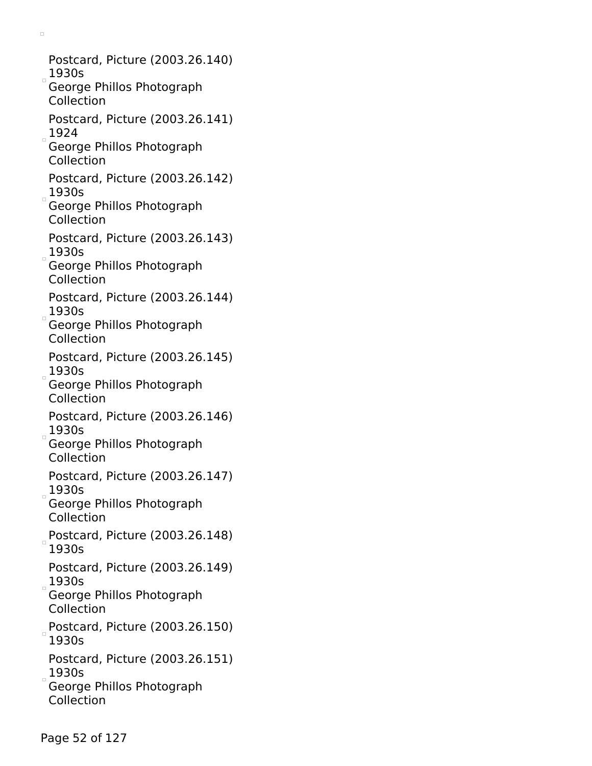Postcard, Picture (2003.26.140)  $1930s$ George Phillos Photograph Collection Postcard, Picture (2003.26.141)  $1924$ George Phillos Photograph Collection Postcard, Picture (2003.26.142)  $1930s$ George Phillos Photograph Collection Postcard, Picture (2003.26.143)  $1930s$ George Phillos Photograph Collection Postcard, Picture (2003.26.144)  $1930s$ George Phillos Photograph Collection Postcard, Picture (2003.26.145)  $1930s$ George Phillos Photograph Collection Postcard, Picture (2003.26.146)  $1930s$ George Phillos Photograph Collection Postcard, Picture (2003.26.147)  $1930s$ George Phillos Photograph Collection Postcard, Picture (2003.26.148) 1930s Postcard, Picture (2003.26.149)  $1930s$ George Phillos Photograph Collection Postcard, Picture (2003.26.150) 1930s Postcard, Picture (2003.26.151)  $1930s$ George Phillos Photograph Collection

 $\Box$ 

Page 52 of 127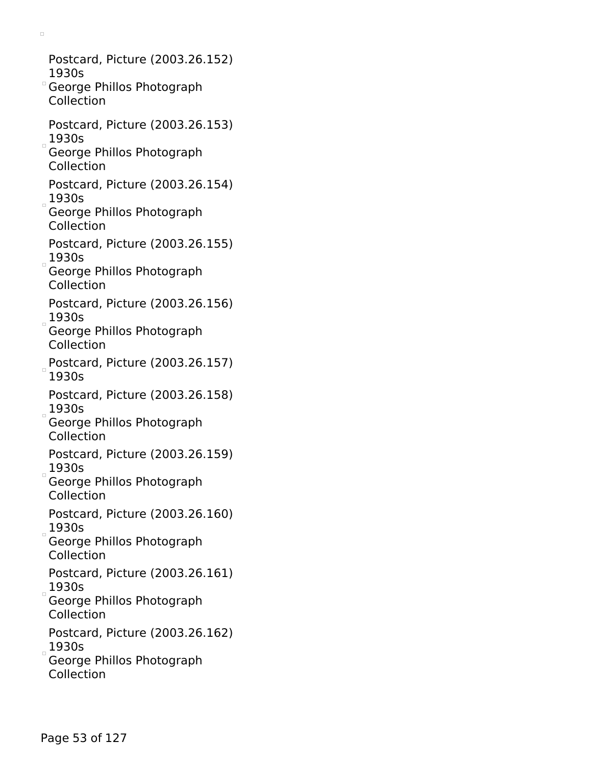Postcard, Picture (2003.26.152) 1930s George Phillos Photograph Collection Postcard, Picture (2003.26.153)  $1930s$ George Phillos Photograph Collection Postcard, Picture (2003.26.154)  $1930s$ George Phillos Photograph Collection Postcard, Picture (2003.26.155)  $1930s$ George Phillos Photograph Collection Postcard, Picture (2003.26.156)  $1930s$ George Phillos Photograph Collection Postcard, Picture (2003.26.157) 1930s Postcard, Picture (2003.26.158)  $1930s$ George Phillos Photograph Collection Postcard, Picture (2003.26.159)  $1930s$ George Phillos Photograph Collection Postcard, Picture (2003.26.160)  $1930s$ George Phillos Photograph Collection Postcard, Picture (2003.26.161)  $1930s$ George Phillos Photograph Collection Postcard, Picture (2003.26.162)  $1930s$ George Phillos Photograph Collection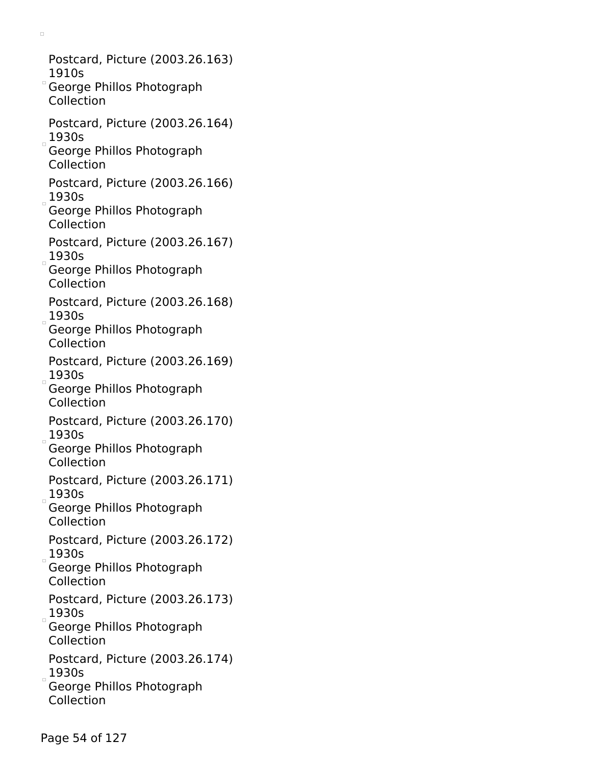Postcard, Picture (2003.26.163) 1910s George Phillos Photograph Collection Postcard, Picture (2003.26.164)  $1930s$ George Phillos Photograph Collection Postcard, Picture (2003.26.166)  $1930s$ George Phillos Photograph Collection Postcard, Picture (2003.26.167)  $1930s$ George Phillos Photograph Collection Postcard, Picture (2003.26.168)  $1930s$ George Phillos Photograph Collection Postcard, Picture (2003.26.169)  $1930s$ George Phillos Photograph Collection Postcard, Picture (2003.26.170)  $1930s$ George Phillos Photograph Collection Postcard, Picture (2003.26.171)  $1930s$ George Phillos Photograph Collection Postcard, Picture (2003.26.172)  $1930s$ George Phillos Photograph Collection Postcard, Picture (2003.26.173)  $1930s$ George Phillos Photograph Collection Postcard, Picture (2003.26.174)  $1930s$ George Phillos Photograph Collection

 $\Box$ 

Page 54 of 127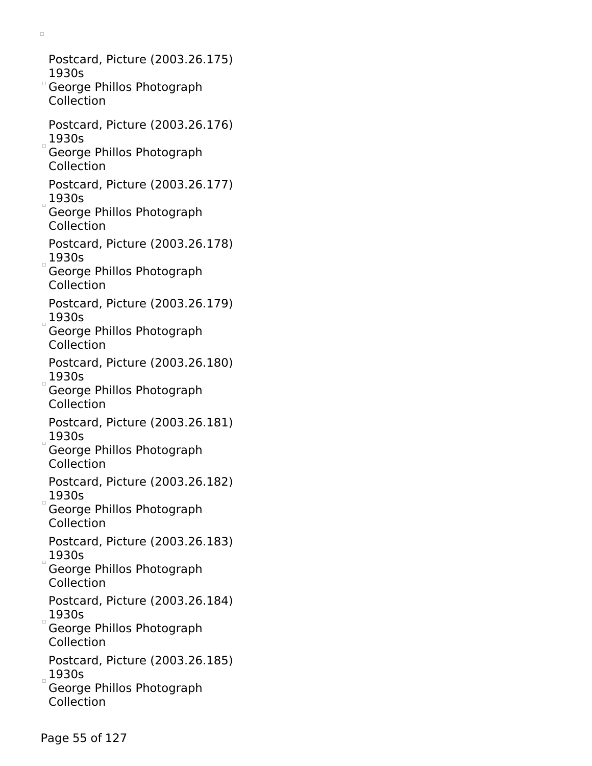Postcard, Picture (2003.26.175) 1930s George Phillos Photograph Collection Postcard, Picture (2003.26.176)  $1930s$ George Phillos Photograph Collection Postcard, Picture (2003.26.177)  $1930s$ George Phillos Photograph Collection Postcard, Picture (2003.26.178)  $1930s$ George Phillos Photograph Collection Postcard, Picture (2003.26.179)  $1930s$ George Phillos Photograph Collection Postcard, Picture (2003.26.180)  $1930s$ George Phillos Photograph Collection Postcard, Picture (2003.26.181)  $1930s$ George Phillos Photograph Collection Postcard, Picture (2003.26.182)  $1930s$ George Phillos Photograph Collection Postcard, Picture (2003.26.183)  $1930s$ George Phillos Photograph Collection Postcard, Picture (2003.26.184)  $1930s$ George Phillos Photograph Collection Postcard, Picture (2003.26.185)  $1930s$ George Phillos Photograph

 $\Box$ 

Collection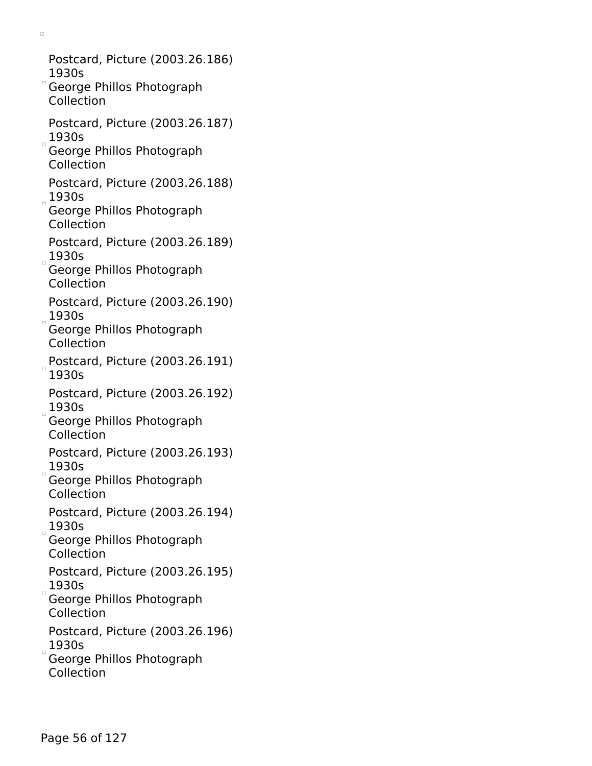Postcard, Picture (2003.26.186) 1930s George Phillos Photograph Collection Postcard, Picture (2003.26.187)  $1930s$ George Phillos Photograph Collection Postcard, Picture (2003.26.188)  $1930s$ George Phillos Photograph Collection Postcard, Picture (2003.26.189)  $1930s$ George Phillos Photograph Collection Postcard, Picture (2003.26.190)  $1930s$ George Phillos Photograph Collection Postcard, Picture (2003.26.191) 1930s Postcard, Picture (2003.26.192)  $1930s$ George Phillos Photograph Collection Postcard, Picture (2003.26.193)  $1930s$ George Phillos Photograph Collection Postcard, Picture (2003.26.194)  $1930s$ George Phillos Photograph Collection Postcard, Picture (2003.26.195)  $1930s$ George Phillos Photograph Collection Postcard, Picture (2003.26.196)  $1930s$ George Phillos Photograph Collection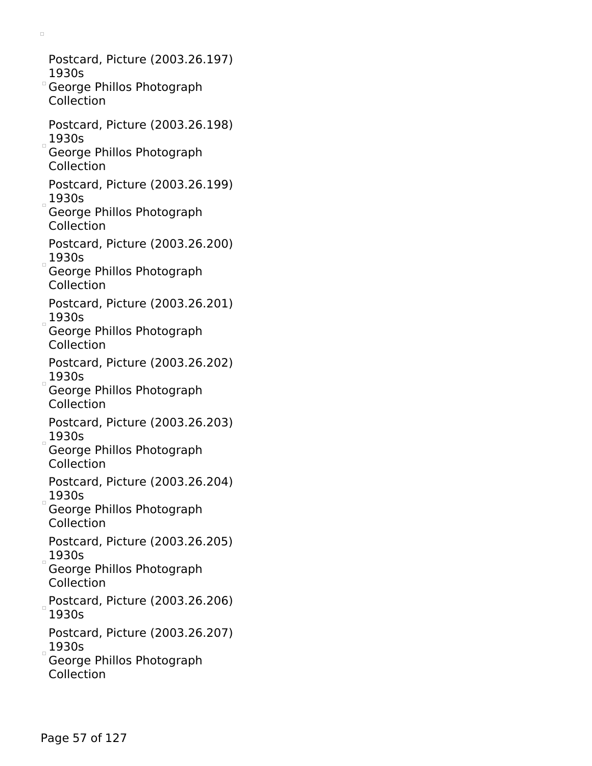Postcard, Picture (2003.26.197) 1930s George Phillos Photograph Collection Postcard, Picture (2003.26.198)  $1930s$ George Phillos Photograph Collection Postcard, Picture (2003.26.199)  $1930s$ George Phillos Photograph Collection Postcard, Picture (2003.26.200)  $1930s$ George Phillos Photograph Collection Postcard, Picture (2003.26.201)  $1930s$ George Phillos Photograph Collection Postcard, Picture (2003.26.202)  $1930s$ George Phillos Photograph Collection Postcard, Picture (2003.26.203)  $1930s$ George Phillos Photograph Collection Postcard, Picture (2003.26.204)  $1930s$ George Phillos Photograph Collection Postcard, Picture (2003.26.205)  $1930s$ George Phillos Photograph Collection Postcard, Picture (2003.26.206) 1930s Postcard, Picture (2003.26.207)  $1930s$ 

 $\Box$ 

George Phillos Photograph Collection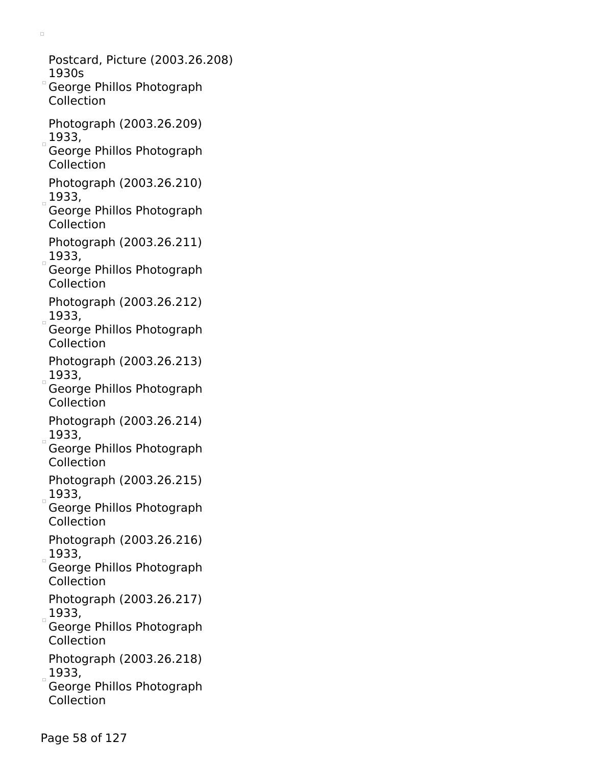- Postcard, Picture (2003.26.208) 1930s
- George Phillos Photograph Collection

- Photograph (2003.26.209)  $1933,$
- George Phillos Photograph Collection
- Photograph (2003.26.210)  $1933,$
- George Phillos Photograph Collection
- Photograph (2003.26.211)  $1933,$
- George Phillos Photograph Collection
- Photograph (2003.26.212)  $1933,$
- George Phillos Photograph Collection
- Photograph (2003.26.213)  $1933,$
- George Phillos Photograph Collection
- Photograph (2003.26.214)  $1933,$
- George Phillos Photograph Collection
- Photograph (2003.26.215)  $1933,$
- George Phillos Photograph Collection
- Photograph (2003.26.216)  $_{\circ}$  1933,
- George Phillos Photograph Collection
- Photograph (2003.26.217)  $1933,$
- George Phillos Photograph Collection
- Photograph (2003.26.218)  $1933,$
- George Phillos Photograph Collection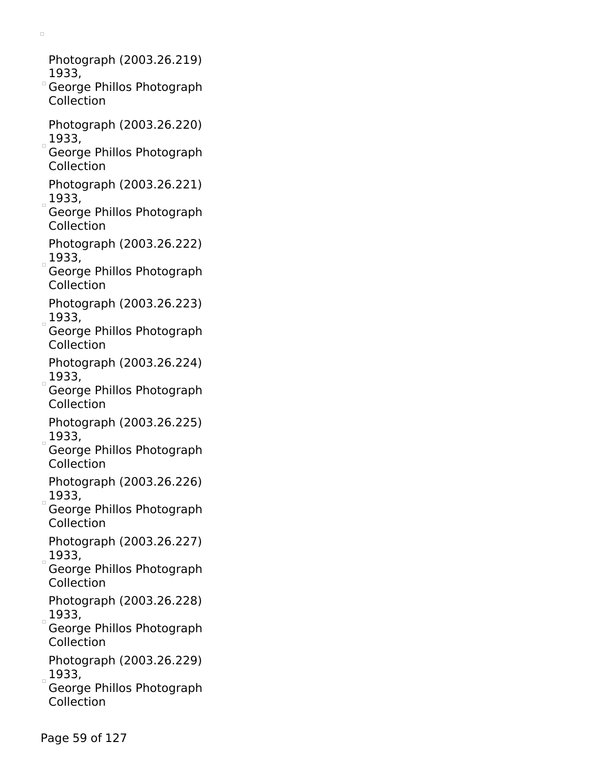Photograph (2003.26.219) 1933,

- George Phillos Photograph Collection
- Photograph (2003.26.220)  $1933,$
- George Phillos Photograph Collection
- Photograph (2003.26.221)  $1933,$
- George Phillos Photograph Collection
- Photograph (2003.26.222)  $1933,$
- George Phillos Photograph Collection
- Photograph (2003.26.223)  $1933,$
- George Phillos Photograph Collection
- Photograph (2003.26.224)  $1933,$
- George Phillos Photograph Collection
- Photograph (2003.26.225)  $1933,$
- George Phillos Photograph Collection
- Photograph (2003.26.226)  $1933,$
- George Phillos Photograph Collection
- Photograph (2003.26.227)  $1933,$
- George Phillos Photograph Collection
- Photograph (2003.26.228)  $_{\circ}$  1933,
- George Phillos Photograph Collection
- Photograph (2003.26.229)  $1933,$
- George Phillos Photograph Collection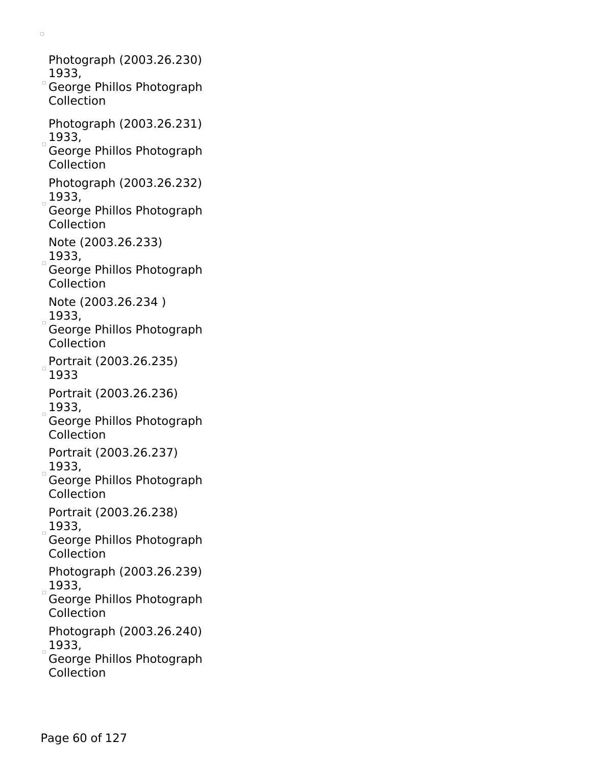Photograph (2003.26.230) 1933, George Phillos Photograph Collection Photograph (2003.26.231)  $1933,$ George Phillos Photograph Collection Photograph (2003.26.232)  $_{\circ}$  1933, George Phillos Photograph Collection Note (2003.26.233)  $(1933,$ George Phillos Photograph Collection Note (2003.26.234 )  $1933,$ George Phillos Photograph Collection Portrait (2003.26.235) 1933 Portrait (2003.26.236)  $1933,$ George Phillos Photograph Collection Portrait (2003.26.237)  $1933,$ George Phillos Photograph Collection Portrait (2003.26.238)  $1933,$ George Phillos Photograph Collection Photograph (2003.26.239)  $1933,$ George Phillos Photograph Collection Photograph (2003.26.240)  $(1933, 1933)$ George Phillos Photograph Collection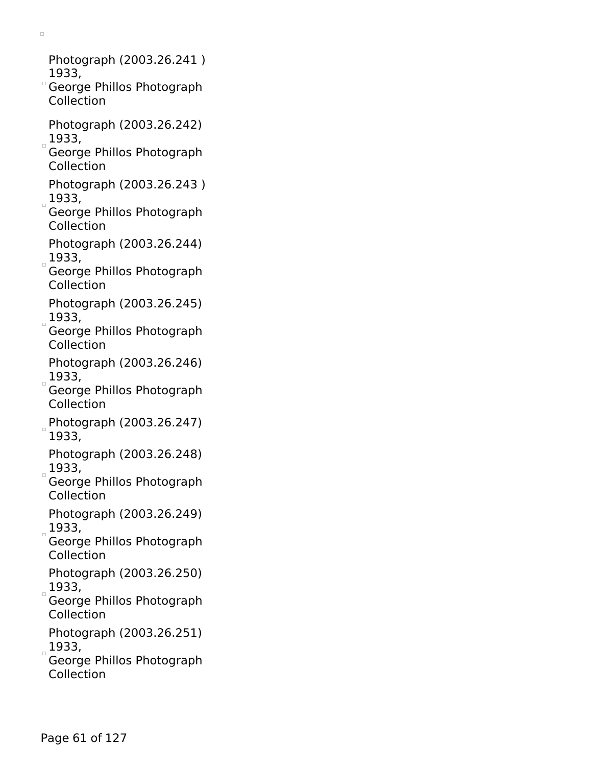Photograph (2003.26.241 ) 1933,

- George Phillos Photograph Collection
- Photograph (2003.26.242)  $1933,$
- George Phillos Photograph Collection
- Photograph (2003.26.243 )  $1933,$
- George Phillos Photograph Collection
- Photograph (2003.26.244)  $1933,$
- George Phillos Photograph Collection
- Photograph (2003.26.245)  $1933,$
- George Phillos Photograph Collection
- Photograph (2003.26.246)  $1933,$
- George Phillos Photograph Collection
- Photograph (2003.26.247) 1933,
- Photograph (2003.26.248)  $1933,$
- George Phillos Photograph Collection
- Photograph (2003.26.249)  $1933,$
- George Phillos Photograph Collection
- Photograph (2003.26.250)  $1933,$
- George Phillos Photograph Collection
- Photograph (2003.26.251)  $1933,$
- George Phillos Photograph Collection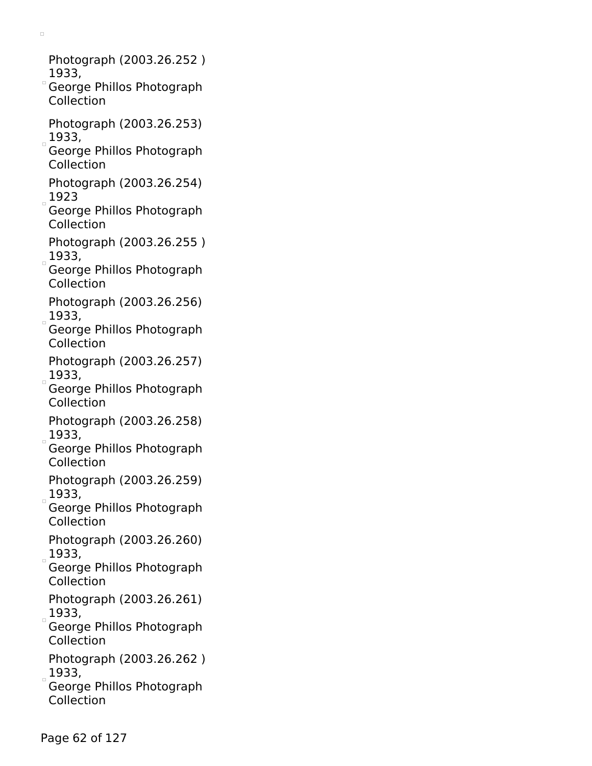Photograph (2003.26.252 ) 1933,

- George Phillos Photograph Collection
- Photograph (2003.26.253)  $1933,$
- George Phillos Photograph Collection
- Photograph (2003.26.254)  $1923$
- George Phillos Photograph Collection
- Photograph (2003.26.255 )  $1933,$
- George Phillos Photograph Collection
- Photograph (2003.26.256)  $-1933,$
- George Phillos Photograph Collection
- Photograph (2003.26.257)  $1933,$
- George Phillos Photograph Collection
- Photograph (2003.26.258)  $1933,$
- George Phillos Photograph Collection
- Photograph (2003.26.259)  $1933,$
- George Phillos Photograph Collection
- Photograph (2003.26.260) 1933,
- George Phillos Photograph Collection
- Photograph (2003.26.261)  $1933,$
- George Phillos Photograph Collection
- Photograph (2003.26.262 )  $1933,$
- George Phillos Photograph Collection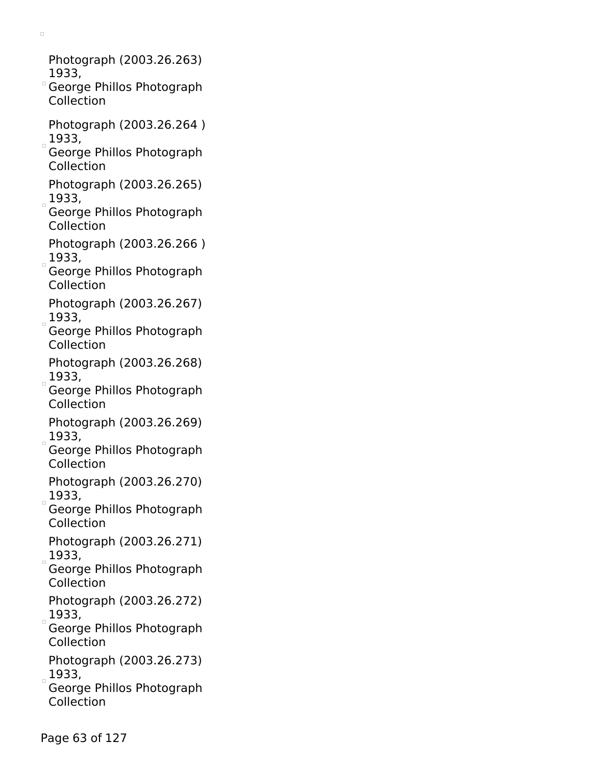Photograph (2003.26.263) 1933,

- George Phillos Photograph Collection
- Photograph (2003.26.264 )  $1933,$
- George Phillos Photograph Collection
- Photograph (2003.26.265)  $1933,$
- George Phillos Photograph Collection
- Photograph (2003.26.266 )  $1933,$
- George Phillos Photograph Collection
- Photograph (2003.26.267)  $1933,$
- George Phillos Photograph Collection
- Photograph (2003.26.268)  $1933,$
- George Phillos Photograph Collection
- Photograph (2003.26.269)  $1933,$
- George Phillos Photograph Collection
- Photograph (2003.26.270)  $1933,$
- George Phillos Photograph Collection
- Photograph (2003.26.271)  $1933,$
- George Phillos Photograph Collection
- Photograph (2003.26.272)  $_{\circ}$  1933,
- George Phillos Photograph Collection
- Photograph (2003.26.273)  $1933,$
- George Phillos Photograph Collection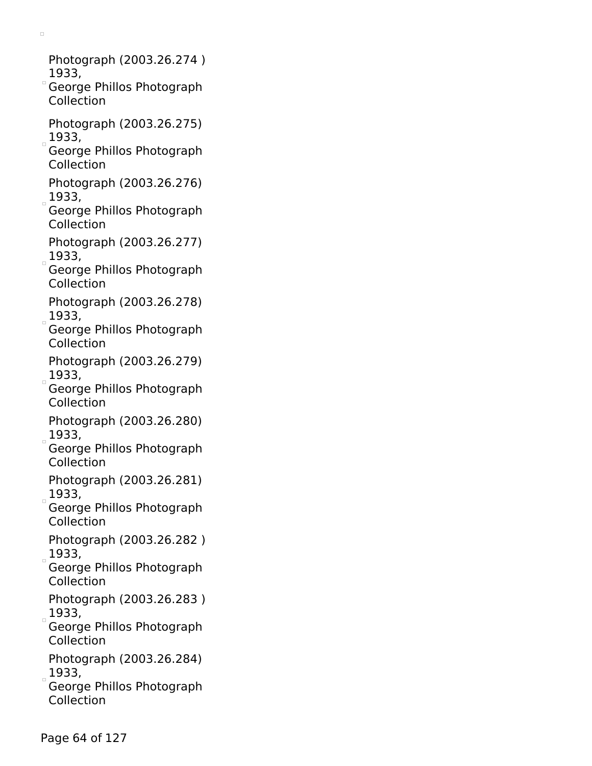Photograph (2003.26.274 ) 1933,

- George Phillos Photograph Collection
- Photograph (2003.26.275)  $1933,$
- George Phillos Photograph Collection
- Photograph (2003.26.276)  $1933,$
- George Phillos Photograph Collection
- Photograph (2003.26.277)  $1933,$
- George Phillos Photograph Collection
- Photograph (2003.26.278)  $-1933,$
- George Phillos Photograph Collection
- Photograph (2003.26.279)  $1933,$
- George Phillos Photograph Collection
- Photograph (2003.26.280)  $1933,$
- George Phillos Photograph Collection
- Photograph (2003.26.281)  $1933,$
- George Phillos Photograph Collection
- Photograph (2003.26.282 ) 1933,
- George Phillos Photograph Collection
- Photograph (2003.26.283 )  $1933,$
- George Phillos Photograph Collection
- Photograph (2003.26.284)  $1933,$
- George Phillos Photograph Collection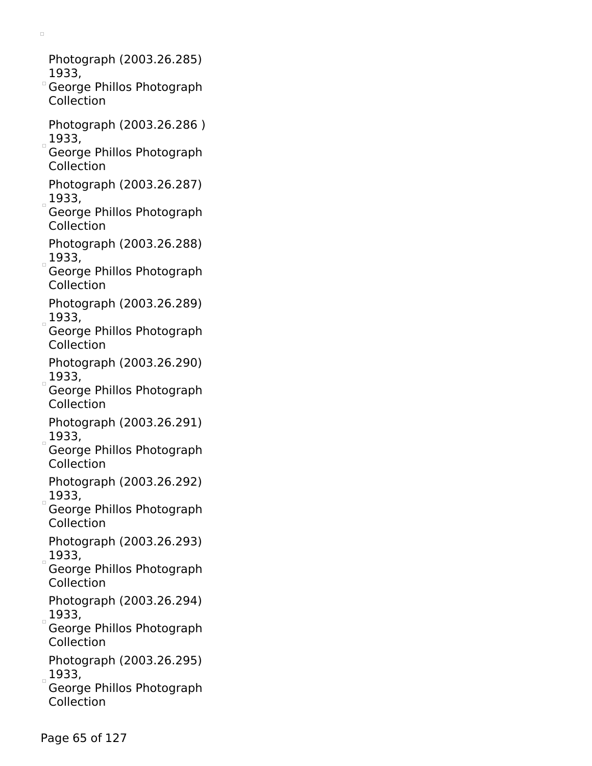Photograph (2003.26.285) 1933,

- George Phillos Photograph Collection
- Photograph (2003.26.286 )  $1933,$
- George Phillos Photograph Collection
- Photograph (2003.26.287)  $1933,$
- George Phillos Photograph Collection
- Photograph (2003.26.288)  $1933,$
- George Phillos Photograph Collection
- Photograph (2003.26.289)  $1933,$
- George Phillos Photograph Collection
- Photograph (2003.26.290)  $1933,$
- George Phillos Photograph Collection
- Photograph (2003.26.291)  $1933,$
- George Phillos Photograph Collection
- Photograph (2003.26.292)  $1933,$
- George Phillos Photograph Collection
- Photograph (2003.26.293)  $1933,$
- George Phillos Photograph Collection
- Photograph (2003.26.294)  $_{\circ}$  1933,
- George Phillos Photograph Collection
- Photograph (2003.26.295)  $1933,$
- George Phillos Photograph Collection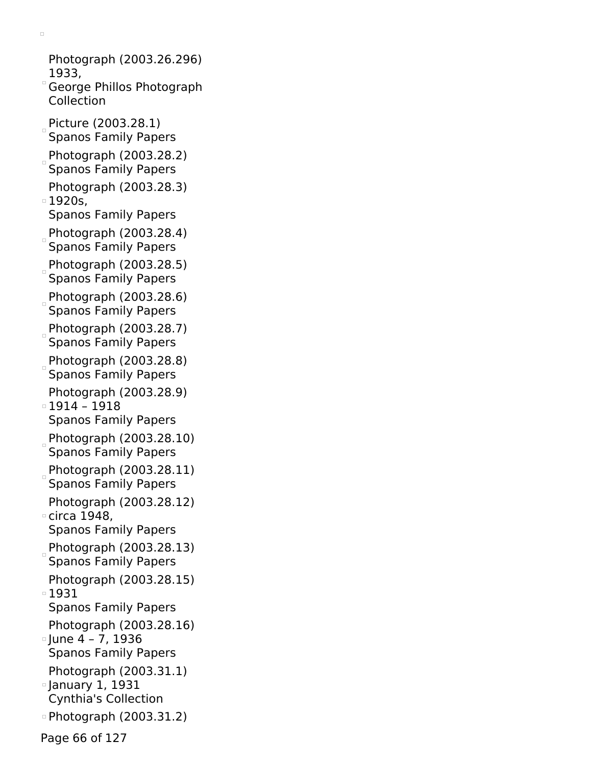Photograph (2003.26.296) 1933, George Phillos Photograph Collection Picture (2003.28.1) Spanos Family Papers Photograph (2003.28.2) Spanos Family Papers Photograph (2003.28.3) 1920s, Spanos Family Papers Photograph (2003.28.4) Spanos Family Papers Photograph (2003.28.5) Spanos Family Papers Photograph (2003.28.6) Spanos Family Papers Photograph (2003.28.7) Spanos Family Papers Photograph (2003.28.8) Spanos Family Papers Photograph (2003.28.9) 1914 – 1918 Spanos Family Papers Photograph (2003.28.10) Spanos Family Papers Photograph (2003.28.11) Spanos Family Papers Photograph (2003.28.12) circa 1948, Spanos Family Papers Photograph  $(2003.28.13)$ Spanos Family Papers Photograph (2003.28.15) 1931 Spanos Family Papers Photograph (2003.28.16)  $\degree$  June 4 – 7, 1936 Spanos Family Papers Photograph (2003.31.1) January 1, 1931 Cynthia's Collection Photograph (2003.31.2)

 $\Box$ 

Page 66 of 127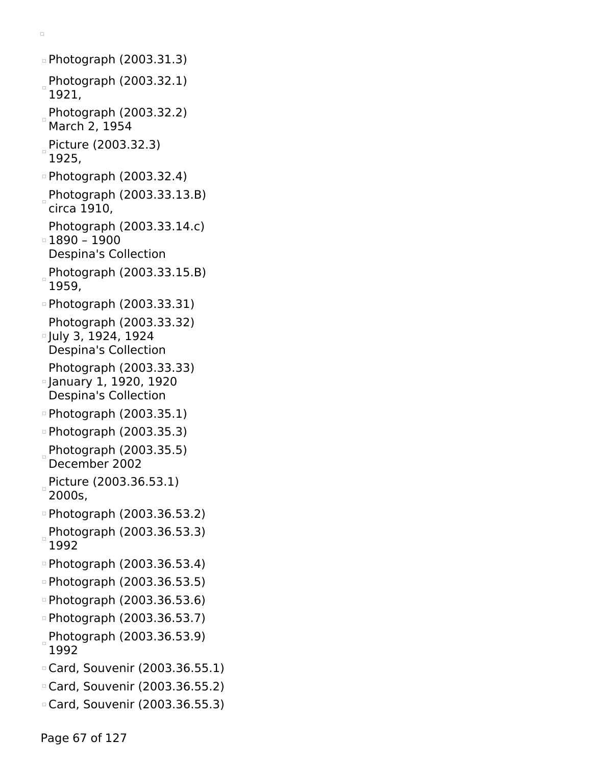```
Photograph (2003.31.3)
 Photograph (2003.32.1)
 1921,
Photograph (2003.32.2)
 March 2, 1954
Picture (2003.32.3)
 1925,
Photograph (2003.32.4)
Photograph (2003.33.13.B)
 circa 1910,
 Photograph (2003.33.14.c)
\overline{0} 1890 – 1900
 Despina's Collection
Photograph (2003.33.15.B)
 1959,
Photograph (2003.33.31)
 Photograph (2003.33.32)
July 3, 1924, 1924
 Despina's Collection
 Photograph (2003.33.33)
January 1, 1920, 1920
 Despina's Collection
Photograph (2003.35.1)
Photograph (2003.35.3)
Photograph (2003.35.5)
 December 2002
Picture (2003.36.53.1)
 2000s,
Photograph (2003.36.53.2)
Photograph (2003.36.53.3)
 1992
Photograph (2003.36.53.4)
Photograph (2003.36.53.5)
Photograph (2003.36.53.6)
Photograph (2003.36.53.7)
Photograph (2003.36.53.9)
 1992
Card, Souvenir (2003.36.55.1)
Card, Souvenir (2003.36.55.2)
Card, Souvenir (2003.36.55.3)
```
 $\Box$ 

Page 67 of 127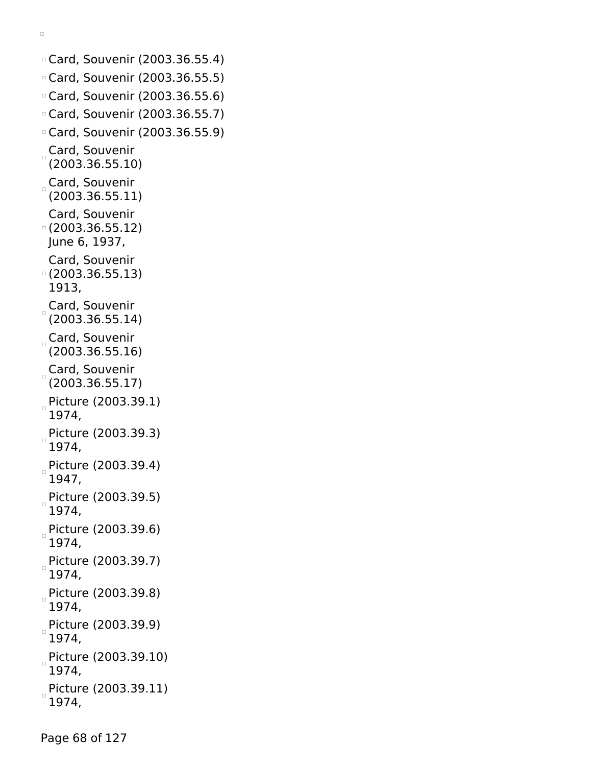```
Card, Souvenir (2003.36.55.4)
Card, Souvenir (2003.36.55.5)
Card, Souvenir (2003.36.55.6)
Card, Souvenir (2003.36.55.7)
Card, Souvenir (2003.36.55.9)
Card, Souvenir
 (2003.36.55.10)
Card, Souvenir
 (2003.36.55.11)
 Card, Souvenir
(2003.36.55.12)
June 6, 1937,
 Card, Souvenir
(2003.36.55.13)
 1913,
Card, Souvenir
 (2003.36.55.14)
Card, Souvenir
 (2003.36.55.16)
Card, Souvenir
 (2003.36.55.17)
Picture (2003.39.1)
 1974,
Picture (2003.39.3)
 1974,
Picture (2003.39.4)
 1947,
Picture (2003.39.5)
 1974,
Picture (2003.39.6)
 1974,
Picture (2003.39.7)
 1974,
Picture (2003.39.8)
 1974,
Picture (2003.39.9)
 1974,
Picture (2003.39.10)
 1974,
Picture (2003.39.11)
 1974,
```
 $\Box$ 

Page 68 of 127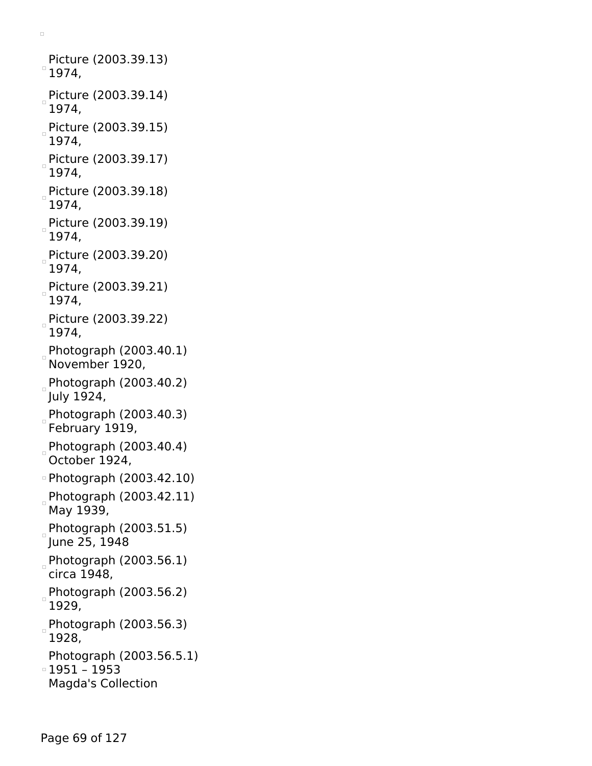Picture (2003.39.13)  $^{\circ}$  1974, Picture (2003.39.14) 1974, Picture (2003.39.15) 1974, Picture (2003.39.17) 1974, Picture (2003.39.18) 1974, Picture (2003.39.19) 1974, Picture (2003.39.20) 1974, Picture (2003.39.21) 1974, Picture (2003.39.22) 1974, Photograph (2003.40.1) November 1920, Photograph (2003.40.2) July 1924,  $P$ hotograph (2003.40.3) February 1919,  $P$ hotograph (2003.40.4) October 1924, Photograph (2003.42.10) Photograph (2003.42.11) May 1939,  $P$ hotograph (2003.51.5) June 25, 1948 Photograph (2003.56.1) circa 1948, Photograph (2003.56.2) 1929, Photograph (2003.56.3) 1928, Photograph (2003.56.5.1) 1951 – 1953 Magda's Collection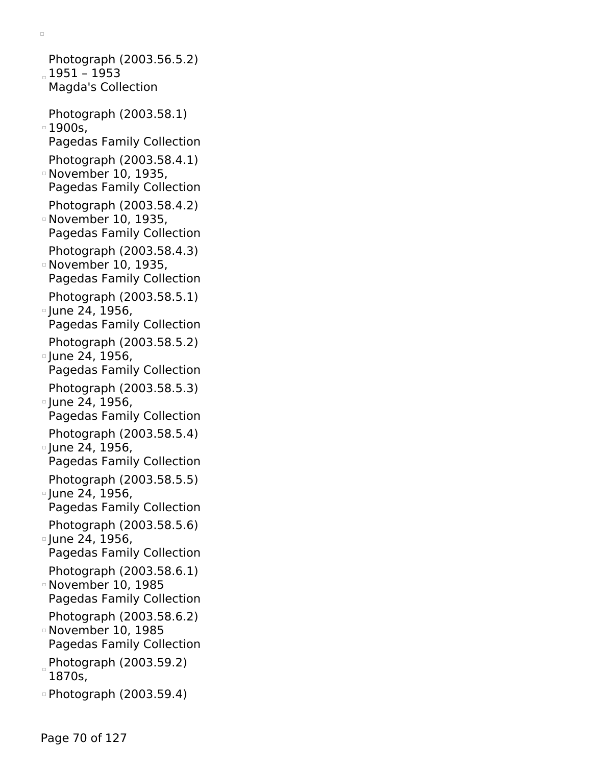Photograph (2003.56.5.2) 1951 – 1953 Magda's Collection Photograph (2003.58.1)  $\overline{1900s}$ , Pagedas Family Collection Photograph (2003.58.4.1) November 10, 1935, Pagedas Family Collection Photograph (2003.58.4.2) November 10, 1935, Pagedas Family Collection Photograph (2003.58.4.3) November 10, 1935, Pagedas Family Collection Photograph (2003.58.5.1) <sup>o</sup> June 24, 1956, Pagedas Family Collection Photograph (2003.58.5.2) <sup>o</sup> June 24, 1956, Pagedas Family Collection Photograph (2003.58.5.3) June 24, 1956, Pagedas Family Collection Photograph (2003.58.5.4) <sup>o</sup> June 24, 1956, Pagedas Family Collection Photograph (2003.58.5.5) June 24, 1956, Pagedas Family Collection Photograph (2003.58.5.6) June 24, 1956, Pagedas Family Collection Photograph (2003.58.6.1) November 10, 1985 Pagedas Family Collection Photograph (2003.58.6.2) November 10, 1985 Pagedas Family Collection Photograph (2003.59.2) 1870s, Photograph (2003.59.4)

 $\Box$ 

Page 70 of 127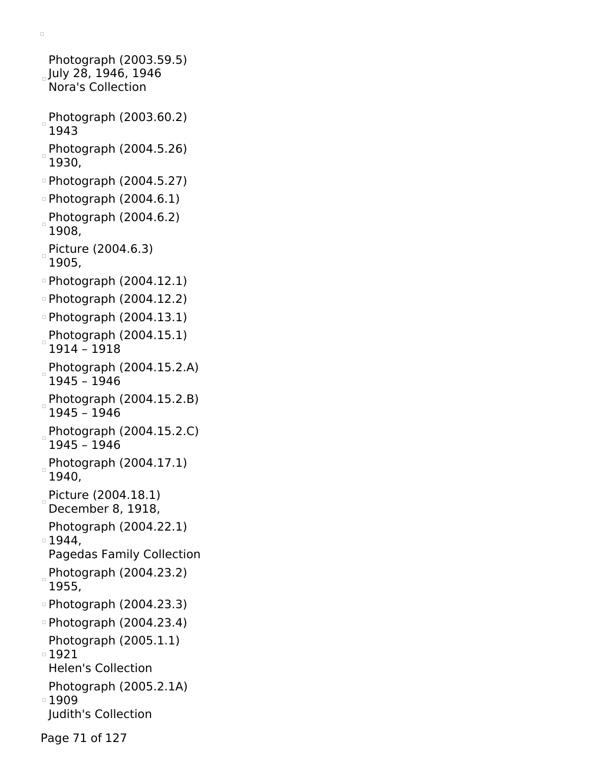```
Photograph (2003.59.5)
July 28, 1946, 1946
 Nora's Collection
Photograph (2003.60.2)
 1943
Photograph (2004.5.26)
 1930,
Photograph (2004.5.27)
\circ Photograph (2004.6.1)
Photograph (2004.6.2)
 1908,
Picture (2004.6.3)
 1905,
Photograph (2004.12.1)
Photograph (2004.12.2)
Photograph (2004.13.1)
Photograph (2004.15.1)
 1914 – 1918
Photograph (2004.15.2.A)
 1945 – 1946
Photograph (2004.15.2.B)
 1945 – 1946
Photograph (2004.15.2.C)
 1945 – 1946
Photograph (2004.17.1)
 1940,
Picture (2004.18.1)
 December 8, 1918,
 Photograph (2004.22.1)
1944,
 Pagedas Family Collection
Photograph (2004.23.2)
 1955,
Photograph (2004.23.3)
Photograph (2004.23.4)
 Photograph (2005.1.1)
1921
 Helen's Collection
 Photograph (2005.2.1A)
■1909
 Judith's Collection
```
 $\Box$ 

Page 71 of 127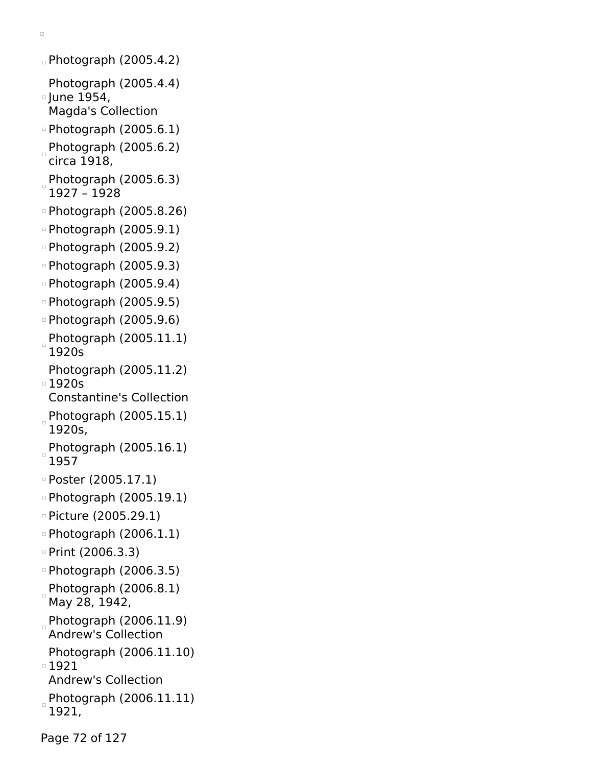```
\textdegreePhotograph (2005.4.2)
 Photograph (2005.4.4)
\overline{\phantom{0}} June 1954,
 Magda's Collection
Photograph (2005.6.1)
Photograph (2005.6.2)circa 1918,
Photograph (2005.6.3)
 1927 – 1928
Photograph (2005.8.26)
\circ Photograph (2005.9.1)
Photograph (2005.9.2)
Photograph (2005.9.3)
Photograph (2005.9.4)
Photograph (2005.9.5)
Photograph (2005.9.6)
Photograph (2005.11.1)
 1920s
 Photograph (2005.11.2)
1920s
 Constantine's Collection
Photograph (2005.15.1)
 1920s,
Photograph (2005.16.1)
 1957
Poster (2005.17.1)
Photograph (2005.19.1)
Picture (2005.29.1)
\circ Photograph (2006.1.1)
\degree Print (2006.3.3)
Photograph (2006.3.5)
 Photograph (2006.8.1)
 May 28, 1942,
Photograph (2006.11.9)
 Andrew's Collection
 Photograph (2006.11.10)
1921
 Andrew's Collection
Photograph (2006.11.11)
 1921,
```
 $\Box$ 

Page 72 of 127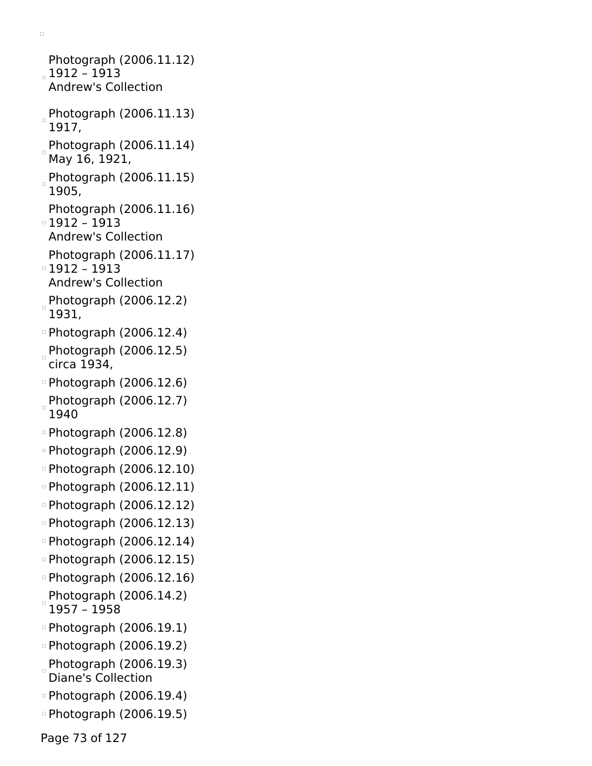```
Photograph (2006.11.12)
1912 – 1913
 Andrew's Collection
Photograph (2006.11.13)
 1917,
Photograph (2006.11.14)
 May 16, 1921,
Photograph (2006.11.15)
 1905,
 Photograph (2006.11.16)
1912 – 1913
 Andrew's Collection
 Photograph (2006.11.17)
1912 – 1913
 Andrew's Collection
Photograph (2006.12.2)
 1931,
Photograph (2006.12.4)
Photograph (2006.12.5)
circa 1934,
Photograph (2006.12.6)
Photograph (2006.12.7)
\Box1940
Photograph (2006.12.8)
Photograph (2006.12.9)
Photograph (2006.12.10)
Photograph (2006.12.11)
Photograph (2006.12.12)
Photograph (2006.12.13)
Photograph (2006.12.14)
Photograph (2006.12.15)
Photograph (2006.12.16)
Photograph (2006.14.2)1957 – 1958
Photograph (2006.19.1)
Photograph (2006.19.2)
Photograph (2006.19.3)
 Diane's Collection
Photograph (2006.19.4)
Photograph (2006.19.5)
```
 $\Box$ 

Page 73 of 127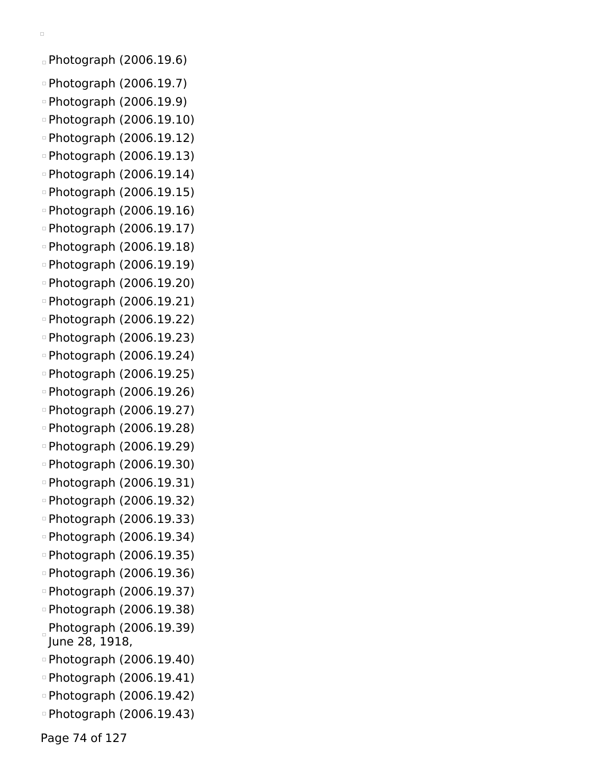```
\Box
```
Photograph (2006.19.6)

- Photograph (2006.19.7)
- Photograph (2006.19.9)
- Photograph (2006.19.10)
- Photograph (2006.19.12)
- Photograph (2006.19.13)
- Photograph (2006.19.14)
- Photograph (2006.19.15)
- Photograph (2006.19.16)
- Photograph (2006.19.17)
- Photograph (2006.19.18)
- Photograph (2006.19.19)
- Photograph (2006.19.20)
- Photograph (2006.19.21)
- Photograph (2006.19.22)
- Photograph (2006.19.23)
- Photograph (2006.19.24)
- Photograph (2006.19.25)
- Photograph (2006.19.26)
- Photograph (2006.19.27)
- Photograph (2006.19.28)
- Photograph (2006.19.29)
- Photograph (2006.19.30)
- Photograph (2006.19.31)
- Photograph (2006.19.32)
- Photograph (2006.19.33)
- Photograph (2006.19.34)
- Photograph (2006.19.35)
- Photograph (2006.19.36)
- Photograph (2006.19.37)
- Photograph (2006.19.38)
- Photograph (2006.19.39) June 28, 1918,
- Photograph (2006.19.40)
- Photograph (2006.19.41)
- Photograph (2006.19.42)
- Photograph (2006.19.43)

Page 74 of 127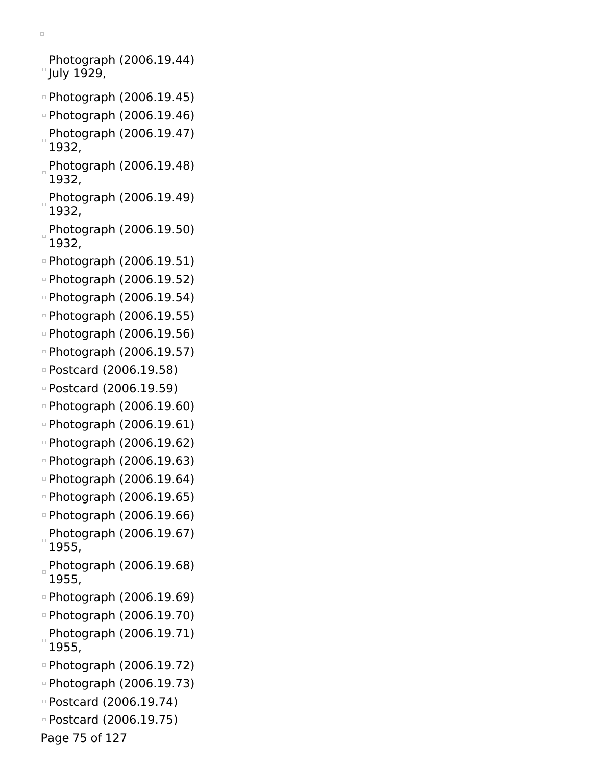Photograph (2006.19.44) July 1929,

- Photograph (2006.19.45)
- Photograph (2006.19.46)
- Photograph (2006.19.47) 1932,
- Photograph (2006.19.48) 1932,
- Photograph (2006.19.49) 1932,
- Photograph (2006.19.50) 1932,
- Photograph (2006.19.51)
- Photograph (2006.19.52)
- Photograph (2006.19.54)
- Photograph (2006.19.55)
- Photograph (2006.19.56)
- Photograph (2006.19.57)
- Postcard (2006.19.58)
- Postcard (2006.19.59)
- Photograph (2006.19.60)
- Photograph (2006.19.61)
- Photograph (2006.19.62)
- Photograph (2006.19.63)
- Photograph (2006.19.64)
- Photograph (2006.19.65)
- Photograph (2006.19.66) Photograph (2006.19.67)
- 1955,
- Photograph (2006.19.68) 1955,
- Photograph (2006.19.69)
- Photograph (2006.19.70) Photograph (2006.19.71) 1955,
- Photograph (2006.19.72)
- Photograph (2006.19.73)
- Postcard (2006.19.74)
- Postcard (2006.19.75)
- Page 75 of 127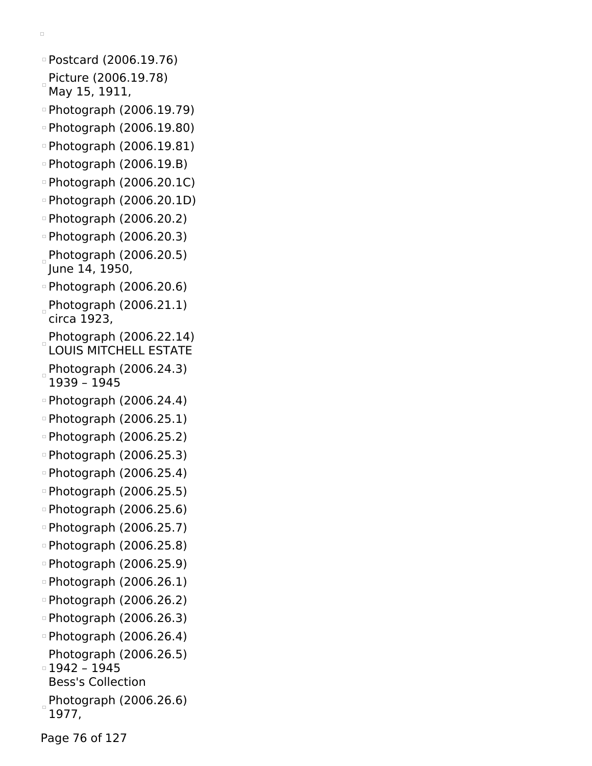```
\BoxPostcard (2006.19.76)
 Picture (2006.19.78)
 May 15, 1911,
Photograph (2006.19.79)
Photograph (2006.19.80)
Photograph (2006.19.81)
Photograph (2006.19.B)
Photograph (2006.20.1C)
Photograph (2006.20.1D)
Photograph (2006.20.2)
Photograph (2006.20.3)
Photograph (2006.20.5)
 June 14, 1950,
Photograph (2006.20.6)
Photograph (2006.21.1)circa 1923,
 Photograph (2006.22.14)
 LOUIS MITCHELL ESTATE
 Photograph (2006.24.3)
 1939 – 1945
Photograph (2006.24.4)
Photograph (2006.25.1)
Photograph (2006.25.2)
Photograph (2006.25.3)
Photograph (2006.25.4)
```
- Photograph (2006.25.5)
- Photograph (2006.25.6)
- Photograph (2006.25.7)
- Photograph (2006.25.8)
- Photograph (2006.25.9)
- Photograph (2006.26.1)
- Photograph (2006.26.2)
- Photograph (2006.26.3)
- Photograph (2006.26.4)
- Photograph (2006.26.5) 1942 – 1945
- Bess's Collection
- $P$ hotograph (2006.26.6)
- 1977,

Page 76 of 127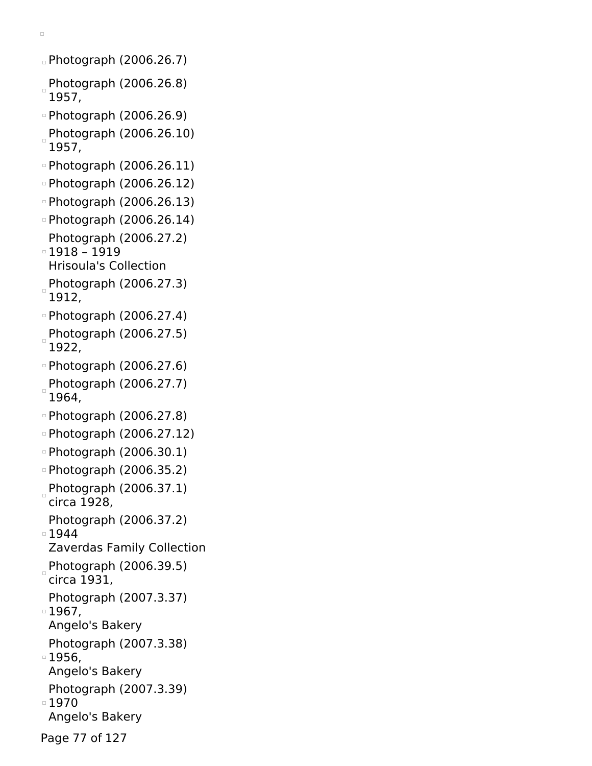```
Photograph (2006.26.7)
```
- Photograph (2006.26.8) 1957,
- Photograph (2006.26.9) Photograph (2006.26.10)
- 1957,
- Photograph (2006.26.11)
- Photograph (2006.26.12)
- Photograph (2006.26.13)
- Photograph (2006.26.14) Photograph (2006.27.2)
- 1918 1919 Hrisoula's Collection
- Photograph (2006.27.3) 1912,
- Photograph (2006.27.4)
- Photograph (2006.27.5) 1922,
- Photograph (2006.27.6)
- Photograph (2006.27.7) 1964,
- Photograph (2006.27.8)
- Photograph (2006.27.12)
- Photograph (2006.30.1)
- Photograph (2006.35.2)
- Photograph  $(2006.37.1)$ circa 1928,
- Photograph (2006.37.2)
- ■1944
- Zaverdas Family Collection
- Photograph (2006.39.5) circa 1931,
- Photograph (2007.3.37)
- 1967,
- Angelo's Bakery
- Photograph (2007.3.38)
- 1956,
- Angelo's Bakery
- Photograph (2007.3.39)
- ■1970
- Angelo's Bakery
- Page 77 of 127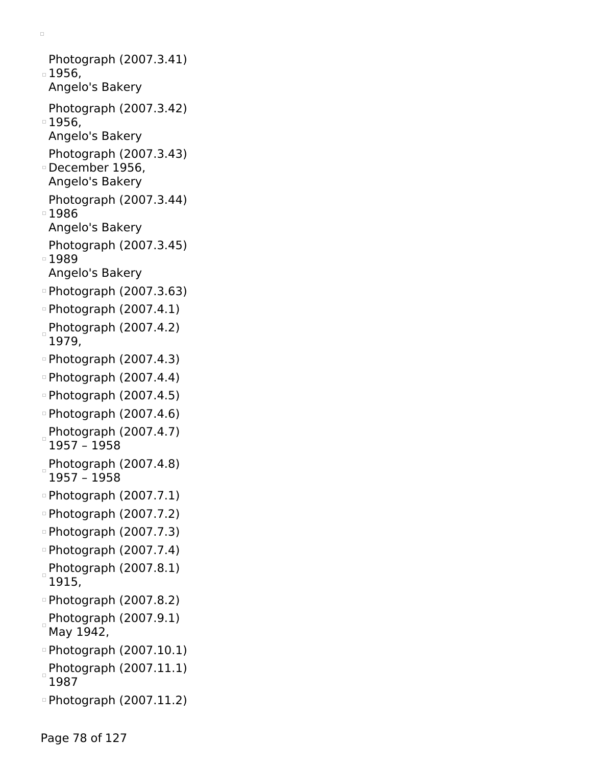Photograph (2007.3.41) 1956, Angelo's Bakery Photograph (2007.3.42) 1956, Angelo's Bakery Photograph (2007.3.43) December 1956, Angelo's Bakery Photograph (2007.3.44) 1986 Angelo's Bakery Photograph (2007.3.45) 1989 Angelo's Bakery Photograph (2007.3.63)  $\circ$  Photograph (2007.4.1) Photograph (2007.4.2) 1979,  $\circ$  Photograph (2007.4.3)  $\circ$  Photograph (2007.4.4)  $\circ$  Photograph (2007.4.5) Photograph (2007.4.6) Photograph (2007.4.7) 1957 – 1958 Photograph (2007.4.8)  $\Box$ 1957 – 1958 Photograph (2007.7.1) Photograph (2007.7.2) Photograph (2007.7.3) Photograph (2007.7.4) Photograph (2007.8.1) 1915, Photograph (2007.8.2) Photograph (2007.9.1) May 1942, Photograph (2007.10.1) Photograph (2007.11.1) 1987 Photograph (2007.11.2)

 $\Box$ 

Page 78 of 127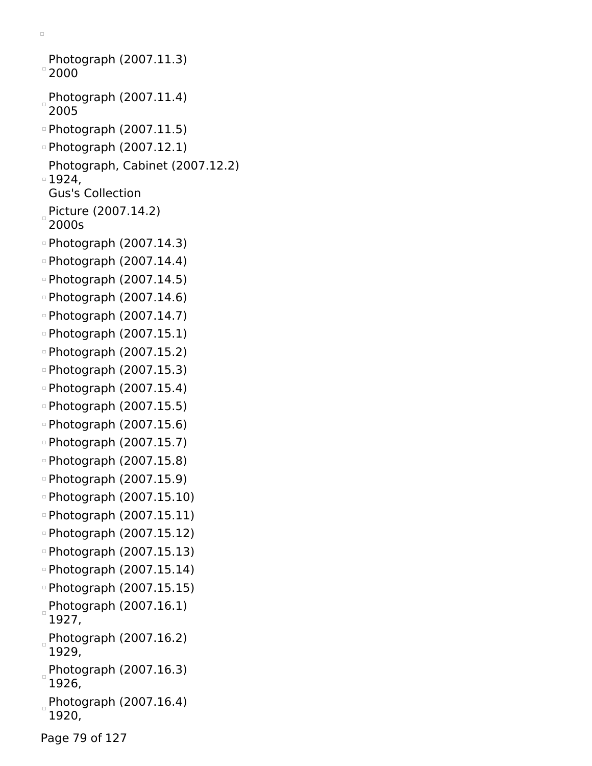```
Photograph (2007.11.3)
^{\circ} 2000
Photograph (2007.11.4)
 2005
Photograph (2007.11.5)
Photograph (2007.12.1)
 Photograph, Cabinet (2007.12.2)
1924,
 Gus's Collection
Picture (2007.14.2)
 2000s
Photograph (2007.14.3)
Photograph (2007.14.4)
Photograph (2007.14.5)
Photograph (2007.14.6)
Photograph (2007.14.7)
Photograph (2007.15.1)
Photograph (2007.15.2)
Photograph (2007.15.3)
Photograph (2007.15.4)
Photograph (2007.15.5)
Photograph (2007.15.6)
Photograph (2007.15.7)
Photograph (2007.15.8)
Photograph (2007.15.9)
Photograph (2007.15.10)
Photograph (2007.15.11)
Photograph (2007.15.12)
Photograph (2007.15.13)
Photograph (2007.15.14)
Photograph (2007.15.15)
Photograph (2007.16.1)
 1927,
Photograph (2007.16.2)
 1929,
Photograph (2007.16.3)
 1926,
Photograph (2007.16.4)
 1920,
```
 $\Box$ 

Page 79 of 127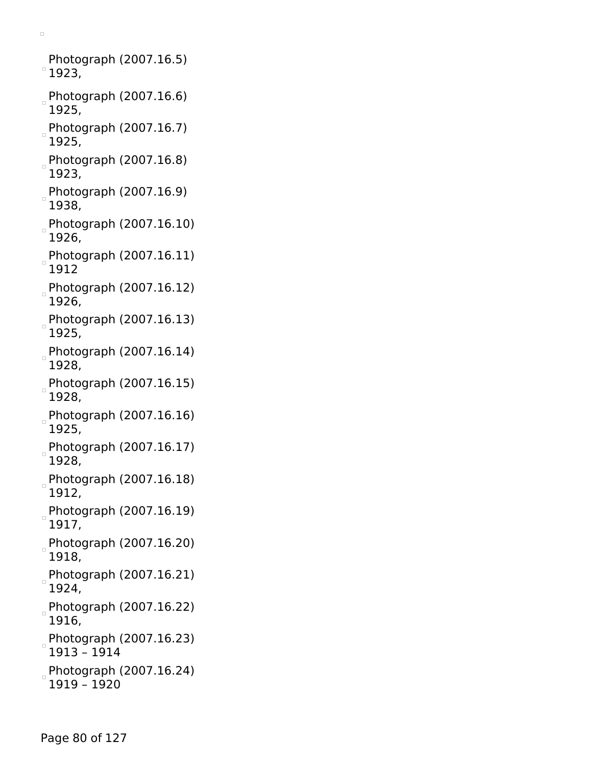Photograph (2007.16.5)  $^{\circ}$  1923,

- Photograph (2007.16.6) 1925,
- Photograph (2007.16.7) 1925,
- Photograph (2007.16.8) 1923,
- Photograph (2007.16.9) 1938,
- Photograph (2007.16.10) 1926,
- Photograph (2007.16.11) 1912
- Photograph (2007.16.12) 1926,
- Photograph (2007.16.13) 1925,
- Photograph (2007.16.14) 1928,
- $P$ hotograph (2007.16.15) 1928,
- Photograph  $(2007.16.16)$ 1925,
- Photograph (2007.16.17) 1928,
- Photograph (2007.16.18) 1912,
- Photograph (2007.16.19) 1917,
- Photograph (2007.16.20) 1918,
- Photograph (2007.16.21) 1924,
- Photograph (2007.16.22) 1916,
- Photograph (2007.16.23) 1913 – 1914
- Photograph (2007.16.24) 1919 – 1920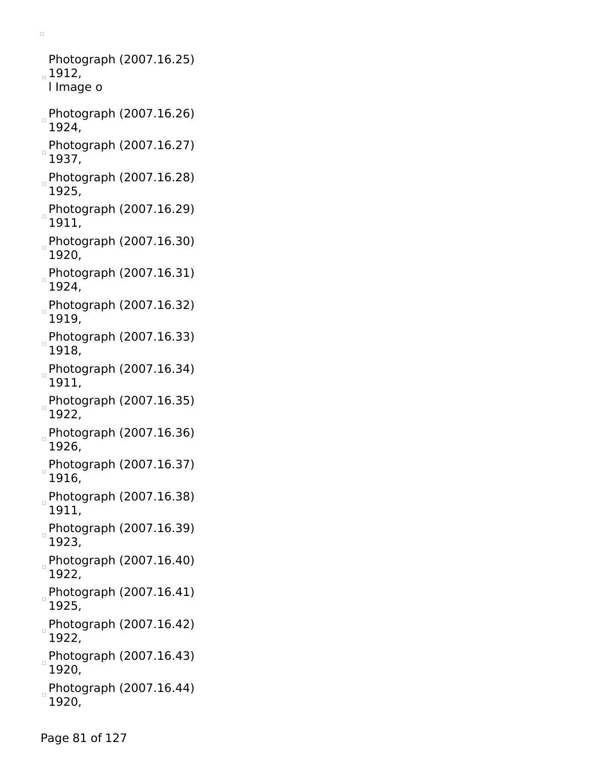Photograph (2007.16.25)  $1912,$ l Image o Photograph (2007.16.26) 1924, Photograph (2007.16.27) 1937, Photograph (2007.16.28) 1925,  $P$ hotograph (2007.16.29) 1911, Photograph (2007.16.30) 1920, Photograph (2007.16.31) 1924, Photograph (2007.16.32) 1919, Photograph (2007.16.33) 1918, Photograph (2007.16.34) 1911, Photograph (2007.16.35) 1922, Photograph (2007.16.36) 1926, Photograph (2007.16.37) h 1916, Photograph (2007.16.38) 1911, Photograph (2007.16.39) 1923, Photograph (2007.16.40) 1922, Photograph (2007.16.41) 1925, Photograph (2007.16.42) 1922, Photograph (2007.16.43) 1920, Photograph (2007.16.44)  $\Box$ 1920,

 $\Box$ 

Page 81 of 127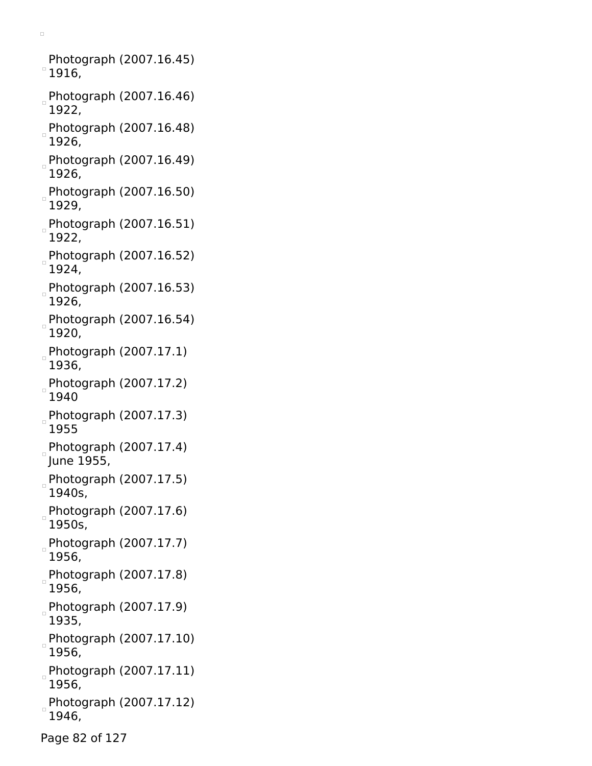Photograph (2007.16.45)  $^{\circ}$  1916,

- Photograph (2007.16.46)  $\Box$ 1922,
- Photograph (2007.16.48) 1926,
- Photograph (2007.16.49) 1926,
- Photograph (2007.16.50) 1929,
- Photograph (2007.16.51) 1922,
- Photograph (2007.16.52) 1924,
- Photograph (2007.16.53) 1926,
- Photograph (2007.16.54) 1920,
- Photograph (2007.17.1) 1936,
- Photograph (2007.17.2) 1940
- Photograph (2007.17.3) 1955
- Photograph  $(2007.17.4)$ June 1955,
- Photograph (2007.17.5) 1940s,
- Photograph (2007.17.6) 1950s,
- Photograph (2007.17.7) 1956,
- Photograph (2007.17.8) 1956,
- Photograph (2007.17.9)  $\Box$ 1935,
- Photograph (2007.17.10) 1956,
- Photograph (2007.17.11) 1956,
- Photograph (2007.17.12) 1946,
- Page 82 of 127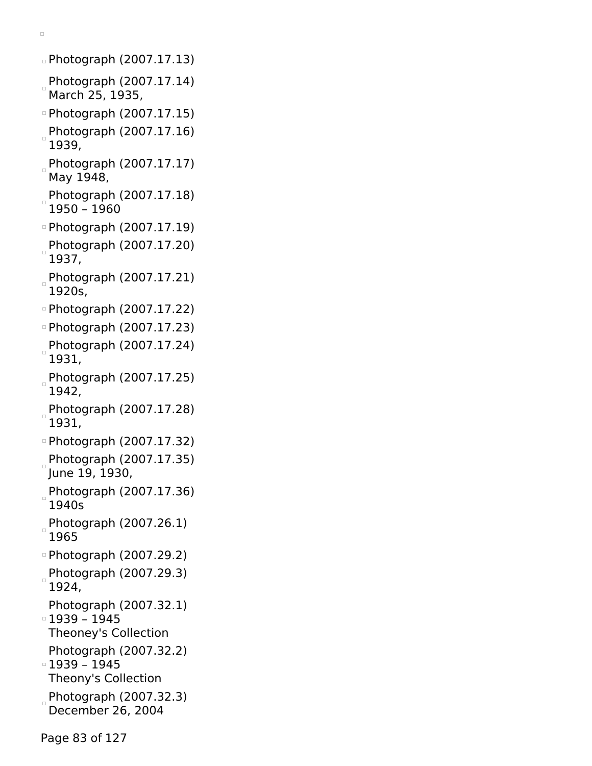Photograph (2007.17.13)

- Photograph (2007.17.14) March 25, 1935,
- Photograph (2007.17.15)
- Photograph (2007.17.16) 1939,
- Photograph (2007.17.17) May 1948,
- Photograph (2007.17.18) 1950 – 1960
- Photograph (2007.17.19)
- Photograph (2007.17.20) 1937,
- Photograph (2007.17.21) 1920s,
- Photograph (2007.17.22)
- Photograph (2007.17.23)
- Photograph (2007.17.24) 1931,
- Photograph (2007.17.25) 1942,
- Photograph (2007.17.28) 1931,
- Photograph (2007.17.32)
- Photograph (2007.17.35) June 19, 1930,
- Photograph (2007.17.36) 1940s
- Photograph (2007.26.1) 1965
- Photograph (2007.29.2)
- Photograph (2007.29.3) 1924,
- Photograph (2007.32.1) 1939 – 1945
- Theoney's Collection
- Photograph (2007.32.2)
- 1939 1945 Theony's Collection
- Photograph (2007.32.3)
- December 26, 2004
- Page 83 of 127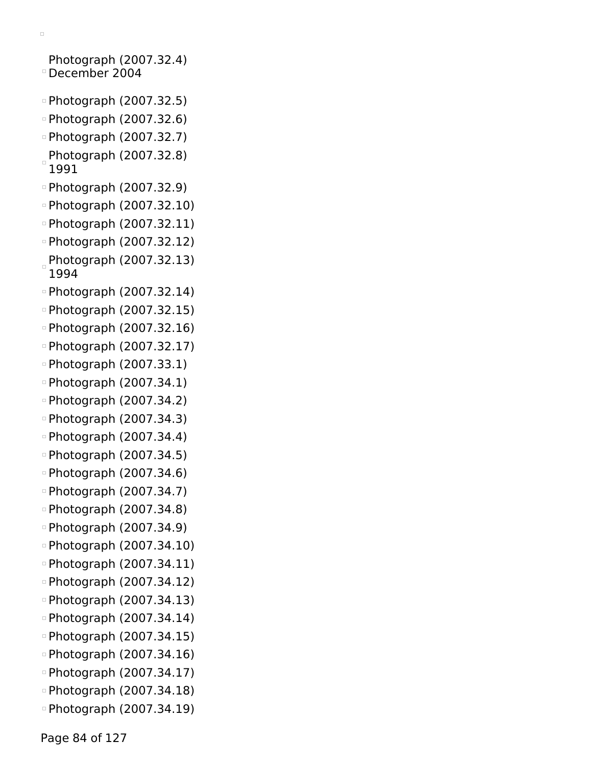$\Box$ Photograph (2007.32.4) December 2004 Photograph (2007.32.5) Photograph (2007.32.6) Photograph (2007.32.7) Photograph (2007.32.8) 1991 Photograph (2007.32.9) Photograph (2007.32.10) Photograph (2007.32.11) Photograph (2007.32.12) Photograph (2007.32.13) 1994 Photograph (2007.32.14) Photograph (2007.32.15) Photograph (2007.32.16) Photograph (2007.32.17) Photograph (2007.33.1) Photograph (2007.34.1) Photograph (2007.34.2) Photograph (2007.34.3) Photograph (2007.34.4) Photograph (2007.34.5) Photograph (2007.34.6) Photograph (2007.34.7) Photograph (2007.34.8) Photograph (2007.34.9) Photograph (2007.34.10) Photograph (2007.34.11) Photograph (2007.34.12) Photograph (2007.34.13) Photograph (2007.34.14) Photograph (2007.34.15)

- Photograph (2007.34.16)
- Photograph (2007.34.17)
- Photograph (2007.34.18)
- Photograph (2007.34.19)

Page 84 of 127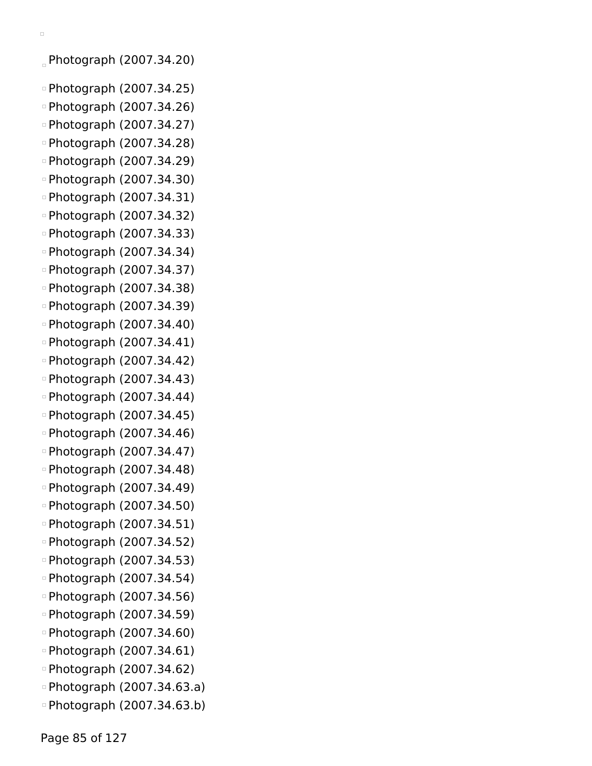```
\Box
```
Photograph (2007.34.20)

- Photograph (2007.34.25)
- Photograph (2007.34.26)
- Photograph (2007.34.27)
- Photograph (2007.34.28)
- Photograph (2007.34.29)
- Photograph (2007.34.30)
- Photograph (2007.34.31)
- Photograph (2007.34.32)
- Photograph (2007.34.33)
- Photograph (2007.34.34)
- Photograph (2007.34.37)
- Photograph (2007.34.38)
- Photograph (2007.34.39)
- Photograph (2007.34.40)
- Photograph (2007.34.41)
- Photograph (2007.34.42)
- Photograph (2007.34.43)
- Photograph (2007.34.44)
- Photograph (2007.34.45)
- Photograph (2007.34.46)
- Photograph (2007.34.47)
- Photograph (2007.34.48)
- Photograph (2007.34.49)
- Photograph (2007.34.50)
- Photograph (2007.34.51)
- Photograph (2007.34.52)
- Photograph (2007.34.53)
- Photograph (2007.34.54)
- Photograph (2007.34.56)
- Photograph (2007.34.59)
- Photograph (2007.34.60)
- Photograph (2007.34.61)
- Photograph (2007.34.62)
- Photograph (2007.34.63.a)
- Photograph (2007.34.63.b)

Page 85 of 127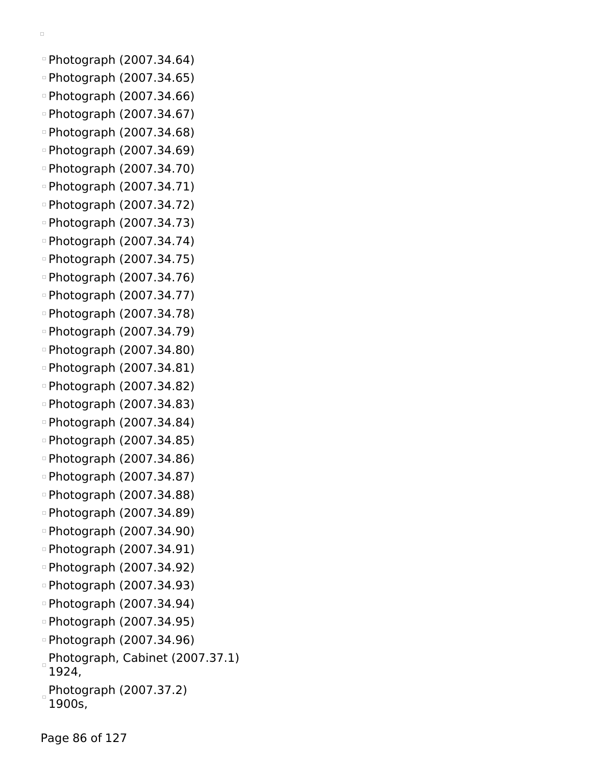```
\Box
```
- Photograph (2007.34.64) Photograph (2007.34.65)
- Photograph (2007.34.66)
- Photograph (2007.34.67)
- Photograph (2007.34.68)
- Photograph (2007.34.69)
- Photograph (2007.34.70)
- Photograph (2007.34.71)
- Photograph (2007.34.72)
- Photograph (2007.34.73)
- Photograph (2007.34.74)
- Photograph (2007.34.75)
- Photograph (2007.34.76)
- Photograph (2007.34.77)
- Photograph (2007.34.78)
- Photograph (2007.34.79)
- Photograph (2007.34.80)
- Photograph (2007.34.81)
- Photograph (2007.34.82)
- Photograph (2007.34.83)
- Photograph (2007.34.84)
- Photograph (2007.34.85)
- Photograph (2007.34.86)
- Photograph (2007.34.87)
- Photograph (2007.34.88)
- Photograph (2007.34.89)
- Photograph (2007.34.90)
- Photograph (2007.34.91)
- Photograph (2007.34.92)
- Photograph (2007.34.93)
- Photograph (2007.34.94)
- Photograph (2007.34.95)
- Photograph (2007.34.96)
- Photograph, Cabinet (2007.37.1) 1924,
- Photograph (2007.37.2)
- 1900s,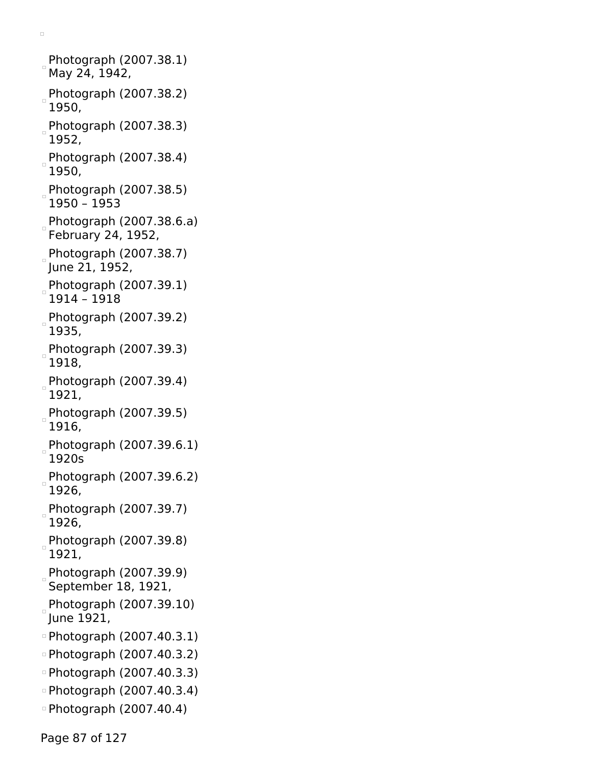Photograph (2007.38.1) May 24, 1942, Photograph (2007.38.2) 1950, Photograph (2007.38.3) 1952, Photograph (2007.38.4) 1950, Photograph (2007.38.5) 1950 – 1953 Photograph (2007.38.6.a) February 24, 1952, Photograph (2007.38.7) June 21, 1952, Photograph (2007.39.1) 1914 – 1918 Photograph (2007.39.2) 1935, Photograph (2007.39.3) 1918, Photograph (2007.39.4) 1921, Photograph (2007.39.5) 1916, Photograph (2007.39.6.1) 1920s Photograph (2007.39.6.2) 1926, Photograph (2007.39.7) 1926, Photograph (2007.39.8) 1921, Photograph (2007.39.9) September 18, 1921, Photograph (2007.39.10) June 1921, Photograph (2007.40.3.1) Photograph (2007.40.3.2) Photograph (2007.40.3.3) Photograph (2007.40.3.4) Photograph (2007.40.4)

 $\Box$ 

Page 87 of 127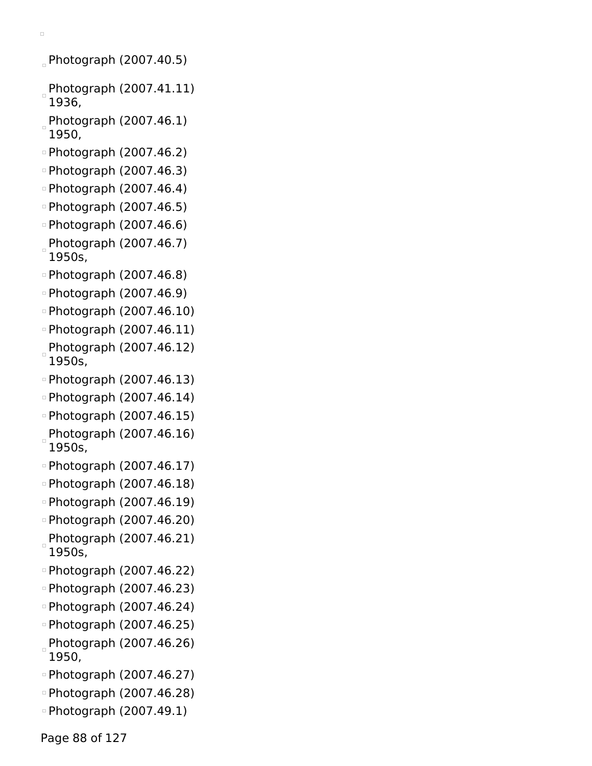- $P$ hotograph (2007.40.5)
- Photograph (2007.41.11) 1936,
- Photograph (2007.46.1) 1950,
- Photograph (2007.46.2)
- Photograph (2007.46.3)
- Photograph (2007.46.4)
- Photograph (2007.46.5)
- Photograph (2007.46.6)
- Photograph (2007.46.7) 1950s,
- □ Photograph (2007.46.8)
- Photograph (2007.46.9)
- Photograph (2007.46.10)
- Photograph (2007.46.11)
- Photograph (2007.46.12) 1950s,
- Photograph (2007.46.13)
- Photograph (2007.46.14)
- Photograph (2007.46.15)
- $P$ hotograph (2007.46.16) 1950s,
- Photograph (2007.46.17)
- Photograph (2007.46.18)
- Photograph (2007.46.19)
- Photograph (2007.46.20) Photograph (2007.46.21)
- 1950s, Photograph (2007.46.22)
- 
- Photograph (2007.46.23)
- Photograph (2007.46.24)
- Photograph (2007.46.25)
- Photograph (2007.46.26) 1950,
- Photograph (2007.46.27)
- Photograph (2007.46.28)
- Photograph (2007.49.1)

Page 88 of 127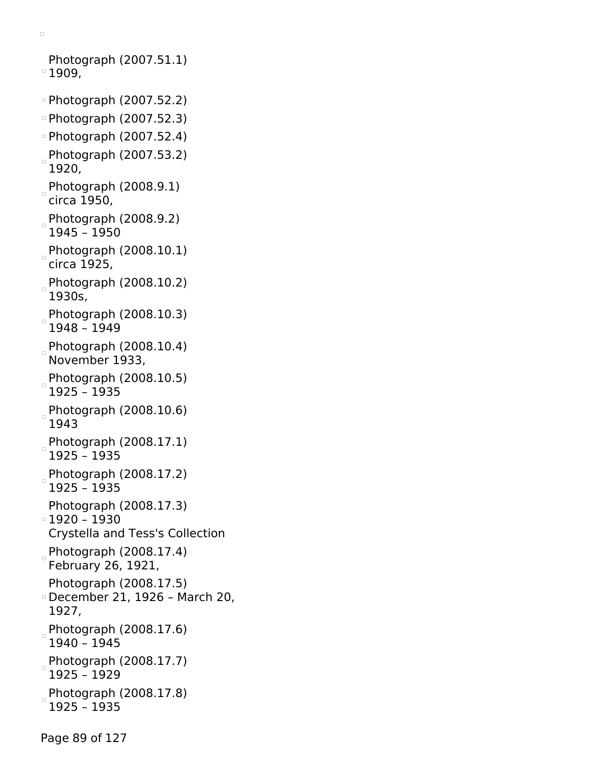Photograph (2007.51.1)  $^{\circ}$  1909, Photograph (2007.52.2) Photograph (2007.52.3) Photograph (2007.52.4)

Photograph (2007.53.2) 1920,

Photograph  $(2008.9.1)$ circa 1950,

Photograph (2008.9.2) 1945 – 1950

Photograph (2008.10.1) circa 1925,

Photograph (2008.10.2) 1930s,

Photograph (2008.10.3) 1948 – 1949

Photograph (2008.10.4) November 1933,

Photograph (2008.10.5) 1925 – 1935

Photograph (2008.10.6) 1943

Photograph (2008.17.1) 1925 – 1935

Photograph (2008.17.2) 1925 – 1935

Photograph (2008.17.3)

1920 – 1930 Crystella and Tess's Collection

 $P$ hotograph (2008.17.4) February 26, 1921,

Photograph (2008.17.5)

December 21, 1926 – March 20, 1927,

Photograph  $(2008.17.6)$ 1940 – 1945

Photograph (2008.17.7) 1925 – 1929

Photograph (2008.17.8) 1925 – 1935

Page 89 of 127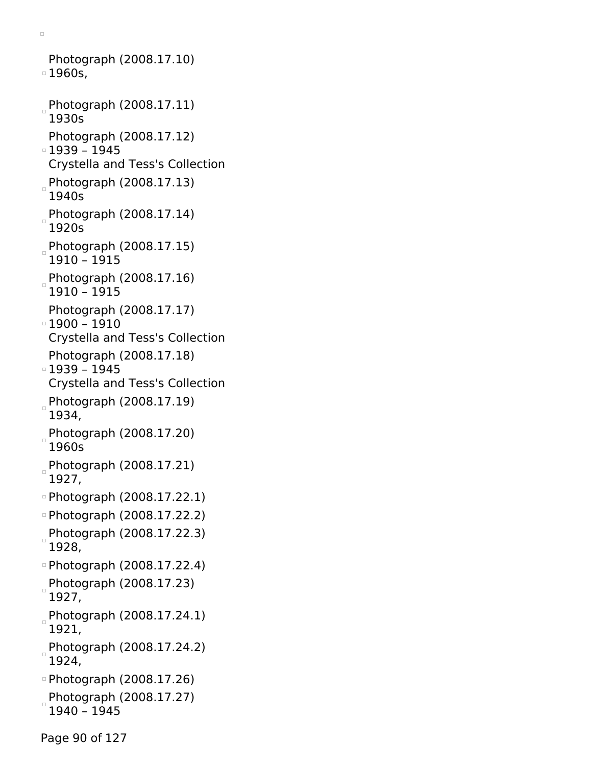Photograph (2008.17.10) 1960s, Photograph (2008.17.11) 1930s Photograph (2008.17.12) 1939 – 1945 Crystella and Tess's Collection Photograph (2008.17.13) 1940s Photograph (2008.17.14) 1920s Photograph (2008.17.15) 1910 – 1915 Photograph (2008.17.16) 1910 – 1915 Photograph (2008.17.17) 1900 – 1910 Crystella and Tess's Collection Photograph (2008.17.18) 1939 – 1945 Crystella and Tess's Collection Photograph (2008.17.19) 1934, Photograph (2008.17.20) 1960s Photograph (2008.17.21) 1927, Photograph (2008.17.22.1) Photograph (2008.17.22.2) Photograph (2008.17.22.3) 1928, Photograph (2008.17.22.4) Photograph (2008.17.23) 1927, Photograph (2008.17.24.1) 1921, Photograph (2008.17.24.2) 1924, Photograph (2008.17.26) Photograph (2008.17.27) 1940 – 1945

 $\Box$ 

Page 90 of 127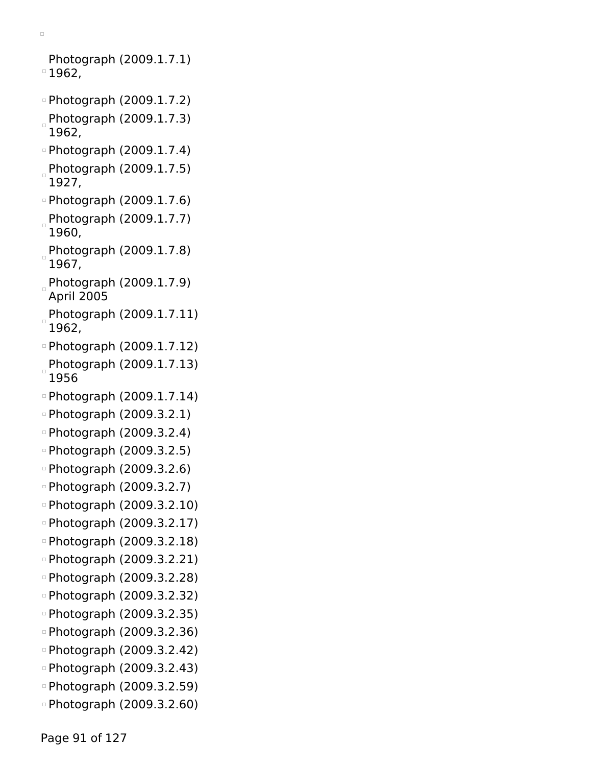$\Box$ Photograph (2009.1.7.1)  $^{\circ}$  1962, Photograph (2009.1.7.2) Photograph (2009.1.7.3) 1962, Photograph (2009.1.7.4) Photograph (2009.1.7.5) 1927,

- Photograph (2009.1.7.6)
- Photograph (2009.1.7.7) 1960,
- Photograph (2009.1.7.8) 1967,
- Photograph (2009.1.7.9) April 2005
- Photograph (2009.1.7.11) 1962,
- Photograph (2009.1.7.12)
- Photograph (2009.1.7.13) 1956
- Photograph (2009.1.7.14)
- Photograph (2009.3.2.1)
- Photograph (2009.3.2.4)
- Photograph (2009.3.2.5)
- Photograph (2009.3.2.6)
- Photograph (2009.3.2.7)
- Photograph (2009.3.2.10)
- Photograph (2009.3.2.17)
- Photograph (2009.3.2.18)
- Photograph (2009.3.2.21)
- Photograph (2009.3.2.28)
- Photograph (2009.3.2.32)
- Photograph (2009.3.2.35)
- Photograph (2009.3.2.36)
- Photograph (2009.3.2.42)
- Photograph (2009.3.2.43)
- Photograph (2009.3.2.59)
- Photograph (2009.3.2.60)

Page 91 of 127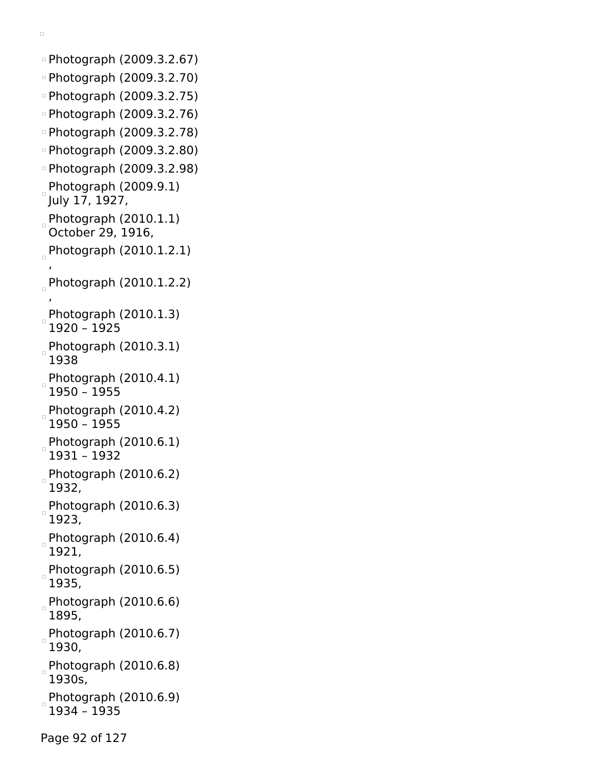Photograph (2009.3.2.67) Photograph (2009.3.2.70) Photograph (2009.3.2.75) Photograph (2009.3.2.76) Photograph (2009.3.2.78) Photograph (2009.3.2.80) Photograph (2009.3.2.98) Photograph (2009.9.1) July 17, 1927, Photograph  $(2010.1.1)$ October 29, 1916, Photograph  $(2010.1.2.1)$ , Photograph (2010.1.2.2) , Photograph (2010.1.3) 1920 – 1925 Photograph (2010.3.1) 1938 Photograph (2010.4.1) 1950 – 1955 Photograph (2010.4.2) 1950 – 1955 Photograph (2010.6.1)  $\Box$ 1931 – 1932 Photograph (2010.6.2) 1932, Photograph (2010.6.3) 1923, Photograph (2010.6.4) 1921, Photograph (2010.6.5) 1935, Photograph (2010.6.6) 1895, Photograph (2010.6.7) 1930, Photograph (2010.6.8) 1930s, Photograph (2010.6.9)  $\Box$ 1934 – 1935

 $\Box$ 

Page 92 of 127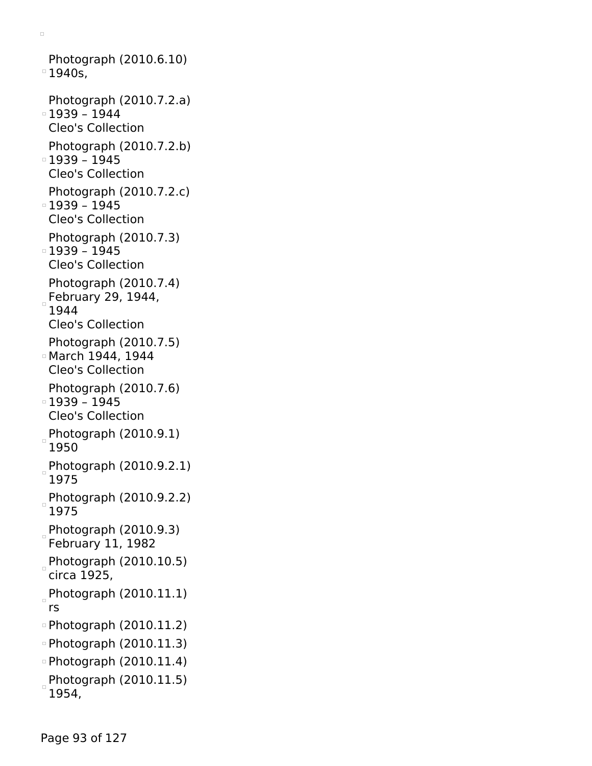Photograph (2010.6.10) <sup>o</sup> 1940s, Photograph (2010.7.2.a) 1939 – 1944 Cleo's Collection Photograph (2010.7.2.b) 1939 – 1945 Cleo's Collection Photograph (2010.7.2.c) 1939 – 1945 Cleo's Collection Photograph (2010.7.3) 1939 – 1945 Cleo's Collection Photograph (2010.7.4) February 29,  $1944$ , 1944 Cleo's Collection Photograph (2010.7.5) March 1944, 1944 Cleo's Collection Photograph (2010.7.6) 1939 – 1945 Cleo's Collection  $P$ hotograph (2010.9.1) 1950 Photograph (2010.9.2.1) 1975 Photograph (2010.9.2.2) 1975 Photograph (2010.9.3) February 11, 1982 Photograph (2010.10.5) circa 1925,  $P$ hotograph (2010.11.1) rs Photograph (2010.11.2) Photograph (2010.11.3) Photograph (2010.11.4)  $P$ hotograph (2010.11.5) 1954,

 $\Box$ 

Page 93 of 127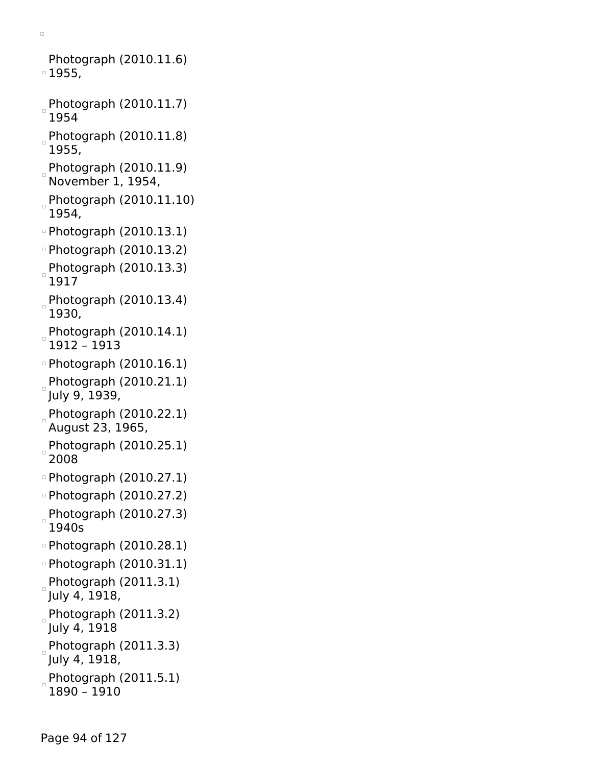Photograph (2010.11.6) 1955, Photograph (2010.11.7) 1954 Photograph (2010.11.8) 1955,  $P$ hotograph (2010.11.9) November 1, 1954, Photograph (2010.11.10) 1954, Photograph (2010.13.1) Photograph (2010.13.2) Photograph (2010.13.3)  $\Box$ 1917 Photograph (2010.13.4) 1930, Photograph (2010.14.1) 1912 – 1913 Photograph (2010.16.1) Photograph (2010.21.1) July 9, 1939, Photograph (2010.22.1) August 23, 1965, Photograph (2010.25.1) 2008 Photograph (2010.27.1) Photograph (2010.27.2) Photograph (2010.27.3) 1940s Photograph (2010.28.1) Photograph (2010.31.1) Photograph (2011.3.1) July 4, 1918, Photograph (2011.3.2) July 4, 1918 Photograph (2011.3.3) July 4, 1918, Photograph (2011.5.1)

 $\Box$ 

1890 – 1910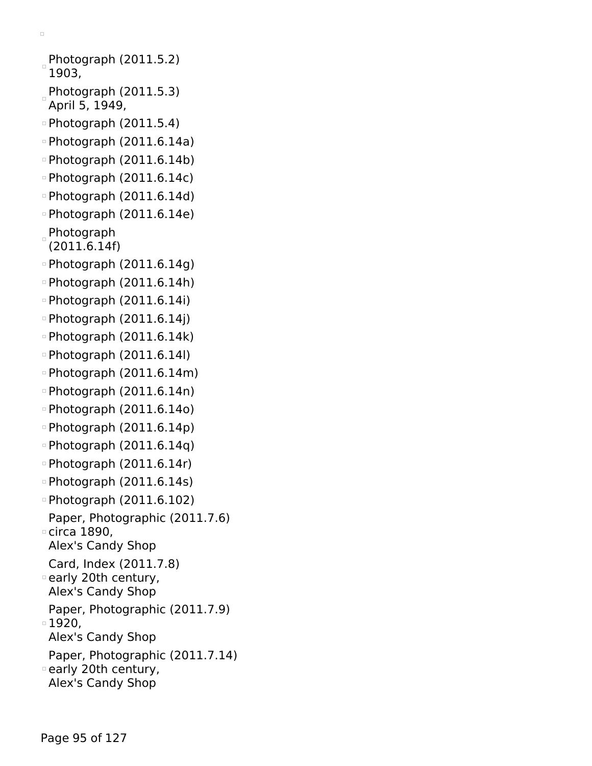```
Photograph (2011.5.2)
 1903,
Photograph (2011.5.3)
April 5, 1949,
Photograph (2011.5.4)
\degreePhotograph (2011.6.14a)
Photograph (2011.6.14b)
Photograph (2011.6.14c)
Photograph (2011.6.14d)
Photograph (2011.6.14e)
Photograph
(2011.6.14f)
Photograph (2011.6.14g)
Photograph (2011.6.14h)
Photograph (2011.6.14i)
\degreePhotograph (2011.6.14j)
Photograph (2011.6.14k)
Photograph (2011.6.14l)
Photograph (2011.6.14m)
Photograph (2011.6.14n)
Photograph (2011.6.14o)
Photograph (2011.6.14p)
Photograph (2011.6.14q)
Photograph (2011.6.14r)
Photograph (2011.6.14s)
Photograph (2011.6.102)
 Paper, Photographic (2011.7.6)
circa 1890,
 Alex's Candy Shop
 Card, Index (2011.7.8)
early 20th century,
 Alex's Candy Shop
 Paper, Photographic (2011.7.9)
□ 1920,
 Alex's Candy Shop
 Paper, Photographic (2011.7.14)
early 20th century,
 Alex's Candy Shop
```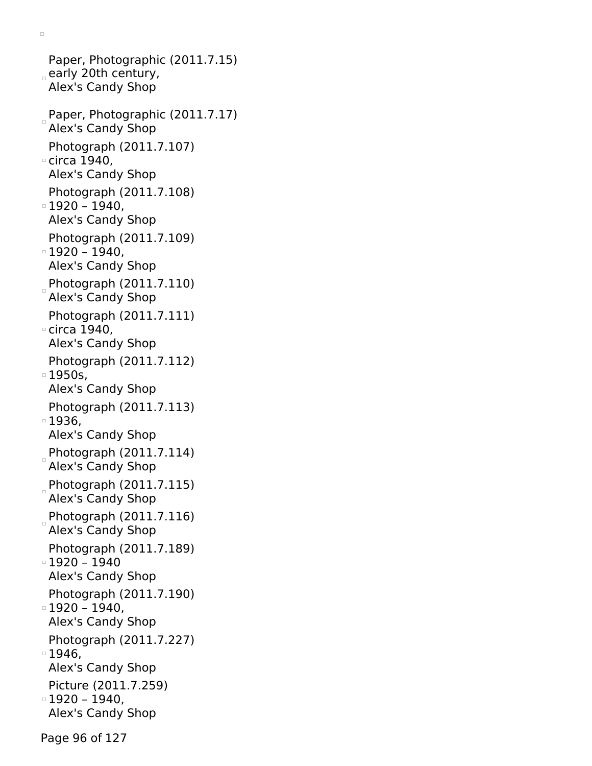Paper, Photographic (2011.7.15)  $_{\circ}$  early 20th century, Alex's Candy Shop Paper, Photographic (2011.7.17) Alex's Candy Shop Photograph (2011.7.107) circa 1940, Alex's Candy Shop Photograph (2011.7.108)  $\,\circ$  1920 – 1940, Alex's Candy Shop Photograph (2011.7.109) 1920 – 1940, Alex's Candy Shop Photograph (2011.7.110) Alex's Candy Shop Photograph (2011.7.111) circa 1940, Alex's Candy Shop Photograph (2011.7.112) 1950s, Alex's Candy Shop Photograph (2011.7.113) 1936, Alex's Candy Shop Photograph (2011.7.114) Alex's Candy Shop Photograph (2011.7.115) Alex's Candy Shop Photograph (2011.7.116) Alex's Candy Shop Photograph (2011.7.189) 1920 – 1940 Alex's Candy Shop Photograph (2011.7.190) 1920 – 1940, Alex's Candy Shop Photograph (2011.7.227) 1946, Alex's Candy Shop Picture (2011.7.259) 1920 – 1940, Alex's Candy Shop

 $\Box$ 

Page 96 of 127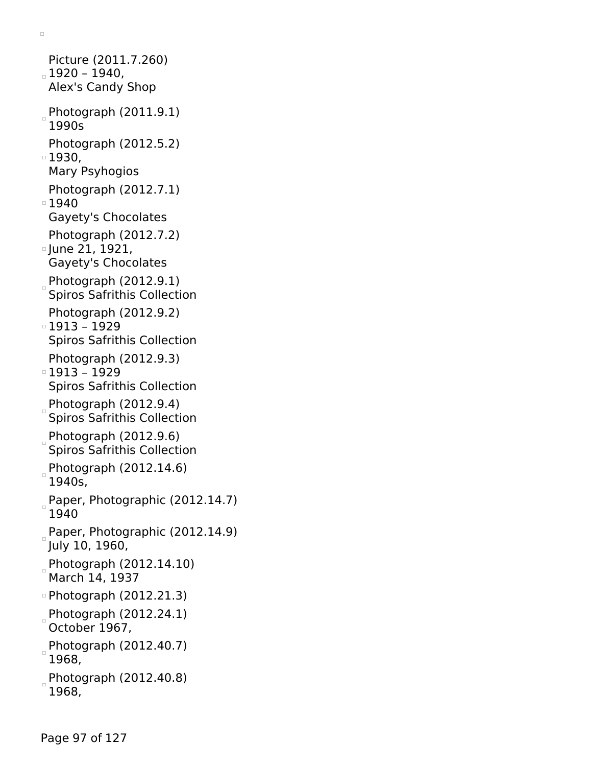Picture (2011.7.260)  $_{\circ}$  1920 – 1940, Alex's Candy Shop Photograph (2011.9.1) 1990s Photograph (2012.5.2) □ 1930, Mary Psyhogios Photograph (2012.7.1) ■1940 Gayety's Chocolates Photograph (2012.7.2) June 21, 1921, Gayety's Chocolates Photograph (2012.9.1) Spiros Safrithis Collection Photograph (2012.9.2) 1913 – 1929 Spiros Safrithis Collection Photograph (2012.9.3) 1913 – 1929 Spiros Safrithis Collection Photograph (2012.9.4) Spiros Safrithis Collection Photograph (2012.9.6) Spiros Safrithis Collection Photograph (2012.14.6) 1940s, Paper, Photographic (2012.14.7) 1940 Paper, Photographic  $(2012.14.9)$ July 10, 1960, Photograph (2012.14.10) March 14, 1937 Photograph (2012.21.3) Photograph (2012.24.1) October 1967, Photograph (2012.40.7) 1968, Photograph (2012.40.8) 1968,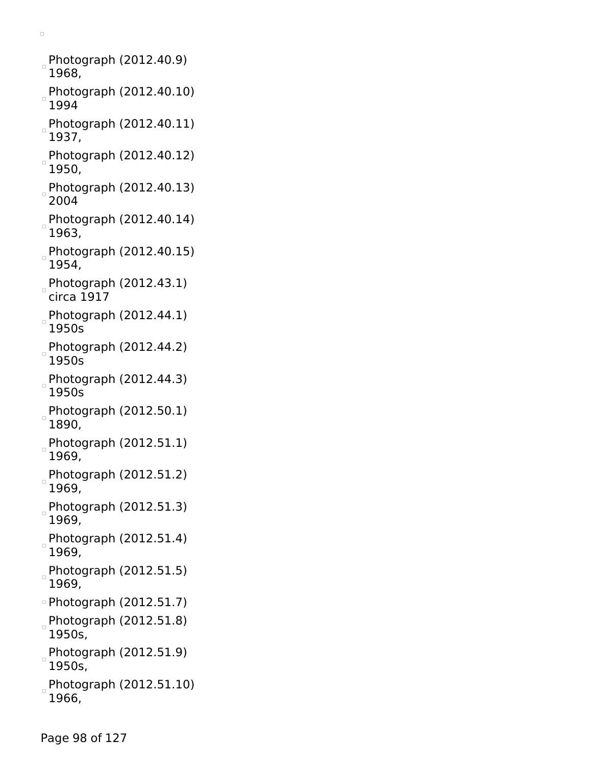Photograph (2012.40.9) 1968, Photograph (2012.40.10) 1994 Photograph (2012.40.11) 1937, Photograph (2012.40.12) 1950, Photograph (2012.40.13) 2004 Photograph (2012.40.14) 1963, Photograph (2012.40.15) 1954, Photograph  $(2012.43.1)$ circa 1917 Photograph (2012.44.1) 1950s Photograph (2012.44.2) 1950s Photograph (2012.44.3) 1950s Photograph (2012.50.1) 1890, Photograph (2012.51.1) 1969, Photograph (2012.51.2) 1969, Photograph (2012.51.3) 1969, Photograph (2012.51.4) 1969, Photograph (2012.51.5) 1969, Photograph (2012.51.7) Photograph (2012.51.8) 1950s, Photograph (2012.51.9) 1950s,  $P$ hotograph (2012.51.10) 1966,

 $\Box$ 

Page 98 of 127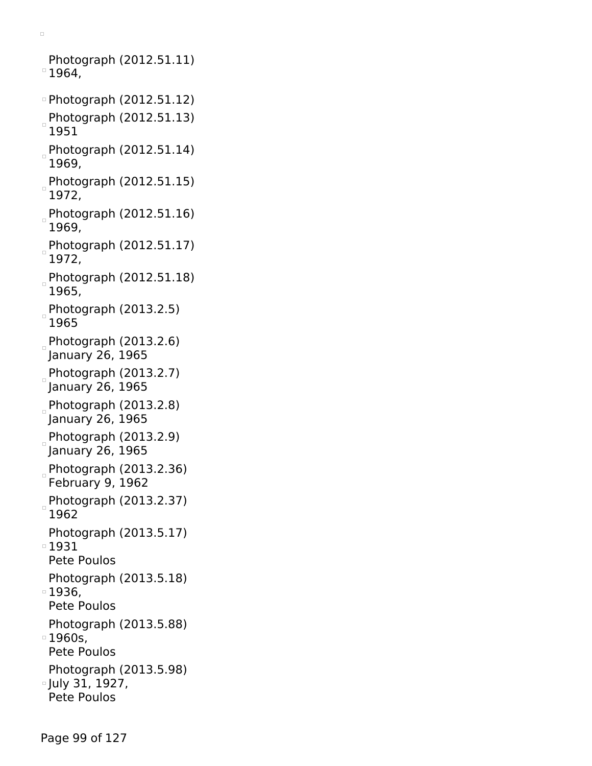$\Box$ 

Photograph (2012.51.11)  $^{\circ}$  1964,

- Photograph (2012.51.12) Photograph (2012.51.13)  $\frac{1}{2}$ 1951
- Photograph (2012.51.14) 1969,
- Photograph (2012.51.15) 1972,
- Photograph (2012.51.16) 1969,
- Photograph (2012.51.17) 1972,
- Photograph (2012.51.18) 1965,
- Photograph (2013.2.5) 1965
- Photograph (2013.2.6) January 26, 1965
- $Photography (2013.2.7)$ January 26, 1965
- Photograph  $(2013.2.8)$ January 26, 1965
- Photograph (2013.2.9) January 26, 1965
- Photograph (2013.2.36) February 9, 1962
- Photograph (2013.2.37) 1962
- Photograph (2013.5.17)
- 1931
- Pete Poulos
- Photograph (2013.5.18) 1936,
- Pete Poulos
- Photograph (2013.5.88)
- 1960s,
- Pete Poulos
- Photograph (2013.5.98) July 31, 1927,
- Pete Poulos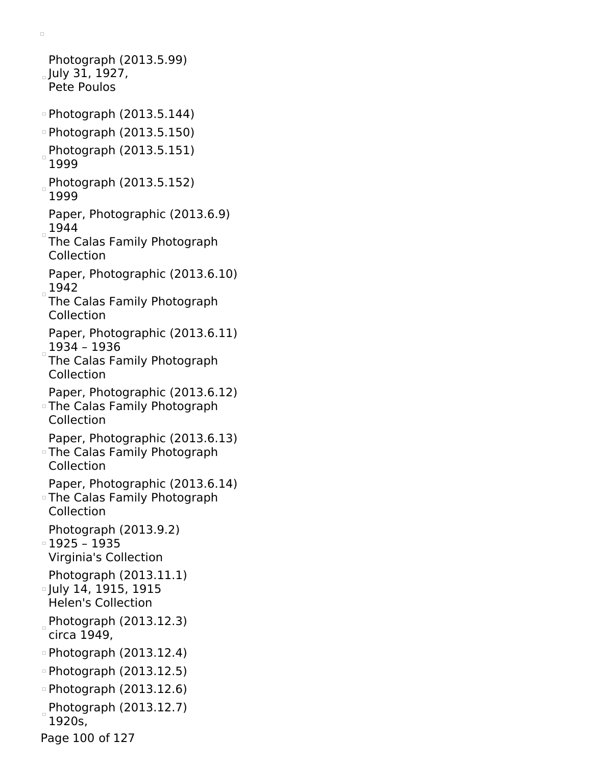Photograph (2013.5.99)  $_{\circ}$  July 31, 1927, Pete Poulos Photograph (2013.5.144) Photograph (2013.5.150) Photograph (2013.5.151) 1999 Photograph (2013.5.152) 1999 Paper, Photographic (2013.6.9) 1944 The Calas Family Photograph Collection Paper, Photographic (2013.6.10) 1942 The Calas Family Photograph Collection Paper, Photographic (2013.6.11) 1934 – 1936 The Calas Family Photograph Collection Paper, Photographic (2013.6.12) The Calas Family Photograph Collection Paper, Photographic (2013.6.13) The Calas Family Photograph Collection Paper, Photographic (2013.6.14) The Calas Family Photograph Collection Photograph (2013.9.2) 1925 – 1935 Virginia's Collection Photograph (2013.11.1) **July 14, 1915, 1915** Helen's Collection Photograph  $(2013.12.3)$ circa 1949, Photograph (2013.12.4) Photograph (2013.12.5) Photograph (2013.12.6) Photograph (2013.12.7) 1920s,

 $\Box$ 

Page 100 of 127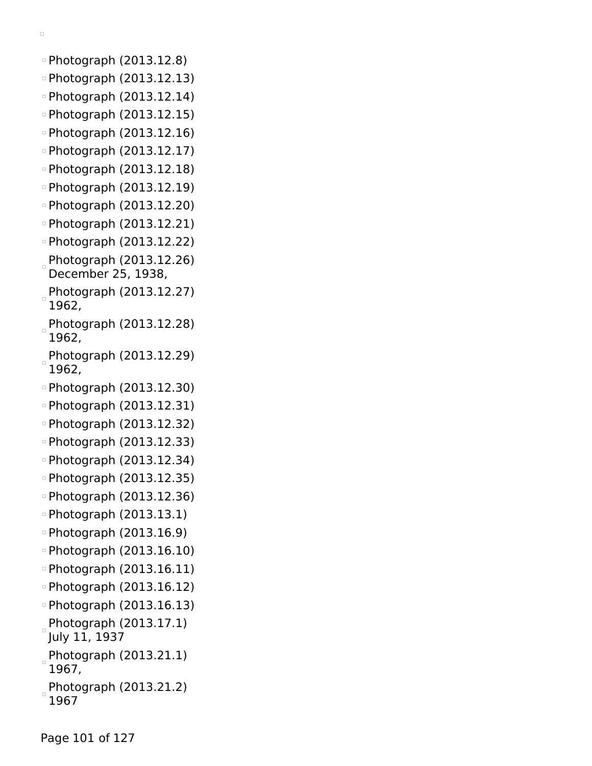- Photograph (2013.12.8)
- Photograph (2013.12.13)
- Photograph (2013.12.14)
- Photograph (2013.12.15)
- Photograph (2013.12.16)
- Photograph (2013.12.17)
- Photograph (2013.12.18)
- Photograph (2013.12.19)
- Photograph (2013.12.20)
- Photograph (2013.12.21)
- Photograph (2013.12.22)
- Photograph (2013.12.26) December 25, 1938,
- Photograph (2013.12.27) 1962,
- Photograph (2013.12.28) 1962,
- Photograph (2013.12.29) 1962,
- Photograph (2013.12.30)
- Photograph (2013.12.31)
- Photograph (2013.12.32)
- Photograph (2013.12.33)
- Photograph (2013.12.34)
- Photograph (2013.12.35)
- Photograph (2013.12.36)
- Photograph (2013.13.1)
- Photograph (2013.16.9)
- Photograph (2013.16.10)
- Photograph (2013.16.11)
- Photograph (2013.16.12)
- Photograph (2013.16.13)
- Photograph (2013.17.1) July 11, 1937
- Photograph (2013.21.1) 1967,
- Photograph (2013.21.2) 1967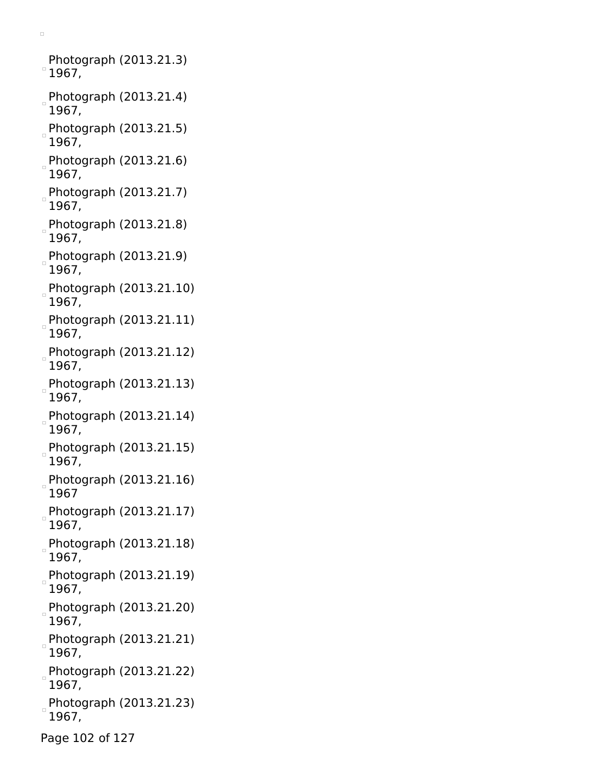Photograph (2013.21.3)  $^{\circ}$  1967,

- Photograph (2013.21.4) 1967,
- Photograph  $(2013.21.5)$ 1967,
- Photograph (2013.21.6) 1967,
- Photograph (2013.21.7) 1967,
- $P$ hotograph (2013.21.8) 1967,
- Photograph (2013.21.9) 1967,
- Photograph (2013.21.10) 1967,
- Photograph (2013.21.11) 1967,
- $P$ hotograph (2013.21.12) 1967,
- Photograph (2013.21.13) 1967,
- Photograph (2013.21.14) 1967,
- Photograph (2013.21.15) 1967,
- Photograph (2013.21.16) 1967
- Photograph (2013.21.17) 1967,
- Photograph (2013.21.18) 1967,
- Photograph (2013.21.19) 1967,
- Photograph (2013.21.20)  $\overline{a}$ 1967,
- Photograph (2013.21.21) 1967,
- Photograph (2013.21.22) 1967,
- Photograph (2013.21.23) 1967,
- Page 102 of 127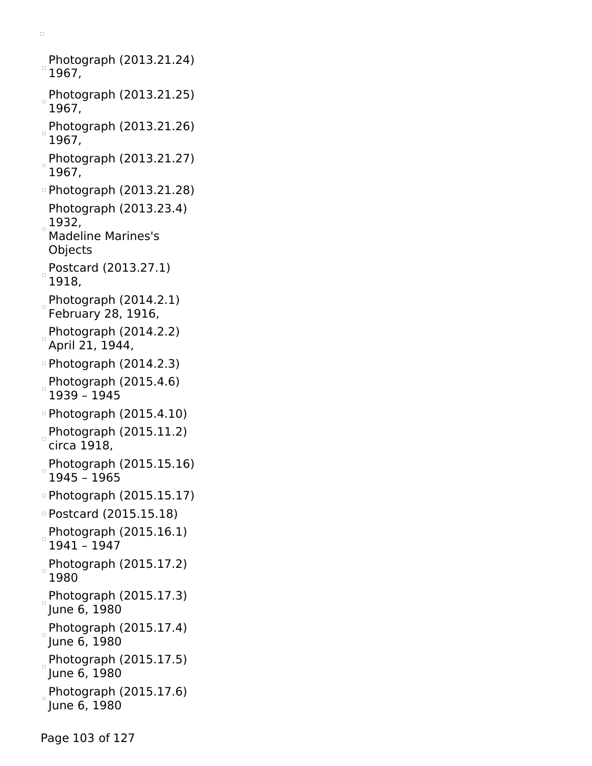Photograph (2013.21.24)  $^{\circ}$  1967, Photograph (2013.21.25)  $\begin{array}{c} \square \end{array}$ 1967, Photograph (2013.21.26) 1967, Photograph (2013.21.27) 1967, Photograph (2013.21.28) Photograph (2013.23.4)  $1932,$ Madeline Marines's Objects Postcard (2013.27.1) 1918, Photograph  $(2014.2.1)$ February 28, 1916, Photograph (2014.2.2) April 21, 1944, Photograph (2014.2.3) Photograph (2015.4.6) 1939 – 1945 Photograph (2015.4.10) Photograph (2015.11.2) circa 1918, Photograph (2015.15.16) 1945 – 1965 Photograph (2015.15.17) Postcard (2015.15.18) Photograph (2015.16.1) 1941 – 1947 Photograph (2015.17.2) 1980 Photograph (2015.17.3) June 6, 1980  $Photograph (2015.17.4)$ June 6, 1980  $P$ hotograph (2015.17.5) June 6, 1980  $P$ hotograph (2015.17.6) June 6, 1980

 $\Box$ 

Page 103 of 127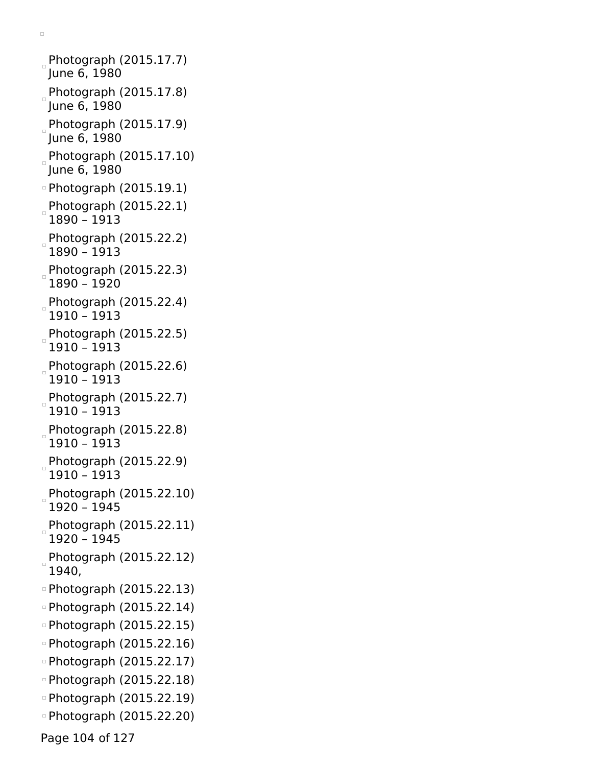Photograph  $(2015.17.7)$ June 6, 1980  $P$ hotograph (2015.17.8) June 6, 1980 Photograph (2015.17.9) June 6, 1980 Photograph (2015.17.10) June 6, 1980 Photograph (2015.19.1) Photograph (2015.22.1) 1890 – 1913 Photograph (2015.22.2) 1890 – 1913  $P$ hotograph (2015.22.3) 1890 – 1920 Photograph (2015.22.4) 1910 – 1913 Photograph (2015.22.5) 1910 – 1913 Photograph (2015.22.6) 1910 – 1913 Photograph (2015.22.7) 1910 – 1913 Photograph (2015.22.8) 1910 – 1913 Photograph (2015.22.9) 1910 – 1913 Photograph (2015.22.10) 1920 – 1945 Photograph (2015.22.11) 1920 – 1945 Photograph (2015.22.12) 1940, Photograph (2015.22.13) Photograph (2015.22.14) Photograph (2015.22.15) Photograph (2015.22.16) Photograph (2015.22.17) Photograph (2015.22.18) Photograph (2015.22.19) Photograph (2015.22.20) Page 104 of 127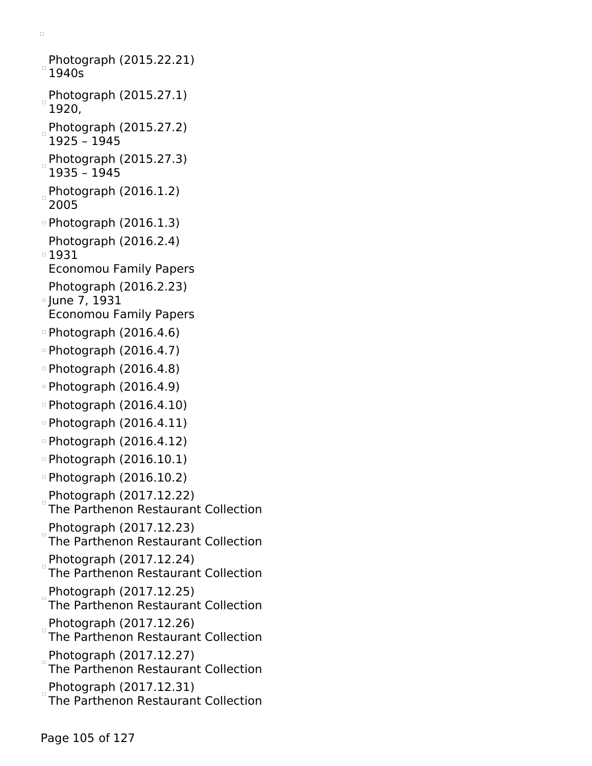- Photograph (2015.22.21)  $^{\circ}$  1940s
- Photograph (2015.27.1) 1920,
- Photograph (2015.27.2) 1925 – 1945
- Photograph (2015.27.3) 1935 – 1945
- Photograph (2016.1.2) 2005
- Photograph (2016.1.3)
- Photograph (2016.2.4) 1931
- Economou Family Papers
- Photograph (2016.2.23) **June 7, 1931**
- Economou Family Papers
- Photograph (2016.4.6)
- Photograph (2016.4.7)
- Photograph (2016.4.8)
- Photograph (2016.4.9)
- $\degree$ Photograph (2016.4.10)
- Photograph (2016.4.11)
- Photograph (2016.4.12)
- Photograph (2016.10.1)
- Photograph (2016.10.2)
- Photograph (2017.12.22) The Parthenon Restaurant Collection
- Photograph (2017.12.23) The Parthenon Restaurant Collection
- Photograph (2017.12.24) The Parthenon Restaurant Collection
- Photograph (2017.12.25) The Parthenon Restaurant Collection
- Photograph (2017.12.26) The Parthenon Restaurant Collection
- Photograph (2017.12.27) The Parthenon Restaurant Collection
- Photograph (2017.12.31) The Parthenon Restaurant Collection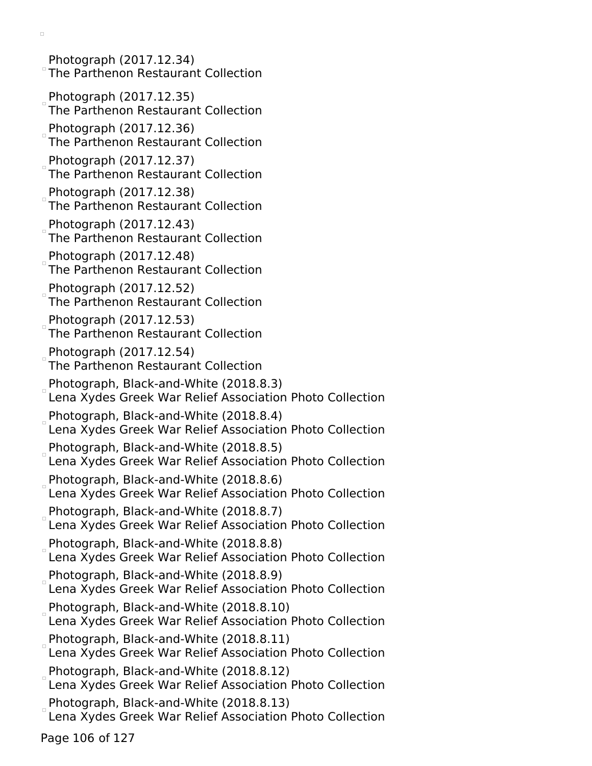Photograph (2017.12.34) The Parthenon Restaurant Collection Photograph (2017.12.35) The Parthenon Restaurant Collection Photograph (2017.12.36) The Parthenon Restaurant Collection Photograph (2017.12.37) The Parthenon Restaurant Collection Photograph (2017.12.38) The Parthenon Restaurant Collection Photograph (2017.12.43) The Parthenon Restaurant Collection Photograph (2017.12.48) The Parthenon Restaurant Collection Photograph (2017.12.52) The Parthenon Restaurant Collection Photograph (2017.12.53) The Parthenon Restaurant Collection Photograph (2017.12.54) The Parthenon Restaurant Collection Photograph, Black-and-White (2018.8.3) Lena Xydes Greek War Relief Association Photo Collection Photograph, Black-and-White (2018.8.4) Lena Xydes Greek War Relief Association Photo Collection Photograph, Black-and-White (2018.8.5) Lena Xydes Greek War Relief Association Photo Collection Photograph, Black-and-White (2018.8.6) Lena Xydes Greek War Relief Association Photo Collection Photograph, Black-and-White (2018.8.7) Lena Xydes Greek War Relief Association Photo Collection Photograph, Black-and-White (2018.8.8) Lena Xydes Greek War Relief Association Photo Collection Photograph, Black-and-White (2018.8.9) Lena Xydes Greek War Relief Association Photo Collection Photograph, Black-and-White (2018.8.10) Lena Xydes Greek War Relief Association Photo Collection Photograph, Black-and-White (2018.8.11) Lena Xydes Greek War Relief Association Photo Collection Photograph, Black-and-White (2018.8.12) Lena Xydes Greek War Relief Association Photo Collection Photograph, Black-and-White (2018.8.13) Lena Xydes Greek War Relief Association Photo Collection

Page 106 of 127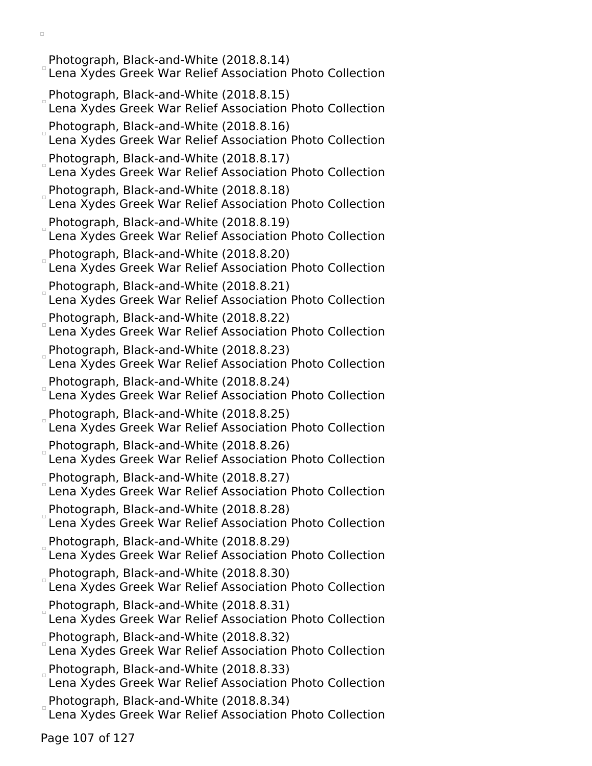Photograph, Black-and-White (2018.8.14) Lena Xydes Greek War Relief Association Photo Collection Photograph, Black-and-White (2018.8.15) Lena Xydes Greek War Relief Association Photo Collection Photograph, Black-and-White (2018.8.16) Lena Xydes Greek War Relief Association Photo Collection Photograph, Black-and-White (2018.8.17) Lena Xydes Greek War Relief Association Photo Collection Photograph, Black-and-White (2018.8.18) Lena Xydes Greek War Relief Association Photo Collection Photograph, Black-and-White (2018.8.19) Lena Xydes Greek War Relief Association Photo Collection Photograph, Black-and-White (2018.8.20) Lena Xydes Greek War Relief Association Photo Collection Photograph, Black-and-White (2018.8.21) Lena Xydes Greek War Relief Association Photo Collection Photograph, Black-and-White (2018.8.22) Lena Xydes Greek War Relief Association Photo Collection Photograph, Black-and-White (2018.8.23) Lena Xydes Greek War Relief Association Photo Collection Photograph, Black-and-White (2018.8.24) Lena Xydes Greek War Relief Association Photo Collection Photograph, Black-and-White (2018.8.25) Lena Xydes Greek War Relief Association Photo Collection Photograph, Black-and-White (2018.8.26) Lena Xydes Greek War Relief Association Photo Collection Photograph, Black-and-White (2018.8.27) Lena Xydes Greek War Relief Association Photo Collection Photograph, Black-and-White (2018.8.28) Lena Xydes Greek War Relief Association Photo Collection Photograph, Black-and-White (2018.8.29) Lena Xydes Greek War Relief Association Photo Collection Photograph, Black-and-White (2018.8.30) Lena Xydes Greek War Relief Association Photo Collection Photograph, Black-and-White (2018.8.31) Lena Xydes Greek War Relief Association Photo Collection Photograph, Black-and-White (2018.8.32) Lena Xydes Greek War Relief Association Photo Collection Photograph, Black-and-White (2018.8.33) Lena Xydes Greek War Relief Association Photo Collection Photograph, Black-and-White (2018.8.34) Lena Xydes Greek War Relief Association Photo Collection

Page 107 of 127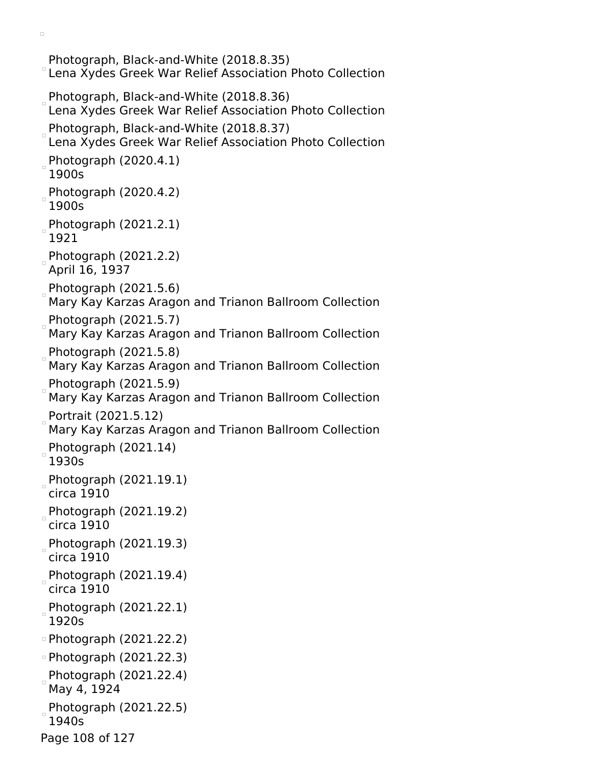Photograph, Black-and-White (2018.8.35) Lena Xydes Greek War Relief Association Photo Collection Photograph, Black-and-White (2018.8.36) Lena Xydes Greek War Relief Association Photo Collection Photograph, Black-and-White (2018.8.37) Lena Xydes Greek War Relief Association Photo Collection Photograph (2020.4.1) 1900s  $P$ hotograph (2020.4.2) 1900s Photograph (2021.2.1) 1921 Photograph  $(2021.2.2)$ April 16, 1937 Photograph  $(2021.5.6)$ Mary Kay Karzas Aragon and Trianon Ballroom Collection Photograph (2021.5.7) Mary Kay Karzas Aragon and Trianon Ballroom Collection Photograph (2021.5.8) Mary Kay Karzas Aragon and Trianon Ballroom Collection Photograph (2021.5.9) Mary Kay Karzas Aragon and Trianon Ballroom Collection Portrait (2021.5.12) Mary Kay Karzas Aragon and Trianon Ballroom Collection Photograph (2021.14) 1930s Photograph  $(2021.19.1)$ circa 1910 Photograph  $(2021.19.2)$ circa 1910 Photograph (2021.19.3) circa 1910 Photograph (2021.19.4) circa 1910 Photograph (2021.22.1) 1920s Photograph (2021.22.2) Photograph (2021.22.3) Photograph (2021.22.4) May 4, 1924 Photograph (2021.22.5) 1940s Page 108 of 127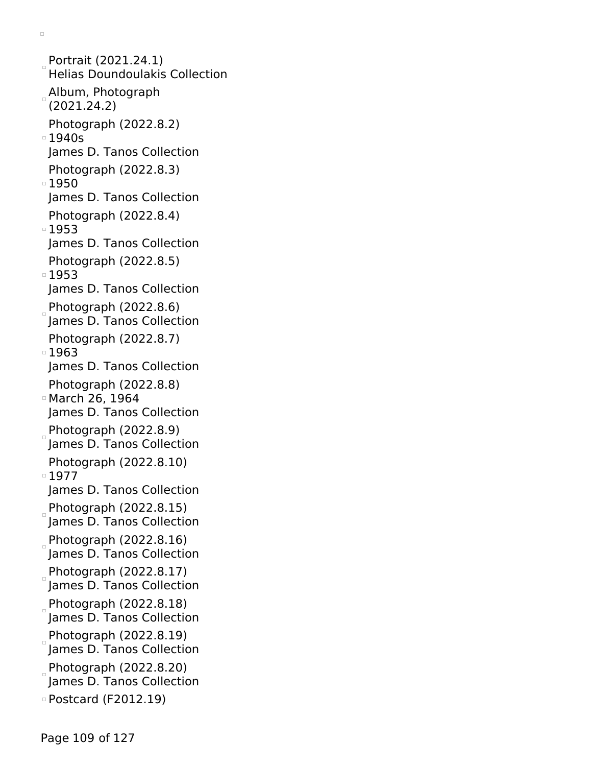Portrait (2021.24.1) Helias Doundoulakis Collection Album, Photograph (2021.24.2) Photograph (2022.8.2) 1940s James D. Tanos Collection Photograph (2022.8.3) ■1950 James D. Tanos Collection Photograph (2022.8.4) ■1953 James D. Tanos Collection Photograph (2022.8.5) ■1953 James D. Tanos Collection Photograph  $(2022.8.6)$ James D. Tanos Collection Photograph (2022.8.7) ■1963 James D. Tanos Collection Photograph (2022.8.8) March 26, 1964 James D. Tanos Collection Photograph  $(2022.8.9)$ James D. Tanos Collection Photograph (2022.8.10) ■1977 James D. Tanos Collection Photograph (2022.8.15) James D. Tanos Collection  $Photography$  (2022.8.16) James D. Tanos Collection Photograph  $(2022.8.17)$ James D. Tanos Collection Photograph (2022.8.18) James D. Tanos Collection Photograph (2022.8.19) James D. Tanos Collection  $Photograph (2022.8.20)$ James D. Tanos Collection Postcard (F2012.19)

 $\Box$ 

Page 109 of 127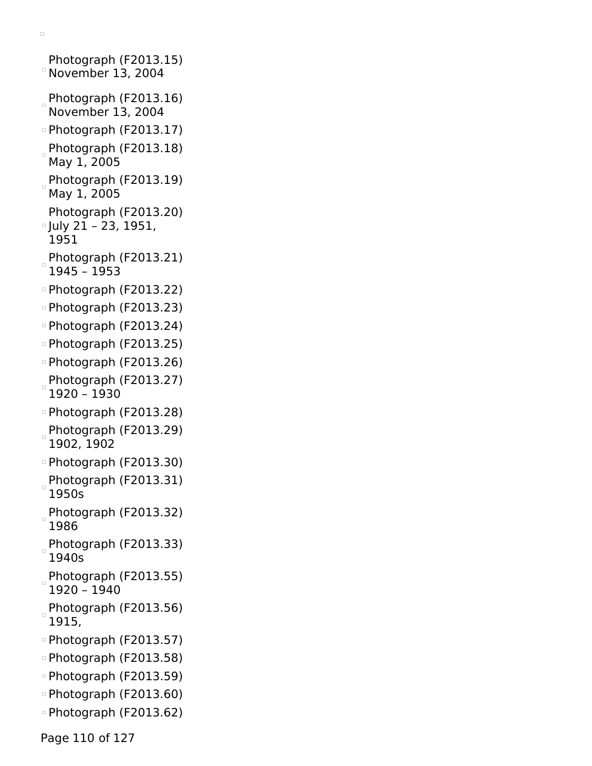```
Photograph (F2013.15)
November 13, 2004
Photograph (F2013.16)
 November 13, 2004
Photograph (F2013.17)
Photograph (F2013.18)
 May 1, 2005
Photograph (F2013.19)
May 1, 2005
 Photograph (F2013.20)
July 21 – 23, 1951,
 1951
Photograph (F2013.21)
 1945 – 1953
Photograph (F2013.22)
Photograph (F2013.23)
Photograph (F2013.24)
Photograph (F2013.25)
Photograph (F2013.26)
Photograph (F2013.27)
 1920 – 1930
Photograph (F2013.28)
Photograph (F2013.29)
 1902, 1902
Photograph (F2013.30)
Photograph (F2013.31)
 1950s
Photograph (F2013.32)
 1986
Photograph (F2013.33)
 1940s
Photograph (F2013.55)
 1920 – 1940
Photograph (F2013.56)
 1915,
Photograph (F2013.57)
Photograph (F2013.58)
Photograph (F2013.59)
Photograph (F2013.60)
Photograph (F2013.62)
```
Page 110 of 127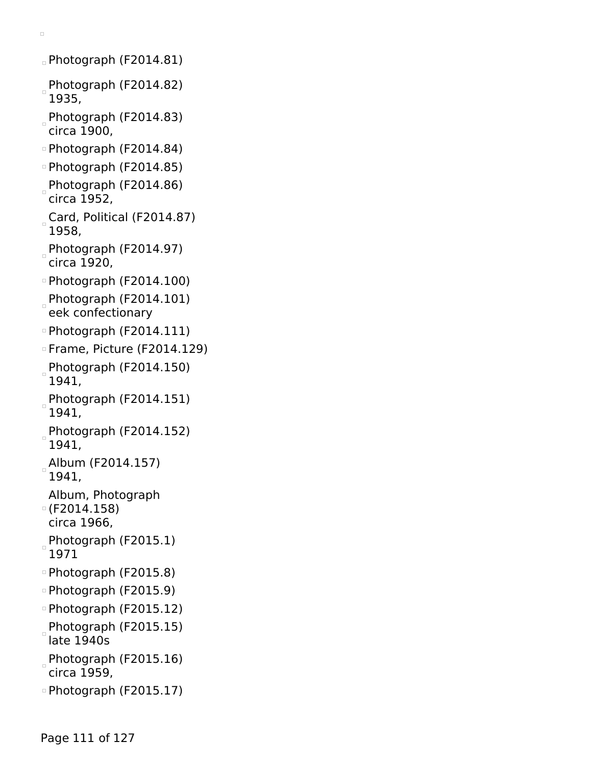```
\Box
```
- Photograph (F2014.81)
- Photograph (F2014.82) 1935,
- Photograph (F2014.83) circa 1900,
- Photograph (F2014.84)
- Photograph (F2014.85)
- Photograph (F2014.86) circa 1952,
- Card, Political (F2014.87) 1958,
- Photograph (F2014.97) circa 1920,
- Photograph (F2014.100)
- Photograph (F2014.101) eek confectionary
- Photograph (F2014.111)
- Frame, Picture (F2014.129)
- $P$ hotograph (F2014.150) 1941,
- Photograph (F2014.151) 1941,
- Photograph (F2014.152) 1941,
- Album (F2014.157) 1941,
- Album, Photograph (F2014.158)
- circa 1966,
- Photograph (F2015.1) 1971
- Photograph (F2015.8)
- Photograph (F2015.9)
- Photograph (F2015.12)
- Photograph (F2015.15) late 1940s
- Photograph (F2015.16) circa 1959,
- Photograph (F2015.17)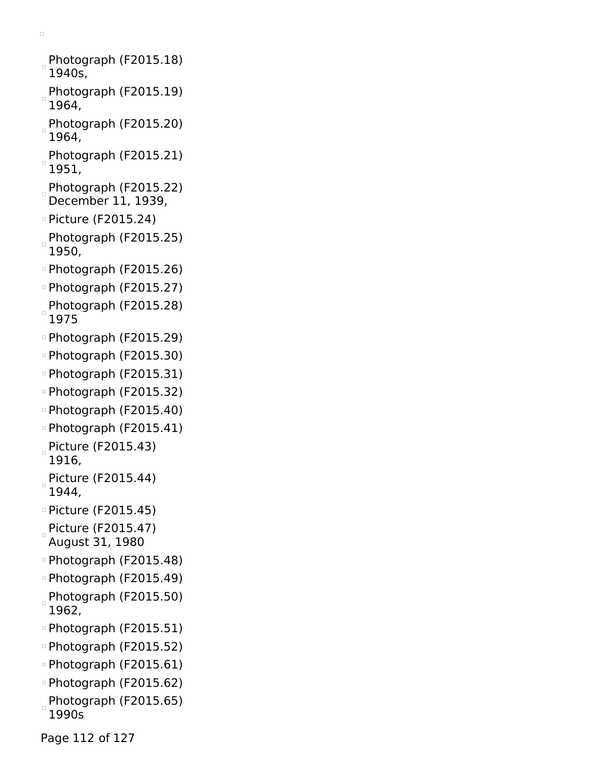- Photograph (F2015.18) 1940s,
- Photograph (F2015.19) 1964,
- Photograph (F2015.20) 1964,
- Photograph (F2015.21) 1951,
- Photograph (F2015.22) December 11, 1939,
- Picture (F2015.24)
- Photograph (F2015.25)  $\Box$ 1950,
- Photograph (F2015.26)
- Photograph (F2015.27)
- Photograph (F2015.28) 1975
- Photograph (F2015.29)
- Photograph (F2015.30)
- Photograph (F2015.31)
- Photograph (F2015.32)
- Photograph (F2015.40)
- Photograph (F2015.41)
- Picture (F2015.43) 1916,
- Picture (F2015.44) 1944,
- Picture (F2015.45)
- Picture (F2015.47) August 31, 1980
- Photograph (F2015.48)
- Photograph (F2015.49)
- Photograph (F2015.50) 1962,
- Photograph (F2015.51)
- Photograph (F2015.52)
- Photograph (F2015.61)
- Photograph (F2015.62)
- Photograph (F2015.65) 1990s

Page 112 of 127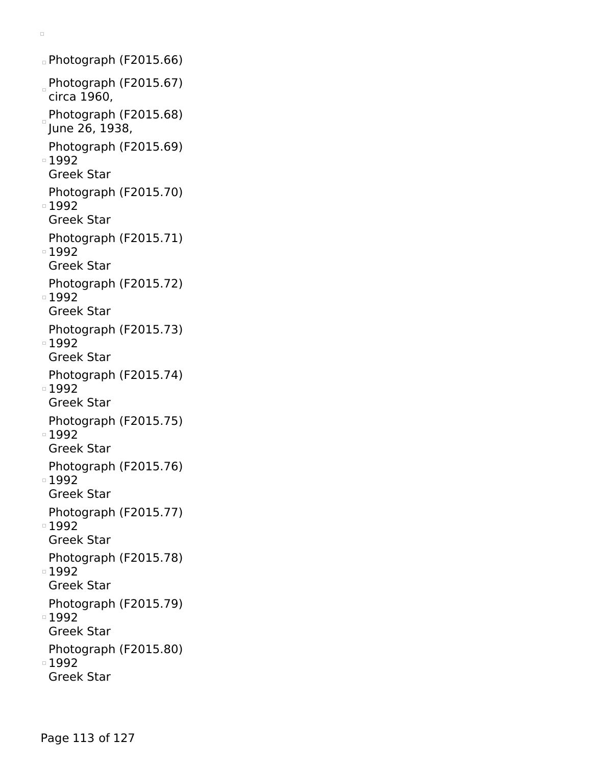```
\textdegreePhotograph (F2015.66)
Photograph (F2015.67)
 circa 1960,
Photograph (F2015.68)
June 26, 1938,
 Photograph (F2015.69)
■1992
 Greek Star
 Photograph (F2015.70)
■1992
 Greek Star
 Photograph (F2015.71)
1992
 Greek Star
 Photograph (F2015.72)
■1992
 Greek Star
 Photograph (F2015.73)
■1992
 Greek Star
 Photograph (F2015.74)
■1992
 Greek Star
 Photograph (F2015.75)
■1992
 Greek Star
 Photograph (F2015.76)
1992
 Greek Star
 Photograph (F2015.77)
■1992
 Greek Star
 Photograph (F2015.78)
■1992
 Greek Star
 Photograph (F2015.79)
1992
 Greek Star
 Photograph (F2015.80)
■1992
 Greek Star
```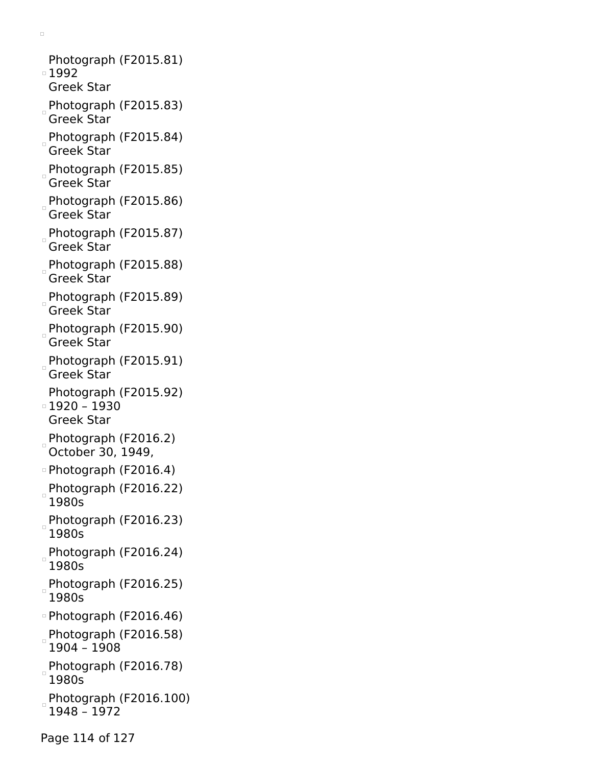Photograph (F2015.81) ■1992 Greek Star Photograph (F2015.83) Greek Star Photograph (F2015.84) Greek Star Photograph (F2015.85) Greek Star Photograph (F2015.86) Greek Star Photograph (F2015.87) Greek Star Photograph (F2015.88) Greek Star Photograph (F2015.89) Greek Star Photograph (F2015.90) Greek Star Photograph (F2015.91) Greek Star Photograph (F2015.92) 1920 – 1930 Greek Star Photograph (F2016.2) October 30, 1949, Photograph (F2016.4) Photograph (F2016.22) 1980s Photograph (F2016.23) 1980s Photograph (F2016.24) 1980s Photograph (F2016.25) 1980s Photograph (F2016.46) Photograph (F2016.58) 1904 – 1908 Photograph (F2016.78) 1980s Photograph (F2016.100) 1948 – 1972

 $\Box$ 

Page 114 of 127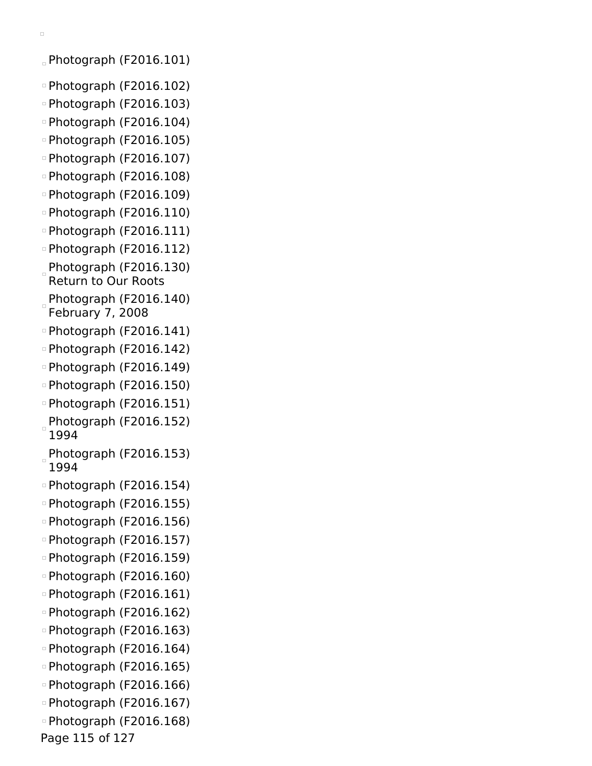$\alpha$  Photograph (F2016.101)

- Photograph (F2016.102)
- Photograph (F2016.103)
- Photograph (F2016.104)
- Photograph (F2016.105)
- Photograph (F2016.107)
- Photograph (F2016.108)
- Photograph (F2016.109)
- Photograph (F2016.110)
- Photograph (F2016.111)
- Photograph (F2016.112)
- $P$ hotograph (F2016.130) Return to Our Roots
- Photograph (F2016.140) February 7, 2008
- Photograph (F2016.141)
- Photograph (F2016.142)
- Photograph (F2016.149)
- Photograph (F2016.150)
- Photograph (F2016.151)
- Photograph (F2016.152) 1994
- Photograph (F2016.153) 1994
- Photograph (F2016.154)
- Photograph (F2016.155)
- Photograph (F2016.156)
- Photograph (F2016.157)
- Photograph (F2016.159)
- Photograph (F2016.160)
- Photograph (F2016.161)
- Photograph (F2016.162)
- Photograph (F2016.163)
- Photograph (F2016.164)
- Photograph (F2016.165)
- Photograph (F2016.166)
- Photograph (F2016.167)
- Photograph (F2016.168)

Page 115 of 127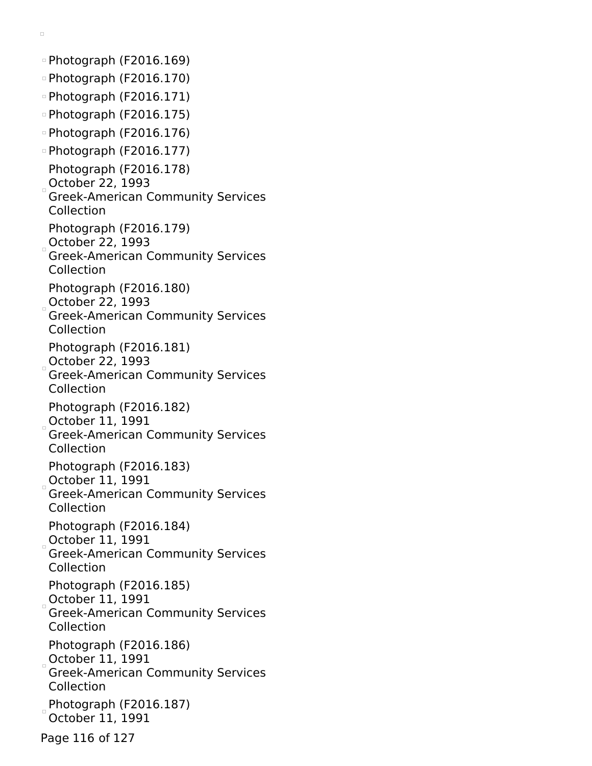$\circ$  Photograph (F2016.169)  $\circ$  Photograph (F2016.170) Photograph (F2016.171) Photograph (F2016.175) Photograph (F2016.176) Photograph (F2016.177) Photograph (F2016.178) October 22,  $1993$ Greek-American Community Services Collection Photograph (F2016.179) October 22, 1993 Greek-American Community Services Collection Photograph (F2016.180) October 22, 1993 Greek-American Community Services Collection Photograph (F2016.181)  $\overline{O}$ Ctober 22, 1993 Greek-American Community Services Collection Photograph (F2016.182) October 11, 1991 Greek-American Community Services Collection Photograph (F2016.183) October 11, 1991 Greek-American Community Services Collection Photograph (F2016.184) October 11, 1991 Greek-American Community Services Collection Photograph (F2016.185) October 11, 1991 Greek-American Community Services Collection Photograph (F2016.186) October 11, 1991 Greek-American Community Services Collection  $P$ hotograph (F2016.187) October 11, 1991 Page 116 of 127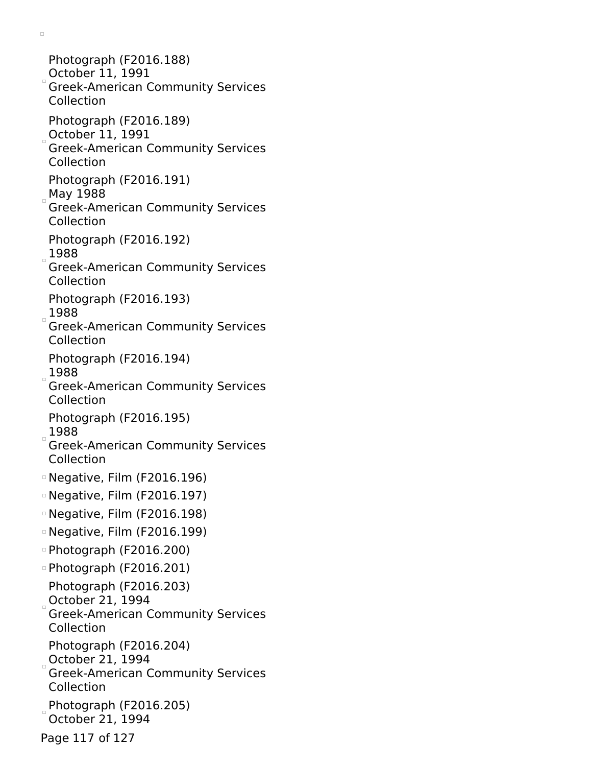Photograph (F2016.188) October 11, 1991 Greek-American Community Services Collection Photograph (F2016.189) October 11, 1991 Greek-American Community Services Collection Photograph (F2016.191) May 1988 Greek-American Community Services Collection Photograph (F2016.192) 1988 Greek-American Community Services Collection Photograph (F2016.193) 1988 Greek-American Community Services Collection Photograph (F2016.194)  $1988$ Greek-American Community Services Collection Photograph (F2016.195) 1988 Greek-American Community Services Collection Negative, Film (F2016.196) Negative, Film (F2016.197) Negative, Film (F2016.198) Negative, Film (F2016.199) Photograph (F2016.200) Photograph (F2016.201) Photograph (F2016.203) October 21, 1994 Greek-American Community Services Collection Photograph (F2016.204) October 21, 1994 Greek-American Community Services Collection Photograph (F2016.205) October 21, 1994 Page 117 of 127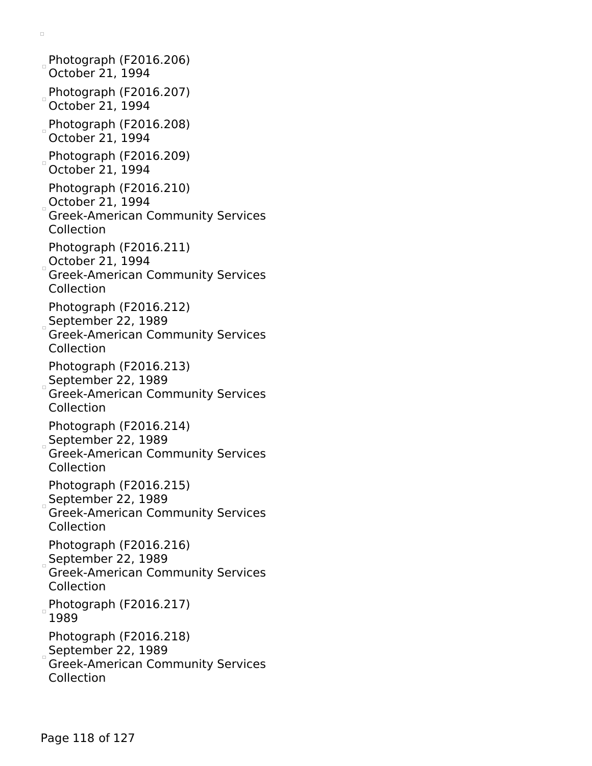Photograph (F2016.206) October 21, 1994  $P$ hotograph (F2016.207) October 21, 1994  $P$ hotograph (F2016.208) October 21, 1994 Photograph (F2016.209) October 21, 1994 Photograph (F2016.210) October 21, 1994 Greek-American Community Services Collection Photograph (F2016.211) October 21, 1994 Greek-American Community Services Collection Photograph (F2016.212) September 22,  $1989$ Greek-American Community Services Collection Photograph (F2016.213) September 22, 1989 Greek-American Community Services Collection Photograph (F2016.214) September 22, 1989 Greek-American Community Services Collection Photograph (F2016.215) September 22, 1989 Greek-American Community Services Collection Photograph (F2016.216) September 22,  $1989$ Greek-American Community Services Collection  $P$ hotograph (F2016.217) 1989 Photograph (F2016.218) September 22, 1989 Greek-American Community Services Collection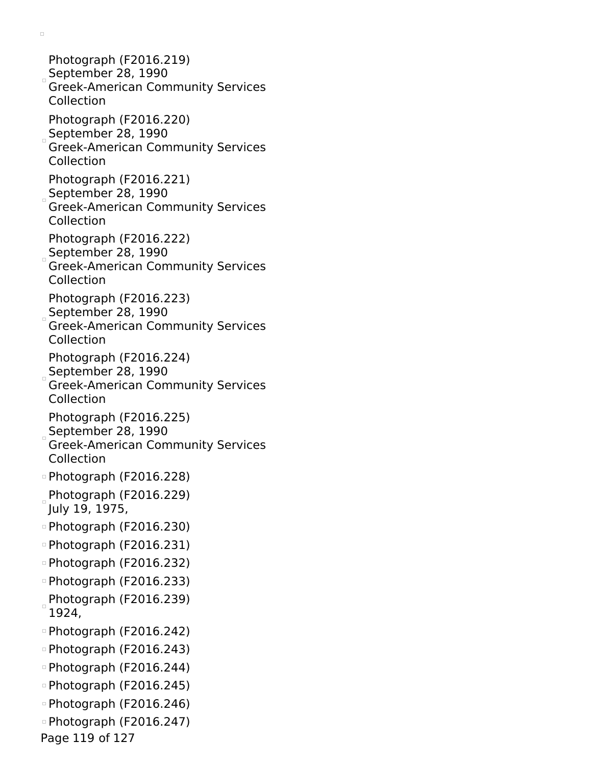Photograph (F2016.219) September 28, 1990 Greek-American Community Services Collection Photograph (F2016.220) September 28, 1990 Greek-American Community Services Collection Photograph (F2016.221) September 28, 1990 Greek-American Community Services Collection Photograph (F2016.222) September 28, 1990 Greek-American Community Services Collection Photograph (F2016.223) September 28, 1990 Greek-American Community Services Collection Photograph (F2016.224)  $S$ September 28, 1990 Greek-American Community Services Collection Photograph (F2016.225) September 28, 1990 Greek-American Community Services Collection Photograph (F2016.228)  $P$ hotograph (F2016.229) July 19, 1975, Photograph (F2016.230) Photograph (F2016.231) Photograph (F2016.232) Photograph (F2016.233)  $P$ hotograph (F2016.239) 1924, Photograph (F2016.242) Photograph (F2016.243) Photograph (F2016.244) Photograph (F2016.245) Photograph (F2016.246) Photograph (F2016.247) Page 119 of 127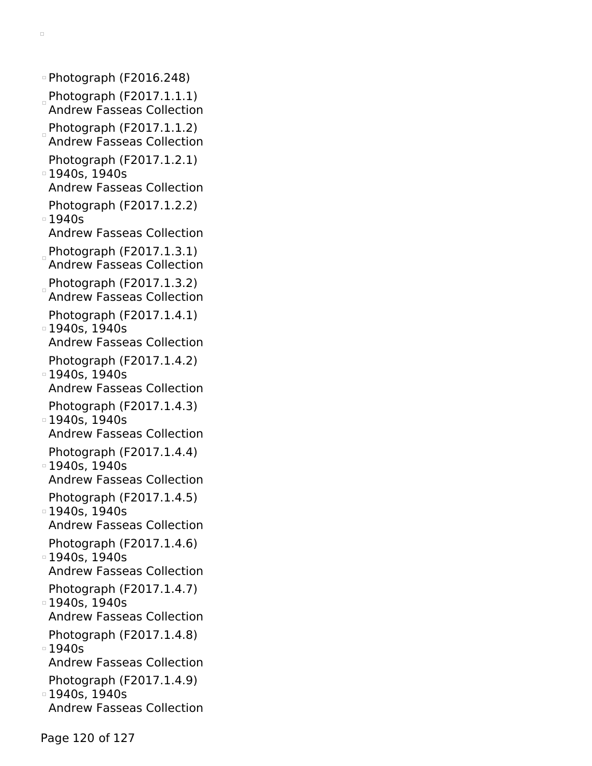Photograph (F2016.248) Photograph (F2017.1.1.1) Andrew Fasseas Collection  $P$ hotograph (F2017.1.1.2) Andrew Fasseas Collection Photograph (F2017.1.2.1) 1940s, 1940s Andrew Fasseas Collection Photograph (F2017.1.2.2)  $01940s$ Andrew Fasseas Collection Photograph (F2017.1.3.1) Andrew Fasseas Collection Photograph (F2017.1.3.2) Andrew Fasseas Collection Photograph (F2017.1.4.1) 1940s, 1940s Andrew Fasseas Collection Photograph (F2017.1.4.2) 1940s, 1940s Andrew Fasseas Collection Photograph (F2017.1.4.3) 1940s, 1940s Andrew Fasseas Collection Photograph (F2017.1.4.4) 1940s, 1940s Andrew Fasseas Collection Photograph (F2017.1.4.5) 1940s, 1940s Andrew Fasseas Collection Photograph (F2017.1.4.6) 1940s, 1940s Andrew Fasseas Collection Photograph (F2017.1.4.7) 1940s, 1940s Andrew Fasseas Collection Photograph (F2017.1.4.8)  $\overline{1940s}$ Andrew Fasseas Collection Photograph (F2017.1.4.9) 1940s, 1940s Andrew Fasseas Collection

 $\Box$ 

Page 120 of 127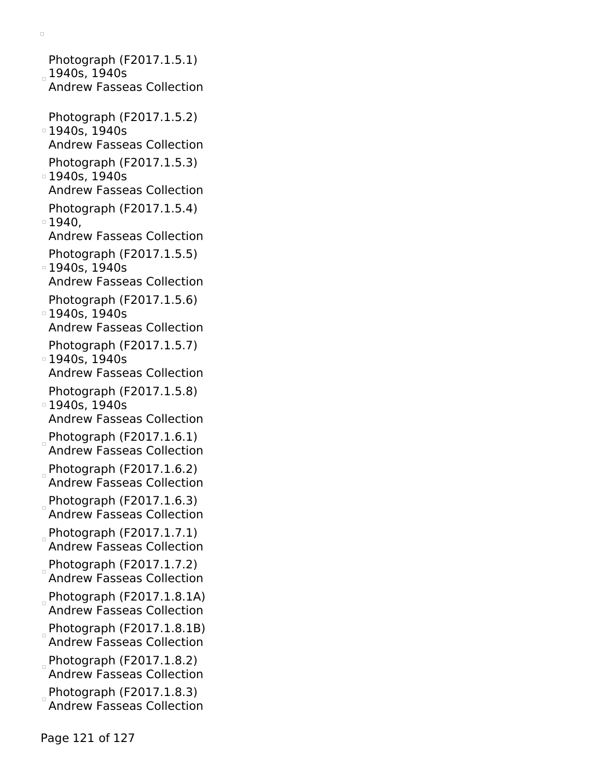Photograph (F2017.1.5.1) 1940s, 1940s Andrew Fasseas Collection Photograph (F2017.1.5.2) 1940s, 1940s Andrew Fasseas Collection Photograph (F2017.1.5.3) 1940s, 1940s Andrew Fasseas Collection Photograph (F2017.1.5.4)  $\degree$  1940. Andrew Fasseas Collection Photograph (F2017.1.5.5) **1940s, 1940s** Andrew Fasseas Collection Photograph (F2017.1.5.6) 1940s, 1940s Andrew Fasseas Collection Photograph (F2017.1.5.7) 1940s, 1940s Andrew Fasseas Collection Photograph (F2017.1.5.8) 1940s, 1940s Andrew Fasseas Collection Photograph  $(F2017.1.6.1)$ Andrew Fasseas Collection Photograph (F2017.1.6.2) Andrew Fasseas Collection  $P$ hotograph (F2017.1.6.3) Andrew Fasseas Collection  $P$ hotograph (F2017.1.7.1) Andrew Fasseas Collection Photograph (F2017.1.7.2) Andrew Fasseas Collection Photograph (F2017.1.8.1A) Andrew Fasseas Collection  $P$ hotograph (F2017.1.8.1B) Andrew Fasseas Collection Photograph (F2017.1.8.2) Andrew Fasseas Collection Photograph (F2017.1.8.3) Andrew Fasseas Collection

 $\Box$ 

Page 121 of 127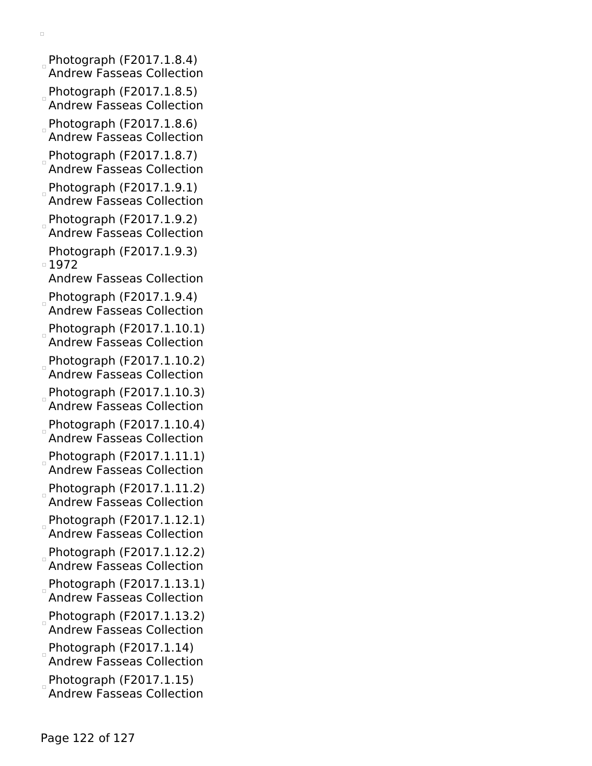Photograph (F2017.1.8.4) Andrew Fasseas Collection

 $\Box$ 

- Photograph (F2017.1.8.5) Andrew Fasseas Collection
- Photograph (F2017.1.8.6) Andrew Fasseas Collection
- $P$ hotograph (F2017.1.8.7) Andrew Fasseas Collection
- $P$ hotograph (F2017.1.9.1) Andrew Fasseas Collection
- $P$ hotograph (F2017.1.9.2) Andrew Fasseas Collection
- Photograph (F2017.1.9.3) 1972

Andrew Fasseas Collection

- Photograph (F2017.1.9.4)
- Andrew Fasseas Collection
- Photograph (F2017.1.10.1) Andrew Fasseas Collection
- $P$ hotograph (F2017.1.10.2) Andrew Fasseas Collection
- Photograph (F2017.1.10.3) Andrew Fasseas Collection
- Photograph (F2017.1.10.4) Andrew Fasseas Collection
- Photograph (F2017.1.11.1) Andrew Fasseas Collection
- Photograph (F2017.1.11.2) Andrew Fasseas Collection
- Photograph (F2017.1.12.1) Andrew Fasseas Collection
- Photograph (F2017.1.12.2) Andrew Fasseas Collection
- Photograph (F2017.1.13.1) Andrew Fasseas Collection
- Photograph (F2017.1.13.2) Andrew Fasseas Collection
- $P$ hotograph (F2017.1.14) Andrew Fasseas Collection
- Photograph (F2017.1.15)
- Andrew Fasseas Collection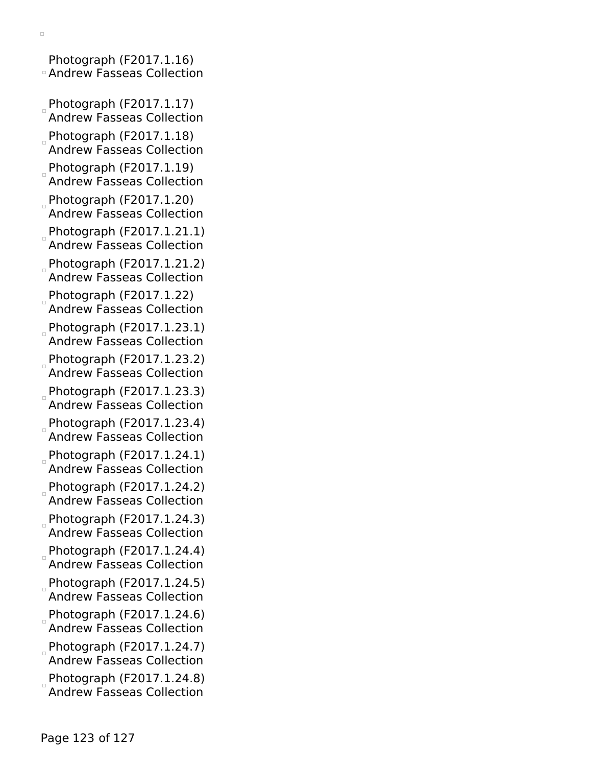Photograph (F2017.1.16) Andrew Fasseas Collection

- Photograph (F2017.1.17) Andrew Fasseas Collection
- $P$ hotograph (F2017.1.18) Andrew Fasseas Collection
- $P$ hotograph (F2017.1.19)
- Andrew Fasseas Collection  $P$ hotograph (F2017.1.20)
- Andrew Fasseas Collection
- Photograph (F2017.1.21.1) Andrew Fasseas Collection
- Photograph (F2017.1.21.2) Andrew Fasseas Collection
- $P$ hotograph (F2017.1.22) Andrew Fasseas Collection
- Photograph (F2017.1.23.1) Andrew Fasseas Collection
- Photograph (F2017.1.23.2) Andrew Fasseas Collection
- $P$ hotograph (F2017.1.23.3) Andrew Fasseas Collection
- $Photography$  (F2017.1.23.4) Andrew Fasseas Collection
- $P$ hotograph (F2017.1.24.1) Andrew Fasseas Collection
- Photograph (F2017.1.24.2) Andrew Fasseas Collection
- Photograph (F2017.1.24.3) Andrew Fasseas Collection
- Photograph (F2017.1.24.4) Andrew Fasseas Collection
- $P$ hotograph (F2017.1.24.5) Andrew Fasseas Collection
- $P$ hotograph (F2017.1.24.6) Andrew Fasseas Collection
- $P$ hotograph (F2017.1.24.7) Andrew Fasseas Collection
- $P$ hotograph (F2017.1.24.8) Andrew Fasseas Collection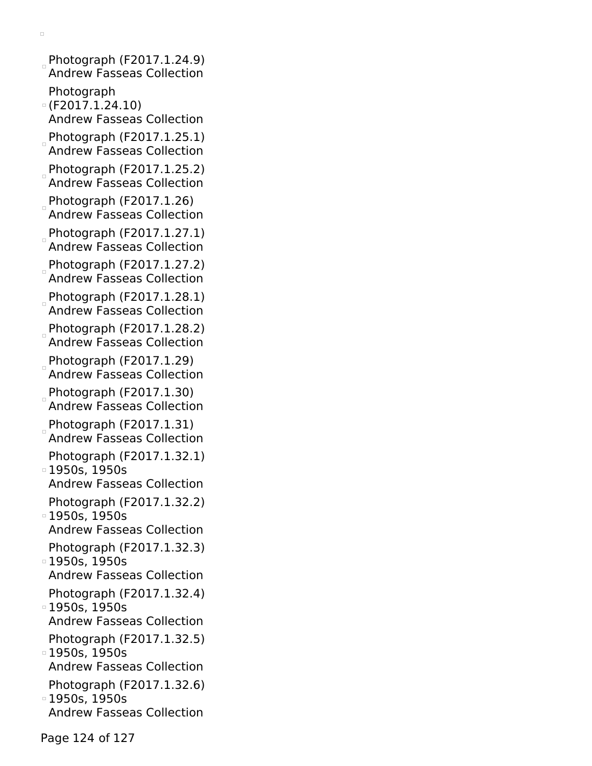- $\Box$
- Photograph (F2017.1.24.9) Andrew Fasseas Collection Photograph
- (F2017.1.24.10)
- Andrew Fasseas Collection
- $P$ hotograph (F2017.1.25.1) Andrew Fasseas Collection
- Photograph (F2017.1.25.2) Andrew Fasseas Collection
- Photograph (F2017.1.26) Andrew Fasseas Collection
- Photograph (F2017.1.27.1) Andrew Fasseas Collection
- Photograph (F2017.1.27.2) Andrew Fasseas Collection
- Photograph (F2017.1.28.1) Andrew Fasseas Collection
- $P$ hotograph (F2017.1.28.2) Andrew Fasseas Collection
- $P$ hotograph (F2017.1.29) Andrew Fasseas Collection
- $P$ hotograph (F2017.1.30) Andrew Fasseas Collection
- Photograph (F2017.1.31) Andrew Fasseas Collection
- Photograph (F2017.1.32.1) **1950s, 1950s**
- Andrew Fasseas Collection Photograph (F2017.1.32.2)
- 1950s, 1950s Andrew Fasseas Collection
- Photograph (F2017.1.32.3)
- 1950s, 1950s Andrew Fasseas Collection
- Photograph (F2017.1.32.4) 1950s, 1950s
- Andrew Fasseas Collection
- Photograph (F2017.1.32.5) 1950s, 1950s
- Andrew Fasseas Collection
- Photograph (F2017.1.32.6) 1950s, 1950s
- Andrew Fasseas Collection

Page 124 of 127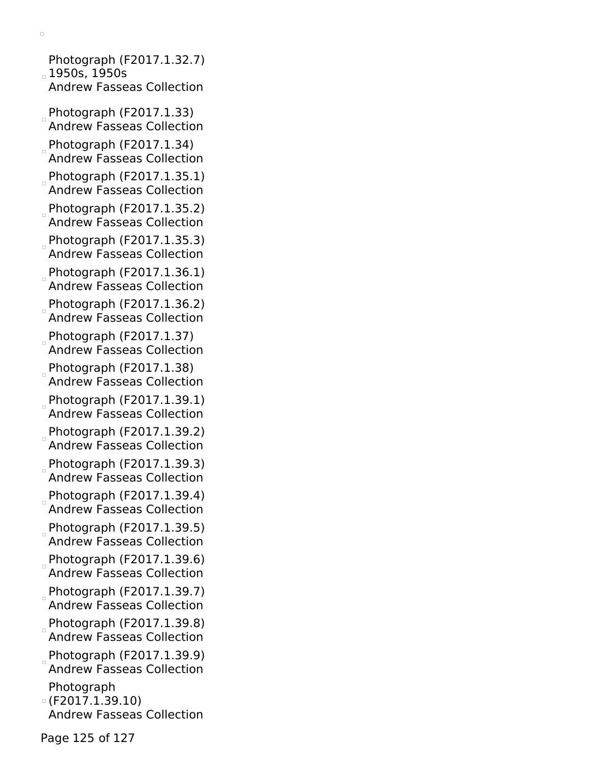Photograph (F2017.1.32.7) 1950s, 1950s Andrew Fasseas Collection

 $\Box$ 

- Photograph (F2017.1.33) Andrew Fasseas Collection
- Photograph (F2017.1.34) Andrew Fasseas Collection
- Photograph (F2017.1.35.1) Andrew Fasseas Collection
- Photograph (F2017.1.35.2) Andrew Fasseas Collection
- $P$ hotograph (F2017.1.35.3) Andrew Fasseas Collection
- Photograph (F2017.1.36.1) Andrew Fasseas Collection
- Photograph (F2017.1.36.2) Andrew Fasseas Collection
- $P$ hotograph (F2017.1.37) Andrew Fasseas Collection
- Photograph (F2017.1.38) Andrew Fasseas Collection
- Photograph (F2017.1.39.1) Andrew Fasseas Collection
- Photograph (F2017.1.39.2) Andrew Fasseas Collection
- Photograph (F2017.1.39.3) Andrew Fasseas Collection
- $P$ hotograph (F2017.1.39.4) Andrew Fasseas Collection
- Photograph (F2017.1.39.5) Andrew Fasseas Collection
- Photograph (F2017.1.39.6) Andrew Fasseas Collection
- Photograph (F2017.1.39.7) Andrew Fasseas Collection
- Photograph (F2017.1.39.8) Andrew Fasseas Collection
- Photograph (F2017.1.39.9) Andrew Fasseas Collection
- Photograph
- (F2017.1.39.10) Andrew Fasseas Collection

Page 125 of 127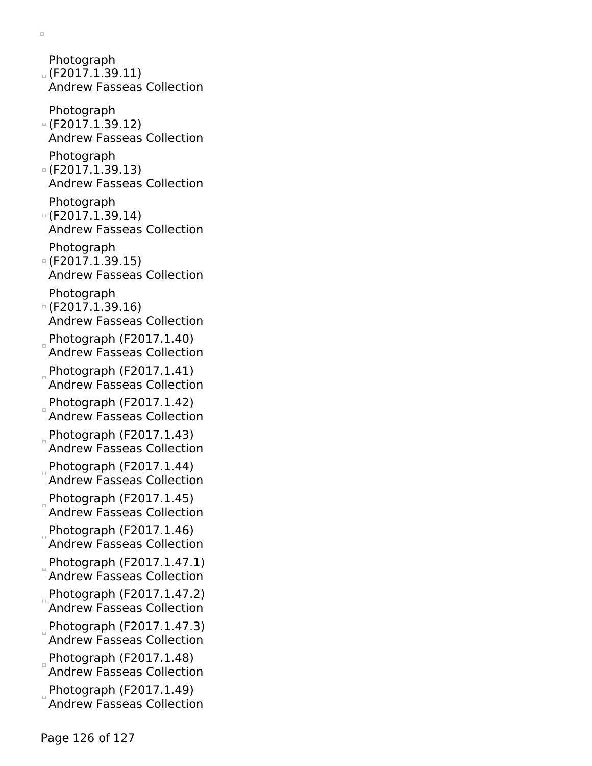Photograph (F2017.1.39.11) Andrew Fasseas Collection Photograph (F2017.1.39.12) Andrew Fasseas Collection Photograph (F2017.1.39.13) Andrew Fasseas Collection Photograph (F2017.1.39.14) Andrew Fasseas Collection Photograph  $O(F2017.1.39.15)$ Andrew Fasseas Collection Photograph (F2017.1.39.16) Andrew Fasseas Collection  $P$ hotograph (F2017.1.40) Andrew Fasseas Collection  $P$ hotograph (F2017.1.41) Andrew Fasseas Collection  $P$ hotograph (F2017.1.42) Andrew Fasseas Collection Photograph (F2017.1.43) Andrew Fasseas Collection Photograph (F2017.1.44) Andrew Fasseas Collection Photograph (F2017.1.45) Andrew Fasseas Collection Photograph (F2017.1.46) Andrew Fasseas Collection Photograph (F2017.1.47.1) Andrew Fasseas Collection  $P$ hotograph (F2017.1.47.2) Andrew Fasseas Collection  $P$ hotograph (F2017.1.47.3) Andrew Fasseas Collection  $P$ hotograph (F2017.1.48) Andrew Fasseas Collection Photograph (F2017.1.49) Andrew Fasseas Collection